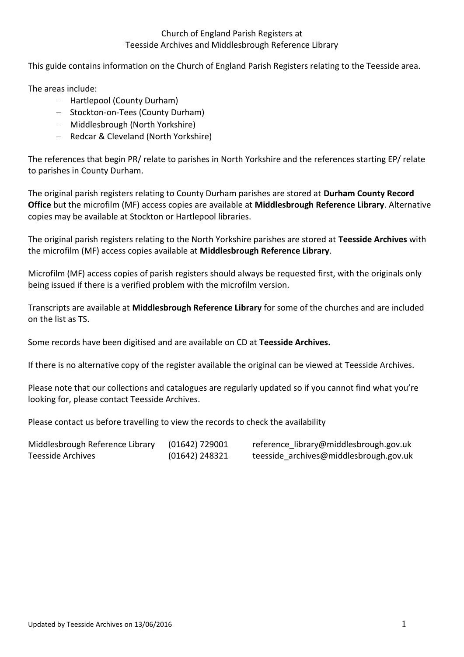This guide contains information on the Church of England Parish Registers relating to the Teesside area.

The areas include:

- Hartlepool (County Durham)
- Stockton-on-Tees (County Durham)
- Middlesbrough (North Yorkshire)
- Redcar & Cleveland (North Yorkshire)

 The references that begin PR/ relate to parishes in North Yorkshire and the references starting EP/ relate to parishes in County Durham.

 The original parish registers relating to County Durham parishes are stored at **Durham County Record Office** but the microfilm (MF) access copies are available at **Middlesbrough Reference Library**. Alternative copies may be available at Stockton or Hartlepool libraries.

 The original parish registers relating to the North Yorkshire parishes are stored at **Teesside Archives** with the microfilm (MF) access copies available at **Middlesbrough Reference Library**.

 Microfilm (MF) access copies of parish registers should always be requested first, with the originals only being issued if there is a verified problem with the microfilm version.

 Transcripts are available at **Middlesbrough Reference Library** for some of the churches and are included on the list as TS.

Some records have been digitised and are available on CD at **Teesside Archives.** 

If there is no alternative copy of the register available the original can be viewed at Teesside Archives.

 Please note that our collections and catalogues are regularly updated so if you cannot find what you're looking for, please contact Teesside Archives.

Please contact us before travelling to view the records to check the availability

| Middlesbrough Reference Library | $(01642)$ 729001 | reference library@middlesbrough.gov.uk |
|---------------------------------|------------------|----------------------------------------|
| Teesside Archives               | $(01642)$ 248321 | teesside_archives@middlesbrough.gov.uk |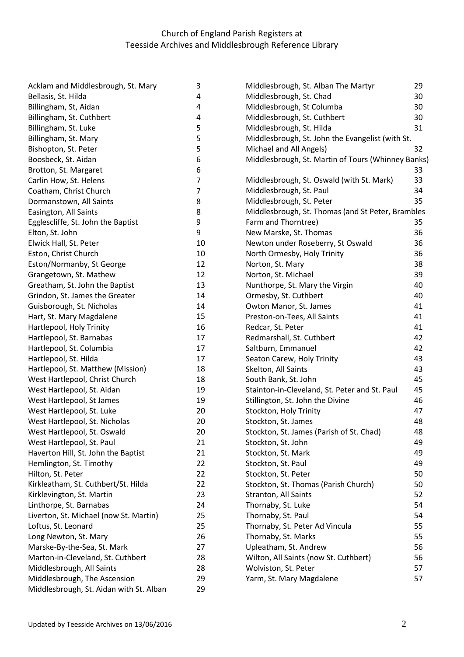| Acklam and Middlesbrough, St. Mary      | 3  | Middlesbrough, St. Alban The Martyr                | 29 |
|-----------------------------------------|----|----------------------------------------------------|----|
| Bellasis, St. Hilda                     | 4  | Middlesbrough, St. Chad                            | 30 |
| Billingham, St, Aidan                   | 4  | Middlesbrough, St Columba                          | 30 |
| Billingham, St. Cuthbert                | 4  | Middlesbrough, St. Cuthbert                        | 30 |
| Billingham, St. Luke                    | 5  | Middlesbrough, St. Hilda                           | 31 |
| Billingham, St. Mary                    | 5  | Middlesbrough, St. John the Evangelist (with St.   |    |
| Bishopton, St. Peter                    | 5  | Michael and All Angels)                            | 32 |
| Boosbeck, St. Aidan                     | 6  | Middlesbrough, St. Martin of Tours (Whinney Banks) |    |
| Brotton, St. Margaret                   | 6  |                                                    | 33 |
| Carlin How, St. Helens                  | 7  | Middlesbrough, St. Oswald (with St. Mark)          | 33 |
| Coatham, Christ Church                  | 7  | Middlesbrough, St. Paul                            | 34 |
| Dormanstown, All Saints                 | 8  | Middlesbrough, St. Peter                           | 35 |
| Easington, All Saints                   | 8  | Middlesbrough, St. Thomas (and St Peter, Brambles  |    |
| Egglescliffe, St. John the Baptist      | 9  | Farm and Thorntree)                                | 35 |
| Elton, St. John                         | 9  | New Marske, St. Thomas                             | 36 |
| Elwick Hall, St. Peter                  | 10 | Newton under Roseberry, St Oswald                  | 36 |
| Eston, Christ Church                    | 10 | North Ormesby, Holy Trinity                        | 36 |
| Eston/Normanby, St George               | 12 | Norton, St. Mary                                   | 38 |
| Grangetown, St. Mathew                  | 12 | Norton, St. Michael                                | 39 |
| Greatham, St. John the Baptist          | 13 | Nunthorpe, St. Mary the Virgin                     | 40 |
| Grindon, St. James the Greater          | 14 | Ormesby, St. Cuthbert                              | 40 |
| Guisborough, St. Nicholas               | 14 | Owton Manor, St. James                             | 41 |
| Hart, St. Mary Magdalene                | 15 | Preston-on-Tees, All Saints                        | 41 |
| Hartlepool, Holy Trinity                | 16 | Redcar, St. Peter                                  | 41 |
| Hartlepool, St. Barnabas                | 17 | Redmarshall, St. Cuthbert                          | 42 |
| Hartlepool, St. Columbia                | 17 | Saltburn, Emmanuel                                 | 42 |
| Hartlepool, St. Hilda                   | 17 | Seaton Carew, Holy Trinity                         | 43 |
| Hartlepool, St. Matthew (Mission)       | 18 | Skelton, All Saints                                | 43 |
| West Hartlepool, Christ Church          | 18 | South Bank, St. John                               | 45 |
| West Hartlepool, St. Aidan              | 19 | Stainton-in-Cleveland, St. Peter and St. Paul      | 45 |
| West Hartlepool, St James               | 19 | Stillington, St. John the Divine                   | 46 |
| West Hartlepool, St. Luke               | 20 | Stockton, Holy Trinity                             | 47 |
| West Hartlepool, St. Nicholas           | 20 | Stockton, St. James                                | 48 |
| West Hartlepool, St. Oswald             | 20 | Stockton, St. James (Parish of St. Chad)           | 48 |
| West Hartlepool, St. Paul               | 21 | Stockton, St. John                                 | 49 |
| Haverton Hill, St. John the Baptist     | 21 | Stockton, St. Mark                                 | 49 |
| Hemlington, St. Timothy                 | 22 | Stockton, St. Paul                                 | 49 |
| Hilton, St. Peter                       | 22 | Stockton, St. Peter                                | 50 |
| Kirkleatham, St. Cuthbert/St. Hilda     | 22 | Stockton, St. Thomas (Parish Church)               | 50 |
| Kirklevington, St. Martin               | 23 | Stranton, All Saints                               | 52 |
| Linthorpe, St. Barnabas                 | 24 | Thornaby, St. Luke                                 | 54 |
| Liverton, St. Michael (now St. Martin)  | 25 | Thornaby, St. Paul                                 | 54 |
| Loftus, St. Leonard                     | 25 | Thornaby, St. Peter Ad Vincula                     | 55 |
| Long Newton, St. Mary                   | 26 | Thornaby, St. Marks                                | 55 |
| Marske-By-the-Sea, St. Mark             | 27 | Upleatham, St. Andrew                              | 56 |
| Marton-in-Cleveland, St. Cuthbert       | 28 | Wilton, All Saints (now St. Cuthbert)              | 56 |
| Middlesbrough, All Saints               | 28 | Wolviston, St. Peter                               | 57 |
| Middlesbrough, The Ascension            | 29 | Yarm, St. Mary Magdalene                           | 57 |
| Middlesbrough, St. Aidan with St. Alban | 29 |                                                    |    |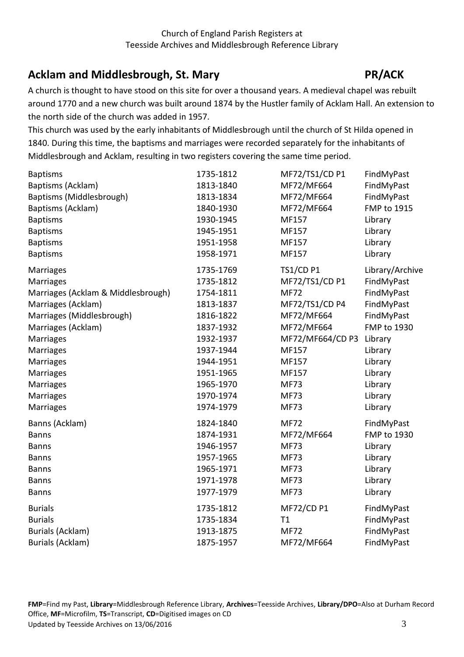# <span id="page-2-0"></span>Acklam and Middlesbrough, St. Mary **PR/ACK**

 A church is thought to have stood on this site for over a thousand years. A medieval chapel was rebuilt around 1770 and a new church was built around 1874 by the Hustler family of Acklam Hall. An extension to the north side of the church was added in 1957.

 This church was used by the early inhabitants of Middlesbrough until the church of St Hilda opened in 1840. During this time, the baptisms and marriages were recorded separately for the inhabitants of Middlesbrough and Acklam, resulting in two registers covering the same time period.

| <b>Baptisms</b>                    | 1735-1812 | MF72/TS1/CD P1    | FindMyPast         |
|------------------------------------|-----------|-------------------|--------------------|
| Baptisms (Acklam)                  | 1813-1840 | MF72/MF664        | FindMyPast         |
| Baptisms (Middlesbrough)           | 1813-1834 | MF72/MF664        | FindMyPast         |
| Baptisms (Acklam)                  | 1840-1930 | MF72/MF664        | <b>FMP to 1915</b> |
| <b>Baptisms</b>                    | 1930-1945 | MF157             | Library            |
| <b>Baptisms</b>                    | 1945-1951 | MF157             | Library            |
| <b>Baptisms</b>                    | 1951-1958 | MF157             | Library            |
| <b>Baptisms</b>                    | 1958-1971 | MF157             | Library            |
| <b>Marriages</b>                   | 1735-1769 | <b>TS1/CD P1</b>  | Library/Archive    |
| <b>Marriages</b>                   | 1735-1812 | MF72/TS1/CD P1    | FindMyPast         |
| Marriages (Acklam & Middlesbrough) | 1754-1811 | <b>MF72</b>       | FindMyPast         |
| Marriages (Acklam)                 | 1813-1837 | MF72/TS1/CD P4    | FindMyPast         |
| Marriages (Middlesbrough)          | 1816-1822 | MF72/MF664        | FindMyPast         |
| Marriages (Acklam)                 | 1837-1932 | MF72/MF664        | FMP to 1930        |
| Marriages                          | 1932-1937 | MF72/MF664/CD P3  | Library            |
| Marriages                          | 1937-1944 | MF157             | Library            |
| Marriages                          | 1944-1951 | MF157             | Library            |
| <b>Marriages</b>                   | 1951-1965 | MF157             | Library            |
| Marriages                          | 1965-1970 | <b>MF73</b>       | Library            |
| <b>Marriages</b>                   | 1970-1974 | <b>MF73</b>       | Library            |
| Marriages                          | 1974-1979 | <b>MF73</b>       | Library            |
| Banns (Acklam)                     | 1824-1840 | <b>MF72</b>       | FindMyPast         |
| <b>Banns</b>                       | 1874-1931 | MF72/MF664        | FMP to 1930        |
| <b>Banns</b>                       | 1946-1957 | <b>MF73</b>       | Library            |
| <b>Banns</b>                       | 1957-1965 | <b>MF73</b>       | Library            |
| <b>Banns</b>                       | 1965-1971 | <b>MF73</b>       | Library            |
| <b>Banns</b>                       | 1971-1978 | <b>MF73</b>       | Library            |
| <b>Banns</b>                       | 1977-1979 | <b>MF73</b>       | Library            |
| <b>Burials</b>                     | 1735-1812 | <b>MF72/CD P1</b> | FindMyPast         |
| <b>Burials</b>                     | 1735-1834 | T1                | FindMyPast         |
| Burials (Acklam)                   | 1913-1875 | <b>MF72</b>       | FindMyPast         |
| <b>Burials (Acklam)</b>            | 1875-1957 | MF72/MF664        | FindMyPast         |

<span id="page-2-1"></span>Office, **MF**=Microfilm, **TS**=Transcript, **CD**=Digitised images on CD<br>Updated by Teesside Archives on 13/06/2016 3 Updated by Teesside Archives on 13/06/2016 **FMP**=Find my Past, **Library**=Middlesbrough Reference Library, **Archives**=Teesside Archives, **Library/DPO**=Also at Durham Record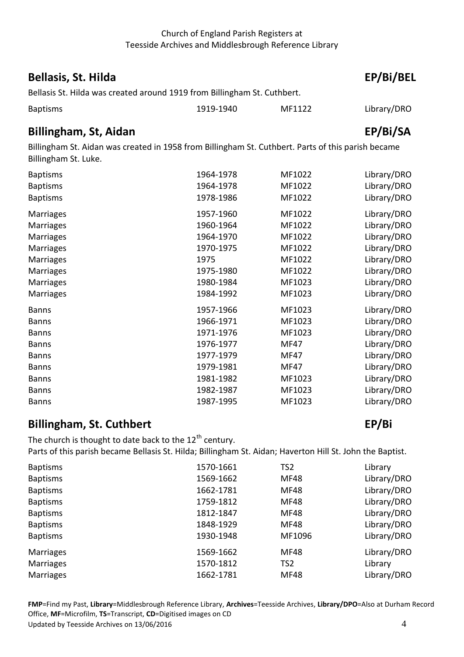## **Bellasis, St. Hilda** EP/Bi/BEL

Bellasis St. Hilda was created around 1919 from Billingham St. Cuthbert.

| <b>Baptisms</b> | 1919-1940 | MF1122 | Library/DRO |
|-----------------|-----------|--------|-------------|

## <span id="page-3-0"></span> **Billingham, St, Aidan EP/Bi/SA**

 Billingham St. Aidan was created in 1958 from Billingham St. Cuthbert. Parts of this parish became Billingham St. Luke.

| <b>Baptisms</b>  | 1964-1978 | MF1022      | Library/DRO |
|------------------|-----------|-------------|-------------|
| <b>Baptisms</b>  | 1964-1978 | MF1022      | Library/DRO |
| <b>Baptisms</b>  | 1978-1986 | MF1022      | Library/DRO |
| <b>Marriages</b> | 1957-1960 | MF1022      | Library/DRO |
| <b>Marriages</b> | 1960-1964 | MF1022      | Library/DRO |
| <b>Marriages</b> | 1964-1970 | MF1022      | Library/DRO |
| <b>Marriages</b> | 1970-1975 | MF1022      | Library/DRO |
| <b>Marriages</b> | 1975      | MF1022      | Library/DRO |
| <b>Marriages</b> | 1975-1980 | MF1022      | Library/DRO |
| <b>Marriages</b> | 1980-1984 | MF1023      | Library/DRO |
| Marriages        | 1984-1992 | MF1023      | Library/DRO |
| <b>Banns</b>     | 1957-1966 | MF1023      | Library/DRO |
| <b>Banns</b>     | 1966-1971 | MF1023      | Library/DRO |
| <b>Banns</b>     | 1971-1976 | MF1023      | Library/DRO |
| <b>Banns</b>     | 1976-1977 | <b>MF47</b> | Library/DRO |
| <b>Banns</b>     | 1977-1979 | <b>MF47</b> | Library/DRO |
| <b>Banns</b>     | 1979-1981 | <b>MF47</b> | Library/DRO |
| <b>Banns</b>     | 1981-1982 | MF1023      | Library/DRO |
| <b>Banns</b>     | 1982-1987 | MF1023      | Library/DRO |
| <b>Banns</b>     | 1987-1995 | MF1023      | Library/DRO |
|                  |           |             |             |

## <span id="page-3-1"></span>**Billingham, St. Cuthbert** EP/Bi

The church is thought to date back to the  $12^{th}$  century. Parts of this parish became Bellasis St. Hilda; Billingham St. Aidan; Haverton Hill St. John the Baptist.

| <b>Baptisms</b>  | 1570-1661 | TS <sub>2</sub> | Library     |
|------------------|-----------|-----------------|-------------|
| <b>Baptisms</b>  | 1569-1662 | <b>MF48</b>     | Library/DRO |
| <b>Baptisms</b>  | 1662-1781 | <b>MF48</b>     | Library/DRO |
| <b>Baptisms</b>  | 1759-1812 | MF48            | Library/DRO |
| <b>Baptisms</b>  | 1812-1847 | MF48            | Library/DRO |
| <b>Baptisms</b>  | 1848-1929 | MF48            | Library/DRO |
| <b>Baptisms</b>  | 1930-1948 | MF1096          | Library/DRO |
| <b>Marriages</b> | 1569-1662 | MF48            | Library/DRO |
| <b>Marriages</b> | 1570-1812 | TS <sub>2</sub> | Library     |
| <b>Marriages</b> | 1662-1781 | MF48            | Library/DRO |

Office, **MF**=Microfilm, **TS**=Transcript, **CD**=Digitised images on CD<br>Updated by Teesside Archives on 13/06/2016 4 Updated by Teesside Archives on 13/06/2016 **FMP**=Find my Past, **Library**=Middlesbrough Reference Library, **Archives**=Teesside Archives, **Library/DPO**=Also at Durham Record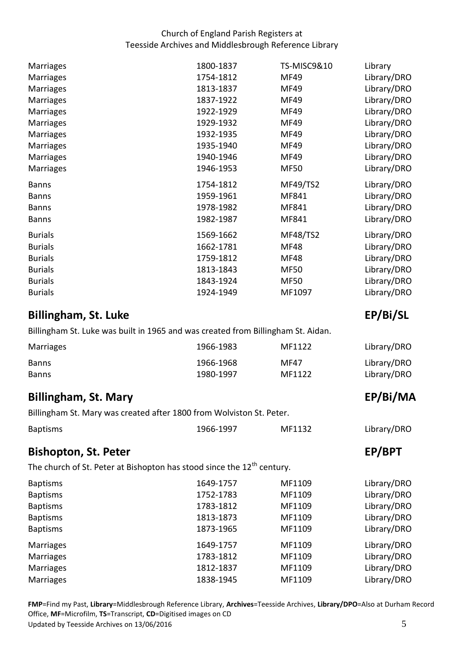| Marriages        | 1800-1837 | TS-MISC9&10     | Library     |
|------------------|-----------|-----------------|-------------|
| Marriages        | 1754-1812 | <b>MF49</b>     | Library/DRO |
| Marriages        | 1813-1837 | <b>MF49</b>     | Library/DRO |
| Marriages        | 1837-1922 | <b>MF49</b>     | Library/DRO |
| <b>Marriages</b> | 1922-1929 | <b>MF49</b>     | Library/DRO |
| <b>Marriages</b> | 1929-1932 | <b>MF49</b>     | Library/DRO |
| <b>Marriages</b> | 1932-1935 | <b>MF49</b>     | Library/DRO |
| Marriages        | 1935-1940 | <b>MF49</b>     | Library/DRO |
| Marriages        | 1940-1946 | <b>MF49</b>     | Library/DRO |
| <b>Marriages</b> | 1946-1953 | <b>MF50</b>     | Library/DRO |
| <b>Banns</b>     | 1754-1812 | MF49/TS2        | Library/DRO |
| <b>Banns</b>     | 1959-1961 | MF841           | Library/DRO |
| <b>Banns</b>     | 1978-1982 | MF841           | Library/DRO |
| <b>Banns</b>     | 1982-1987 | MF841           | Library/DRO |
| <b>Burials</b>   | 1569-1662 | <b>MF48/TS2</b> | Library/DRO |
| <b>Burials</b>   | 1662-1781 | <b>MF48</b>     | Library/DRO |
| <b>Burials</b>   | 1759-1812 | <b>MF48</b>     | Library/DRO |
| <b>Burials</b>   | 1813-1843 | <b>MF50</b>     | Library/DRO |
| <b>Burials</b>   | 1843-1924 | <b>MF50</b>     | Library/DRO |
| <b>Burials</b>   | 1924-1949 | MF1097          | Library/DRO |

# <span id="page-4-0"></span>**Billingham, St. Luke** EP/Bi/SL

Billingham St. Luke was built in 1965 and was created from Billingham St. Aidan.

| Marriages    | 1966-1983 | MF1122 | Library/DRO |
|--------------|-----------|--------|-------------|
| <b>Banns</b> | 1966-1968 | MF47   | Library/DRO |
| <b>Banns</b> | 1980-1997 | MF1122 | Library/DRO |

# <span id="page-4-1"></span>**Billingham, St. Mary EP/Bi/MA**

Billingham St. Mary was created after 1800 from Wolviston St. Peter.

| <b>Baptisms</b> | 1966-1997 | MF1132 |
|-----------------|-----------|--------|
|                 |           |        |

## <span id="page-4-2"></span>**Bishopton, St. Peter EP/BPT**

The church of St. Peter at Bishopton has stood since the  $12^{th}$  century.

| <b>Baptisms</b>  | 1649-1757 | MF1109 | Library/DRO |
|------------------|-----------|--------|-------------|
| <b>Baptisms</b>  | 1752-1783 | MF1109 | Library/DRO |
| <b>Baptisms</b>  | 1783-1812 | MF1109 | Library/DRO |
| <b>Baptisms</b>  | 1813-1873 | MF1109 | Library/DRO |
| <b>Baptisms</b>  | 1873-1965 | MF1109 | Library/DRO |
| <b>Marriages</b> | 1649-1757 | MF1109 | Library/DRO |
| <b>Marriages</b> | 1783-1812 | MF1109 | Library/DRO |
| <b>Marriages</b> | 1812-1837 | MF1109 | Library/DRO |
| <b>Marriages</b> | 1838-1945 | MF1109 | Library/DRO |

Office, MF=Microfilm, **TS**=Transcript, **CD**=Digitised images on CD<br>Updated by Teesside Archives on 13/06/2016 5 Updated by Teesside Archives on 13/06/2016 **FMP**=Find my Past, **Library**=Middlesbrough Reference Library, **Archives**=Teesside Archives, **Library/DPO**=Also at Durham Record

Library/DRO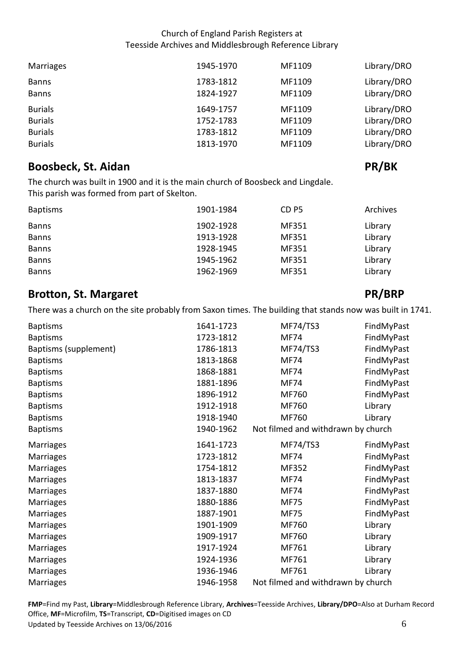| Marriages                    | 1945-1970              | MF1109           | Library/DRO                |
|------------------------------|------------------------|------------------|----------------------------|
| <b>Banns</b><br><b>Banns</b> | 1783-1812<br>1824-1927 | MF1109<br>MF1109 | Library/DRO<br>Library/DRO |
| <b>Burials</b>               | 1649-1757              | MF1109           | Library/DRO                |
| <b>Burials</b>               | 1752-1783              | MF1109           | Library/DRO                |
| <b>Burials</b>               | 1783-1812              | MF1109           | Library/DRO                |
| <b>Burials</b>               | 1813-1970              | MF1109           | Library/DRO                |

# <span id="page-5-0"></span>**Boosbeck, St. Aidan PR/BK PR/BK**

 The church was built in 1900 and it is the main church of Boosbeck and Lingdale. This parish was formed from part of Skelton.

| <b>Baptisms</b> | 1901-1984 | CD <sub>P5</sub> | Archives |
|-----------------|-----------|------------------|----------|
| <b>Banns</b>    | 1902-1928 | MF351            | Library  |
| <b>Banns</b>    | 1913-1928 | MF351            | Library  |
| <b>Banns</b>    | 1928-1945 | MF351            | Library  |
| <b>Banns</b>    | 1945-1962 | MF351            | Library  |
| <b>Banns</b>    | 1962-1969 | MF351            | Library  |

# <span id="page-5-1"></span>**Brotton, St. Margaret PR/BRP PR/BRP**

There was a church on the site probably from Saxon times. The building that stands now was built in 1741.

| <b>Baptisms</b>       | 1641-1723 | <b>MF74/TS3</b>                    | FindMyPast |
|-----------------------|-----------|------------------------------------|------------|
| <b>Baptisms</b>       | 1723-1812 | <b>MF74</b>                        | FindMyPast |
| Baptisms (supplement) | 1786-1813 | <b>MF74/TS3</b>                    | FindMyPast |
| <b>Baptisms</b>       | 1813-1868 | <b>MF74</b>                        | FindMyPast |
| <b>Baptisms</b>       | 1868-1881 | <b>MF74</b>                        | FindMyPast |
| <b>Baptisms</b>       | 1881-1896 | <b>MF74</b>                        | FindMyPast |
| <b>Baptisms</b>       | 1896-1912 | MF760                              | FindMyPast |
| <b>Baptisms</b>       | 1912-1918 | MF760                              | Library    |
| <b>Baptisms</b>       | 1918-1940 | MF760                              | Library    |
| <b>Baptisms</b>       | 1940-1962 | Not filmed and withdrawn by church |            |
| <b>Marriages</b>      | 1641-1723 | <b>MF74/TS3</b>                    | FindMyPast |
| Marriages             | 1723-1812 | <b>MF74</b>                        | FindMyPast |
| <b>Marriages</b>      | 1754-1812 | MF352                              | FindMyPast |
| <b>Marriages</b>      | 1813-1837 | <b>MF74</b>                        | FindMyPast |
| <b>Marriages</b>      | 1837-1880 | <b>MF74</b>                        | FindMyPast |
| <b>Marriages</b>      | 1880-1886 | <b>MF75</b>                        | FindMyPast |
| <b>Marriages</b>      | 1887-1901 | <b>MF75</b>                        | FindMyPast |
| Marriages             | 1901-1909 | MF760                              | Library    |
| <b>Marriages</b>      | 1909-1917 | MF760                              | Library    |
| <b>Marriages</b>      | 1917-1924 | MF761                              | Library    |
| <b>Marriages</b>      | 1924-1936 | MF761                              | Library    |
| <b>Marriages</b>      | 1936-1946 | MF761                              | Library    |
| Marriages             | 1946-1958 | Not filmed and withdrawn by church |            |

Office, MF=Microfilm, **TS**=Transcript, **CD**=Digitised images on CD<br>Updated by Teesside Archives on 13/06/2016 6 Updated by Teesside Archives on 13/06/2016 **FMP**=Find my Past, **Library**=Middlesbrough Reference Library, **Archives**=Teesside Archives, **Library/DPO**=Also at Durham Record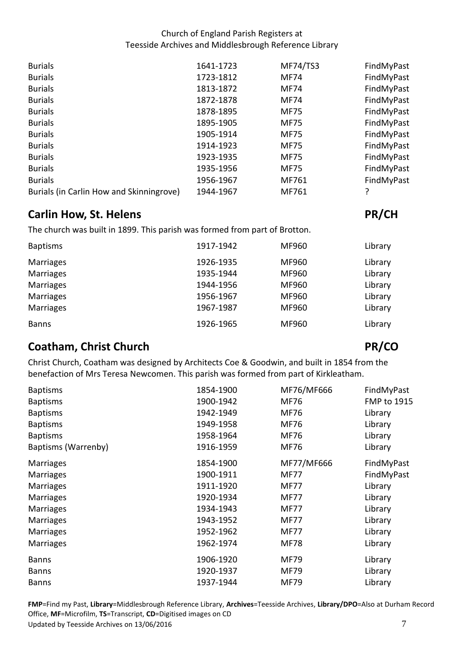| <b>Burials</b>                           | 1641-1723 | <b>MF74/TS3</b> | FindMyPast |
|------------------------------------------|-----------|-----------------|------------|
| <b>Burials</b>                           | 1723-1812 | <b>MF74</b>     | FindMyPast |
| <b>Burials</b>                           | 1813-1872 | <b>MF74</b>     | FindMyPast |
| <b>Burials</b>                           | 1872-1878 | <b>MF74</b>     | FindMyPast |
| <b>Burials</b>                           | 1878-1895 | <b>MF75</b>     | FindMyPast |
| <b>Burials</b>                           | 1895-1905 | <b>MF75</b>     | FindMyPast |
| <b>Burials</b>                           | 1905-1914 | <b>MF75</b>     | FindMyPast |
| <b>Burials</b>                           | 1914-1923 | <b>MF75</b>     | FindMyPast |
| <b>Burials</b>                           | 1923-1935 | <b>MF75</b>     | FindMyPast |
| <b>Burials</b>                           | 1935-1956 | <b>MF75</b>     | FindMyPast |
| <b>Burials</b>                           | 1956-1967 | MF761           | FindMyPast |
| Burials (in Carlin How and Skinningrove) | 1944-1967 | MF761           |            |

# <span id="page-6-0"></span>**Carlin How, St. Helens** PR/CH

The church was built in 1899. This parish was formed from part of Brotton.

| <b>Baptisms</b>  | 1917-1942 | MF960 | Library |
|------------------|-----------|-------|---------|
| Marriages        | 1926-1935 | MF960 | Library |
| <b>Marriages</b> | 1935-1944 | MF960 | Library |
| <b>Marriages</b> | 1944-1956 | MF960 | Library |
| <b>Marriages</b> | 1956-1967 | MF960 | Library |
| <b>Marriages</b> | 1967-1987 | MF960 | Library |
| <b>Banns</b>     | 1926-1965 | MF960 | Library |

# <span id="page-6-1"></span>**Coatham, Christ Church PR/CO PR/CO**

 Christ Church, Coatham was designed by Architects Coe & Goodwin, and built in 1854 from the benefaction of Mrs Teresa Newcomen. This parish was formed from part of Kirkleatham.

| <b>Baptisms</b>     | 1854-1900 | MF76/MF666  | FindMyPast         |
|---------------------|-----------|-------------|--------------------|
| <b>Baptisms</b>     | 1900-1942 | <b>MF76</b> | <b>FMP to 1915</b> |
| <b>Baptisms</b>     | 1942-1949 | <b>MF76</b> | Library            |
| <b>Baptisms</b>     | 1949-1958 | <b>MF76</b> | Library            |
| <b>Baptisms</b>     | 1958-1964 | <b>MF76</b> | Library            |
| Baptisms (Warrenby) | 1916-1959 | MF76        | Library            |
| <b>Marriages</b>    | 1854-1900 | MF77/MF666  | FindMyPast         |
| <b>Marriages</b>    | 1900-1911 | <b>MF77</b> | FindMyPast         |
| <b>Marriages</b>    | 1911-1920 | <b>MF77</b> | Library            |
| <b>Marriages</b>    | 1920-1934 | <b>MF77</b> | Library            |
| <b>Marriages</b>    | 1934-1943 | <b>MF77</b> | Library            |
| <b>Marriages</b>    | 1943-1952 | <b>MF77</b> | Library            |
| <b>Marriages</b>    | 1952-1962 | <b>MF77</b> | Library            |
| <b>Marriages</b>    | 1962-1974 | <b>MF78</b> | Library            |
| <b>Banns</b>        | 1906-1920 | <b>MF79</b> | Library            |
| <b>Banns</b>        | 1920-1937 | <b>MF79</b> | Library            |
| <b>Banns</b>        | 1937-1944 | <b>MF79</b> | Library            |

Office, **MF**=Microfilm, **TS**=Transcript, **CD**=Digitised images on CD<br>Updated by Teesside Archives on 13/06/2016 7 Updated by Teesside Archives on 13/06/2016 **FMP**=Find my Past, **Library**=Middlesbrough Reference Library, **Archives**=Teesside Archives, **Library/DPO**=Also at Durham Record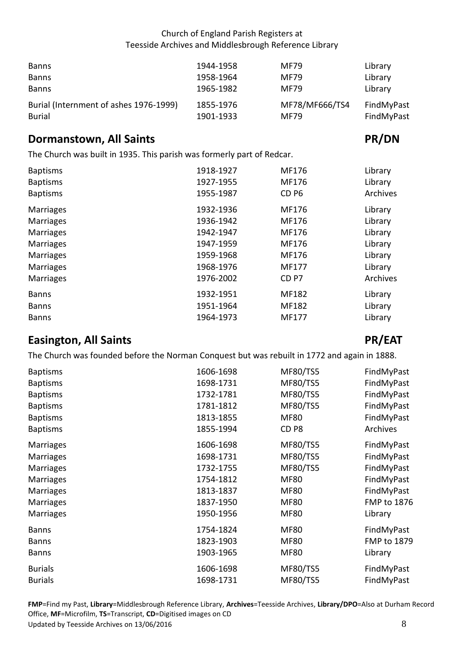| <b>Banns</b>                           | 1944-1958 | <b>MF79</b>    | Library    |
|----------------------------------------|-----------|----------------|------------|
| <b>Banns</b>                           | 1958-1964 | <b>MF79</b>    | Library    |
| <b>Banns</b>                           | 1965-1982 | <b>MF79</b>    | Library    |
| Burial (Internment of ashes 1976-1999) | 1855-1976 | MF78/MF666/TS4 | FindMyPast |
| <b>Burial</b>                          | 1901-1933 | <b>MF79</b>    | FindMyPast |

## <span id="page-7-0"></span>**Dormanstown, All Saints PR/DN**

The Church was built in 1935. This parish was formerly part of Redcar.

| 1918-1927 | MF176            | Library  |
|-----------|------------------|----------|
| 1927-1955 | MF176            | Library  |
| 1955-1987 | CD <sub>P6</sub> | Archives |
| 1932-1936 | MF176            | Library  |
| 1936-1942 | MF176            | Library  |
| 1942-1947 | MF176            | Library  |
| 1947-1959 | MF176            | Library  |
| 1959-1968 | MF176            | Library  |
| 1968-1976 | MF177            | Library  |
| 1976-2002 | CD <sub>P7</sub> | Archives |
| 1932-1951 | MF182            | Library  |
| 1951-1964 | MF182            | Library  |
| 1964-1973 | MF177            | Library  |
|           |                  |          |

# <span id="page-7-1"></span>**Easington, All Saints PR/EAT**

The Church was founded before the Norman Conquest but was rebuilt in 1772 and again in 1888.

| <b>Baptisms</b>  | 1606-1698 | <b>MF80/TS5</b>  | FindMyPast         |
|------------------|-----------|------------------|--------------------|
| <b>Baptisms</b>  | 1698-1731 | <b>MF80/TS5</b>  | FindMyPast         |
| <b>Baptisms</b>  | 1732-1781 | <b>MF80/TS5</b>  | FindMyPast         |
| <b>Baptisms</b>  | 1781-1812 | <b>MF80/TS5</b>  | FindMyPast         |
| <b>Baptisms</b>  | 1813-1855 | <b>MF80</b>      | FindMyPast         |
| <b>Baptisms</b>  | 1855-1994 | CD <sub>P8</sub> | Archives           |
| <b>Marriages</b> | 1606-1698 | <b>MF80/TS5</b>  | FindMyPast         |
| <b>Marriages</b> | 1698-1731 | <b>MF80/TS5</b>  | FindMyPast         |
| <b>Marriages</b> | 1732-1755 | <b>MF80/TS5</b>  | FindMyPast         |
| <b>Marriages</b> | 1754-1812 | <b>MF80</b>      | FindMyPast         |
| <b>Marriages</b> | 1813-1837 | <b>MF80</b>      | FindMyPast         |
| <b>Marriages</b> | 1837-1950 | <b>MF80</b>      | <b>FMP to 1876</b> |
| <b>Marriages</b> | 1950-1956 | <b>MF80</b>      | Library            |
| <b>Banns</b>     | 1754-1824 | <b>MF80</b>      | FindMyPast         |
| <b>Banns</b>     | 1823-1903 | <b>MF80</b>      | FMP to 1879        |
| <b>Banns</b>     | 1903-1965 | <b>MF80</b>      | Library            |
| <b>Burials</b>   | 1606-1698 | MF80/TS5         | FindMyPast         |
| <b>Burials</b>   | 1698-1731 | <b>MF80/TS5</b>  | FindMyPast         |
|                  |           |                  |                    |

### Office, **MF**=Microfilm, **TS**=Transcript, **CD**=Digitised images on CD<br>Updated by Teesside Archives on 13/06/2016 8 Updated by Teesside Archives on 13/06/2016 **FMP**=Find my Past, **Library**=Middlesbrough Reference Library, **Archives**=Teesside Archives, **Library/DPO**=Also at Durham Record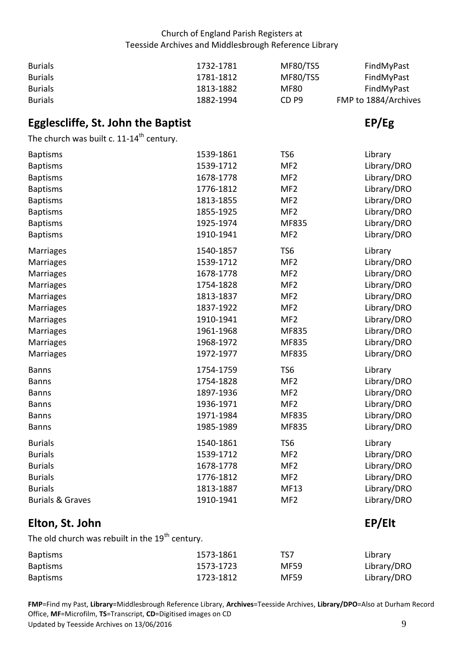| <b>Burials</b> | 1732-1781 | MF80/TS5         | FindMyPast           |
|----------------|-----------|------------------|----------------------|
| <b>Burials</b> | 1781-1812 | MF80/TS5         | FindMyPast           |
| <b>Burials</b> | 1813-1882 | MF80             | FindMyPast           |
| <b>Burials</b> | 1882-1994 | CD <sub>P9</sub> | FMP to 1884/Archives |

# <span id="page-8-0"></span>**Egglescliffe, St. John the Baptist EP/Eg in the EP/Eg in the EP/Eg**

The church was built c.  $11$ -14<sup>th</sup> century.

| <b>Baptisms</b>             | 1539-1861 | TS <sub>6</sub> | Library     |
|-----------------------------|-----------|-----------------|-------------|
| <b>Baptisms</b>             | 1539-1712 | MF <sub>2</sub> | Library/DRO |
| <b>Baptisms</b>             | 1678-1778 | MF <sub>2</sub> | Library/DRO |
| <b>Baptisms</b>             | 1776-1812 | MF <sub>2</sub> | Library/DRO |
| <b>Baptisms</b>             | 1813-1855 | MF <sub>2</sub> | Library/DRO |
| <b>Baptisms</b>             | 1855-1925 | MF <sub>2</sub> | Library/DRO |
| <b>Baptisms</b>             | 1925-1974 | MF835           | Library/DRO |
| <b>Baptisms</b>             | 1910-1941 | MF <sub>2</sub> | Library/DRO |
| <b>Marriages</b>            | 1540-1857 | TS <sub>6</sub> | Library     |
| <b>Marriages</b>            | 1539-1712 | MF <sub>2</sub> | Library/DRO |
| Marriages                   | 1678-1778 | MF <sub>2</sub> | Library/DRO |
| <b>Marriages</b>            | 1754-1828 | MF <sub>2</sub> | Library/DRO |
| Marriages                   | 1813-1837 | MF <sub>2</sub> | Library/DRO |
| <b>Marriages</b>            | 1837-1922 | MF <sub>2</sub> | Library/DRO |
| <b>Marriages</b>            | 1910-1941 | MF <sub>2</sub> | Library/DRO |
| Marriages                   | 1961-1968 | MF835           | Library/DRO |
| Marriages                   | 1968-1972 | MF835           | Library/DRO |
| Marriages                   | 1972-1977 | MF835           | Library/DRO |
| <b>Banns</b>                | 1754-1759 | TS <sub>6</sub> | Library     |
| <b>Banns</b>                | 1754-1828 | MF <sub>2</sub> | Library/DRO |
| <b>Banns</b>                | 1897-1936 | MF <sub>2</sub> | Library/DRO |
| <b>Banns</b>                | 1936-1971 | MF <sub>2</sub> | Library/DRO |
| <b>Banns</b>                | 1971-1984 | MF835           | Library/DRO |
| <b>Banns</b>                | 1985-1989 | MF835           | Library/DRO |
| <b>Burials</b>              | 1540-1861 | TS <sub>6</sub> | Library     |
| <b>Burials</b>              | 1539-1712 | MF <sub>2</sub> | Library/DRO |
| <b>Burials</b>              | 1678-1778 | MF <sub>2</sub> | Library/DRO |
| <b>Burials</b>              | 1776-1812 | MF <sub>2</sub> | Library/DRO |
| <b>Burials</b>              | 1813-1887 | <b>MF13</b>     | Library/DRO |
| <b>Burials &amp; Graves</b> | 1910-1941 | MF <sub>2</sub> | Library/DRO |
|                             |           |                 |             |

# <span id="page-8-1"></span>**Elton, St. John EP/Elt**

The old church was rebuilt in the 19<sup>th</sup> century.

| <b>Baptisms</b> | 1573-1861 | TS7         | Library     |
|-----------------|-----------|-------------|-------------|
| <b>Baptisms</b> | 1573-1723 | <b>MF59</b> | Library/DRO |
| <b>Baptisms</b> | 1723-1812 | <b>MF59</b> | Library/DRO |

Office, **MF**=Microfilm, **TS**=Transcript, **CD**=Digitised images on CD<br>Updated by Teesside Archives on 13/06/2016 9 Updated by Teesside Archives on 13/06/2016 **FMP**=Find my Past, **Library**=Middlesbrough Reference Library, **Archives**=Teesside Archives, **Library/DPO**=Also at Durham Record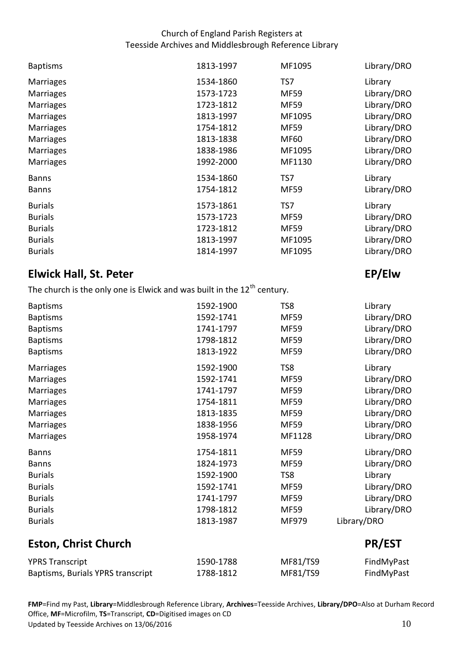| <b>Baptisms</b>  | 1813-1997 | MF1095      | Library/DRO |
|------------------|-----------|-------------|-------------|
| <b>Marriages</b> | 1534-1860 | TS7         | Library     |
| <b>Marriages</b> | 1573-1723 | <b>MF59</b> | Library/DRO |
| <b>Marriages</b> | 1723-1812 | <b>MF59</b> | Library/DRO |
| <b>Marriages</b> | 1813-1997 | MF1095      | Library/DRO |
| <b>Marriages</b> | 1754-1812 | <b>MF59</b> | Library/DRO |
| <b>Marriages</b> | 1813-1838 | <b>MF60</b> | Library/DRO |
| <b>Marriages</b> | 1838-1986 | MF1095      | Library/DRO |
| <b>Marriages</b> | 1992-2000 | MF1130      | Library/DRO |
| <b>Banns</b>     | 1534-1860 | TS7         | Library     |
| <b>Banns</b>     | 1754-1812 | <b>MF59</b> | Library/DRO |
| <b>Burials</b>   | 1573-1861 | TS7         | Library     |
| <b>Burials</b>   | 1573-1723 | <b>MF59</b> | Library/DRO |
| <b>Burials</b>   | 1723-1812 | <b>MF59</b> | Library/DRO |
| <b>Burials</b>   | 1813-1997 | MF1095      | Library/DRO |
| <b>Burials</b>   | 1814-1997 | MF1095      | Library/DRO |

# <span id="page-9-0"></span>**Elwick Hall, St. Peter EP/Elw 2018**

The church is the only one is Elwick and was built in the  $12^{th}$  century.

| <b>Baptisms</b>  | 1592-1900 | TS8         | Library     |
|------------------|-----------|-------------|-------------|
| <b>Baptisms</b>  | 1592-1741 | <b>MF59</b> | Library/DRO |
| <b>Baptisms</b>  | 1741-1797 | <b>MF59</b> | Library/DRO |
| <b>Baptisms</b>  | 1798-1812 | <b>MF59</b> | Library/DRO |
| <b>Baptisms</b>  | 1813-1922 | <b>MF59</b> | Library/DRO |
| Marriages        | 1592-1900 | TS8         | Library     |
| <b>Marriages</b> | 1592-1741 | <b>MF59</b> | Library/DRO |
| <b>Marriages</b> | 1741-1797 | <b>MF59</b> | Library/DRO |
| <b>Marriages</b> | 1754-1811 | <b>MF59</b> | Library/DRO |
| <b>Marriages</b> | 1813-1835 | <b>MF59</b> | Library/DRO |
| <b>Marriages</b> | 1838-1956 | <b>MF59</b> | Library/DRO |
| <b>Marriages</b> | 1958-1974 | MF1128      | Library/DRO |
| <b>Banns</b>     | 1754-1811 | <b>MF59</b> | Library/DRO |
| <b>Banns</b>     | 1824-1973 | <b>MF59</b> | Library/DRO |
| <b>Burials</b>   | 1592-1900 | TS8         | Library     |
| <b>Burials</b>   | 1592-1741 | <b>MF59</b> | Library/DRO |
| <b>Burials</b>   | 1741-1797 | <b>MF59</b> | Library/DRO |
| <b>Burials</b>   | 1798-1812 | MF59        | Library/DRO |
| <b>Burials</b>   | 1813-1987 | MF979       | Library/DRO |
|                  |           |             |             |

# <span id="page-9-1"></span>**Eston, Christ Church PR/EST**

| <b>YPRS Transcript</b>            | 1590-1788 | MF81/TS9 | FindMyPast |
|-----------------------------------|-----------|----------|------------|
| Baptisms, Burials YPRS transcript | 1788-1812 | MF81/TS9 | FindMyPast |

Office, **MF**=Microfilm, **TS**=Transcript, **CD**=Digitised images on CD<br>Updated by Teesside Archives on 13/06/2016 101 and the Updated by Teesside Archives on 10 Updated by Teesside Archives on 13/06/2016 **FMP**=Find my Past, **Library**=Middlesbrough Reference Library, **Archives**=Teesside Archives, **Library/DPO**=Also at Durham Record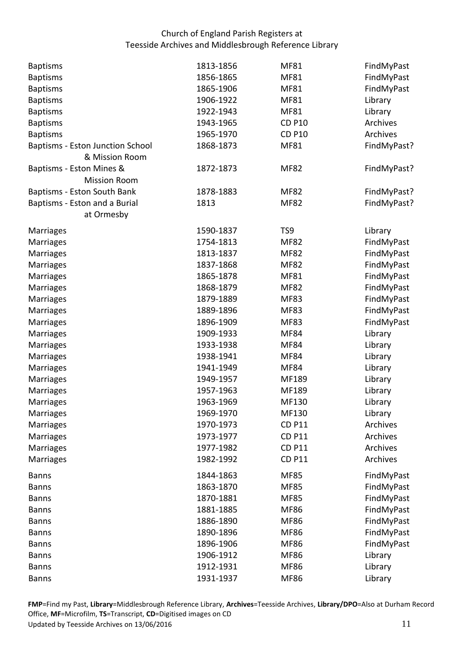| <b>Baptisms</b>                  | 1813-1856              | <b>MF81</b>                | FindMyPast  |
|----------------------------------|------------------------|----------------------------|-------------|
| <b>Baptisms</b>                  | 1856-1865              | <b>MF81</b>                | FindMyPast  |
| <b>Baptisms</b>                  | 1865-1906              | <b>MF81</b>                | FindMyPast  |
| <b>Baptisms</b>                  | 1906-1922              | <b>MF81</b>                | Library     |
| <b>Baptisms</b>                  | 1922-1943              | <b>MF81</b>                | Library     |
| <b>Baptisms</b>                  | 1943-1965              | <b>CD P10</b>              | Archives    |
| <b>Baptisms</b>                  | 1965-1970              | <b>CD P10</b>              | Archives    |
| Baptisms - Eston Junction School | 1868-1873              | <b>MF81</b>                | FindMyPast? |
| & Mission Room                   |                        |                            |             |
| Baptisms - Eston Mines &         | 1872-1873              | <b>MF82</b>                | FindMyPast? |
| <b>Mission Room</b>              |                        |                            |             |
| Baptisms - Eston South Bank      | 1878-1883              | <b>MF82</b>                | FindMyPast? |
| Baptisms - Eston and a Burial    | 1813                   | <b>MF82</b>                | FindMyPast? |
| at Ormesby                       |                        |                            |             |
| Marriages                        | 1590-1837              | TS9                        | Library     |
| Marriages                        | 1754-1813              | <b>MF82</b>                | FindMyPast  |
| Marriages                        | 1813-1837              | <b>MF82</b>                | FindMyPast  |
| <b>Marriages</b>                 | 1837-1868              | <b>MF82</b>                | FindMyPast  |
| <b>Marriages</b>                 | 1865-1878              | <b>MF81</b>                | FindMyPast  |
| <b>Marriages</b>                 | 1868-1879              | <b>MF82</b>                | FindMyPast  |
| <b>Marriages</b>                 | 1879-1889              | <b>MF83</b>                | FindMyPast  |
| Marriages                        | 1889-1896              | <b>MF83</b>                | FindMyPast  |
| Marriages                        | 1896-1909              | <b>MF83</b>                | FindMyPast  |
| Marriages                        | 1909-1933              | <b>MF84</b>                | Library     |
| Marriages                        | 1933-1938              | <b>MF84</b>                | Library     |
| Marriages                        | 1938-1941              | <b>MF84</b>                | Library     |
| Marriages                        | 1941-1949              | <b>MF84</b>                | Library     |
| Marriages                        | 1949-1957              | MF189                      | Library     |
| <b>Marriages</b>                 | 1957-1963              | MF189                      | Library     |
| <b>Marriages</b>                 | 1963-1969              | MF130                      | Library     |
| Marriages                        | 1969-1970              | MF130                      | Library     |
| <b>Marriages</b>                 | 1970-1973              | <b>CD P11</b>              | Archives    |
| <b>Marriages</b>                 | 1973-1977              | <b>CD P11</b>              | Archives    |
| Marriages                        | 1977-1982              | <b>CD P11</b>              | Archives    |
| Marriages                        | 1982-1992              | <b>CD P11</b>              | Archives    |
| <b>Banns</b>                     | 1844-1863              | <b>MF85</b>                | FindMyPast  |
| <b>Banns</b>                     | 1863-1870              | <b>MF85</b>                | FindMyPast  |
| <b>Banns</b>                     | 1870-1881              | <b>MF85</b>                | FindMyPast  |
| <b>Banns</b>                     | 1881-1885              | <b>MF86</b>                | FindMyPast  |
| <b>Banns</b>                     | 1886-1890              | <b>MF86</b>                | FindMyPast  |
|                                  |                        |                            |             |
| <b>Banns</b>                     | 1890-1896<br>1896-1906 | <b>MF86</b><br><b>MF86</b> | FindMyPast  |
| <b>Banns</b>                     |                        |                            | FindMyPast  |
| <b>Banns</b>                     | 1906-1912              | <b>MF86</b>                | Library     |
| <b>Banns</b>                     | 1912-1931              | <b>MF86</b>                | Library     |
| <b>Banns</b>                     | 1931-1937              | <b>MF86</b>                | Library     |

Office, **MF**=Microfilm, **TS**=Transcript, **CD**=Digitised images on CD<br>Updated by Teesside Archives on 13/06/2016 11 Updated by Teesside Archives on 13/06/2016 **FMP**=Find my Past, **Library**=Middlesbrough Reference Library, **Archives**=Teesside Archives, **Library/DPO**=Also at Durham Record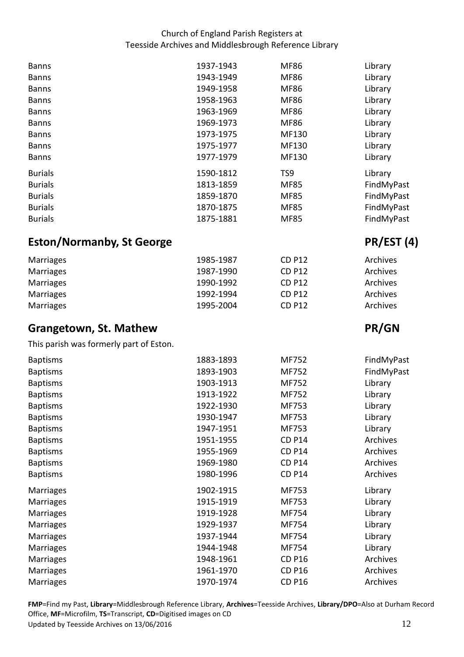<span id="page-11-1"></span><span id="page-11-0"></span>

| <b>Banns</b>                            | 1937-1943 | <b>MF86</b>   | Library    |
|-----------------------------------------|-----------|---------------|------------|
| <b>Banns</b>                            | 1943-1949 | <b>MF86</b>   | Library    |
| <b>Banns</b>                            | 1949-1958 | <b>MF86</b>   | Library    |
| <b>Banns</b>                            | 1958-1963 | <b>MF86</b>   | Library    |
| <b>Banns</b>                            | 1963-1969 | <b>MF86</b>   | Library    |
| <b>Banns</b>                            | 1969-1973 | <b>MF86</b>   | Library    |
| <b>Banns</b>                            | 1973-1975 | MF130         | Library    |
| <b>Banns</b>                            | 1975-1977 | MF130         | Library    |
| <b>Banns</b>                            | 1977-1979 | MF130         | Library    |
| <b>Burials</b>                          | 1590-1812 | TS9           | Library    |
| <b>Burials</b>                          | 1813-1859 | <b>MF85</b>   | FindMyPast |
| <b>Burials</b>                          | 1859-1870 | <b>MF85</b>   | FindMyPast |
| <b>Burials</b>                          | 1870-1875 | <b>MF85</b>   | FindMyPast |
| <b>Burials</b>                          | 1875-1881 | <b>MF85</b>   | FindMyPast |
| <b>Eston/Normanby, St George</b>        |           |               | PR/EST (4) |
| <b>Marriages</b>                        | 1985-1987 | <b>CD P12</b> | Archives   |
| <b>Marriages</b>                        | 1987-1990 | <b>CD P12</b> | Archives   |
| <b>Marriages</b>                        | 1990-1992 | <b>CD P12</b> | Archives   |
| <b>Marriages</b>                        | 1992-1994 | <b>CD P12</b> | Archives   |
| Marriages                               | 1995-2004 | <b>CD P12</b> | Archives   |
|                                         |           |               |            |
|                                         |           |               |            |
| <b>Grangetown, St. Mathew</b>           |           |               | PR/GN      |
| This parish was formerly part of Eston. |           |               |            |
| <b>Baptisms</b>                         | 1883-1893 | MF752         | FindMyPast |
| <b>Baptisms</b>                         | 1893-1903 | MF752         | FindMyPast |
| <b>Baptisms</b>                         | 1903-1913 | MF752         | Library    |
| <b>Baptisms</b>                         | 1913-1922 | MF752         | Library    |
| <b>Baptisms</b>                         | 1922-1930 | MF753         | Library    |
| <b>Baptisms</b>                         | 1930-1947 | MF753         | Library    |
| <b>Baptisms</b>                         | 1947-1951 | MF753         | Library    |
| <b>Baptisms</b>                         | 1951-1955 | <b>CD P14</b> | Archives   |
| <b>Baptisms</b>                         | 1955-1969 | <b>CD P14</b> | Archives   |
| <b>Baptisms</b>                         | 1969-1980 | <b>CD P14</b> | Archives   |
| <b>Baptisms</b>                         | 1980-1996 | <b>CD P14</b> | Archives   |
| <b>Marriages</b>                        | 1902-1915 | MF753         | Library    |
| <b>Marriages</b>                        | 1915-1919 | MF753         | Library    |
| <b>Marriages</b>                        | 1919-1928 | MF754         | Library    |
| Marriages                               | 1929-1937 | MF754         | Library    |
| Marriages                               | 1937-1944 | MF754         | Library    |
| Marriages                               | 1944-1948 | MF754         | Library    |
| Marriages                               | 1948-1961 | <b>CD P16</b> | Archives   |
| Marriages                               | 1961-1970 | <b>CD P16</b> | Archives   |

Office, **MF**=Microfilm, **TS**=Transcript, **CD**=Digitised images on CD<br>Updated by Teesside Archives on 13/06/2016 12 Updated by Teesside Archives on 13/06/2016 **FMP**=Find my Past, **Library**=Middlesbrough Reference Library, **Archives**=Teesside Archives, **Library/DPO**=Also at Durham Record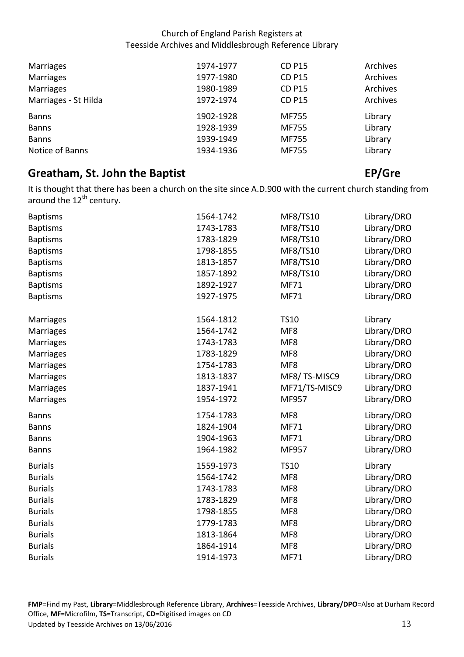| <b>Marriages</b>     | 1974-1977 | <b>CD P15</b> | Archives |
|----------------------|-----------|---------------|----------|
| <b>Marriages</b>     | 1977-1980 | <b>CD P15</b> | Archives |
| <b>Marriages</b>     | 1980-1989 | <b>CD P15</b> | Archives |
| Marriages - St Hilda | 1972-1974 | <b>CD P15</b> | Archives |
| <b>Banns</b>         | 1902-1928 | <b>MF755</b>  | Library  |
| <b>Banns</b>         | 1928-1939 | <b>MF755</b>  | Library  |
| <b>Banns</b>         | 1939-1949 | MF755         | Library  |
| Notice of Banns      | 1934-1936 | <b>MF755</b>  | Library  |

# <span id="page-12-0"></span>**Greatham, St. John the Baptist EP/Greet Construction CEP/Greet Construction CEP/Greet CEP/Greet Construction CEP/Gre**

 It is thought that there has been a church on the site since A.D.900 with the current church standing from around the 12<sup>th</sup> century.

| <b>Baptisms</b>  | 1564-1742 | MF8/TS10        | Library/DRO |
|------------------|-----------|-----------------|-------------|
| <b>Baptisms</b>  | 1743-1783 | MF8/TS10        | Library/DRO |
| <b>Baptisms</b>  | 1783-1829 | MF8/TS10        | Library/DRO |
| <b>Baptisms</b>  | 1798-1855 | MF8/TS10        | Library/DRO |
| <b>Baptisms</b>  | 1813-1857 | MF8/TS10        | Library/DRO |
| <b>Baptisms</b>  | 1857-1892 | MF8/TS10        | Library/DRO |
| <b>Baptisms</b>  | 1892-1927 | <b>MF71</b>     | Library/DRO |
| <b>Baptisms</b>  | 1927-1975 | <b>MF71</b>     | Library/DRO |
| <b>Marriages</b> | 1564-1812 | <b>TS10</b>     | Library     |
| <b>Marriages</b> | 1564-1742 | MF8             | Library/DRO |
| Marriages        | 1743-1783 | MF8             | Library/DRO |
| <b>Marriages</b> | 1783-1829 | MF8             | Library/DRO |
| <b>Marriages</b> | 1754-1783 | MF8             | Library/DRO |
| <b>Marriages</b> | 1813-1837 | MF8/TS-MISC9    | Library/DRO |
| <b>Marriages</b> | 1837-1941 | MF71/TS-MISC9   | Library/DRO |
| <b>Marriages</b> | 1954-1972 | MF957           | Library/DRO |
| <b>Banns</b>     | 1754-1783 | MF8             | Library/DRO |
| <b>Banns</b>     | 1824-1904 | MF71            | Library/DRO |
| <b>Banns</b>     | 1904-1963 | MF71            | Library/DRO |
| <b>Banns</b>     | 1964-1982 | MF957           | Library/DRO |
| <b>Burials</b>   | 1559-1973 | <b>TS10</b>     | Library     |
| <b>Burials</b>   | 1564-1742 | MF8             | Library/DRO |
| <b>Burials</b>   | 1743-1783 | MF8             | Library/DRO |
| <b>Burials</b>   | 1783-1829 | MF8             | Library/DRO |
| <b>Burials</b>   | 1798-1855 | MF8             | Library/DRO |
| <b>Burials</b>   | 1779-1783 | MF8             | Library/DRO |
| <b>Burials</b>   | 1813-1864 | MF8             | Library/DRO |
| <b>Burials</b>   | 1864-1914 | MF <sub>8</sub> | Library/DRO |
| <b>Burials</b>   | 1914-1973 | <b>MF71</b>     | Library/DRO |

Office, **MF**=Microfilm, **TS**=Transcript, **CD**=Digitised images on CD<br>Updated by Teesside Archives on 13/06/2016 13 Updated by Teesside Archives on 13/06/2016 **FMP**=Find my Past, **Library**=Middlesbrough Reference Library, **Archives**=Teesside Archives, **Library/DPO**=Also at Durham Record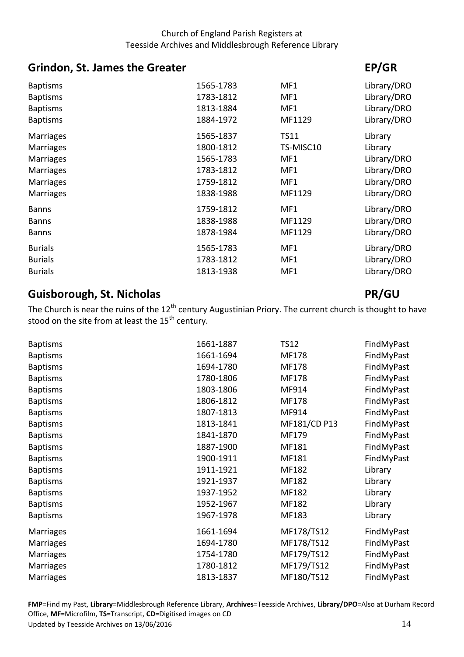# <span id="page-13-0"></span>**Grindon, St. James the Greater EP/GR EP/GR**

| <b>Baptisms</b>  | 1565-1783 | MF1         | Library/DRO |
|------------------|-----------|-------------|-------------|
| <b>Baptisms</b>  | 1783-1812 | MF1         | Library/DRO |
| <b>Baptisms</b>  | 1813-1884 | MF1         | Library/DRO |
| <b>Baptisms</b>  | 1884-1972 | MF1129      | Library/DRO |
| <b>Marriages</b> | 1565-1837 | <b>TS11</b> | Library     |
| <b>Marriages</b> | 1800-1812 | TS-MISC10   | Library     |
| <b>Marriages</b> | 1565-1783 | MF1         | Library/DRO |
| <b>Marriages</b> | 1783-1812 | MF1         | Library/DRO |
| <b>Marriages</b> | 1759-1812 | MF1         | Library/DRO |
| <b>Marriages</b> | 1838-1988 | MF1129      | Library/DRO |
| <b>Banns</b>     | 1759-1812 | MF1         | Library/DRO |
| <b>Banns</b>     | 1838-1988 | MF1129      | Library/DRO |
| <b>Banns</b>     | 1878-1984 | MF1129      | Library/DRO |
| <b>Burials</b>   | 1565-1783 | MF1         | Library/DRO |
| <b>Burials</b>   | 1783-1812 | MF1         | Library/DRO |
| <b>Burials</b>   | 1813-1938 | MF1         | Library/DRO |
|                  |           |             |             |

# <span id="page-13-1"></span> **Guisborough, St. Nicholas PR/GU**

The Church is near the ruins of the 12<sup>th</sup> century Augustinian Priory. The current church is thought to have stood on the site from at least the  $15^{th}$  century.

| <b>Baptisms</b> | 1661-1887 | <b>TS12</b>  | FindMyPast |
|-----------------|-----------|--------------|------------|
| <b>Baptisms</b> | 1661-1694 | MF178        | FindMyPast |
| <b>Baptisms</b> | 1694-1780 | MF178        | FindMyPast |
| <b>Baptisms</b> | 1780-1806 | MF178        | FindMyPast |
| <b>Baptisms</b> | 1803-1806 | MF914        | FindMyPast |
| <b>Baptisms</b> | 1806-1812 | <b>MF178</b> | FindMyPast |
| <b>Baptisms</b> | 1807-1813 | MF914        | FindMyPast |
| <b>Baptisms</b> | 1813-1841 | MF181/CD P13 | FindMyPast |
| <b>Baptisms</b> | 1841-1870 | MF179        | FindMyPast |
| <b>Baptisms</b> | 1887-1900 | MF181        | FindMyPast |
| <b>Baptisms</b> | 1900-1911 | MF181        | FindMyPast |
| <b>Baptisms</b> | 1911-1921 | MF182        | Library    |
| <b>Baptisms</b> | 1921-1937 | MF182        | Library    |
| <b>Baptisms</b> | 1937-1952 | MF182        | Library    |
| <b>Baptisms</b> | 1952-1967 | MF182        | Library    |
| <b>Baptisms</b> | 1967-1978 | MF183        | Library    |
| Marriages       | 1661-1694 | MF178/TS12   | FindMyPast |
| Marriages       | 1694-1780 | MF178/TS12   | FindMyPast |
| Marriages       | 1754-1780 | MF179/TS12   | FindMyPast |
| Marriages       | 1780-1812 | MF179/TS12   | FindMyPast |
| Marriages       | 1813-1837 | MF180/TS12   | FindMyPast |

Office, **MF**=Microfilm, **TS**=Transcript, **CD**=Digitised images on CD<br>Updated by Teesside Archives on 13/06/2016 14 Updated by Teesside Archives on 13/06/2016 **FMP**=Find my Past, **Library**=Middlesbrough Reference Library, **Archives**=Teesside Archives, **Library/DPO**=Also at Durham Record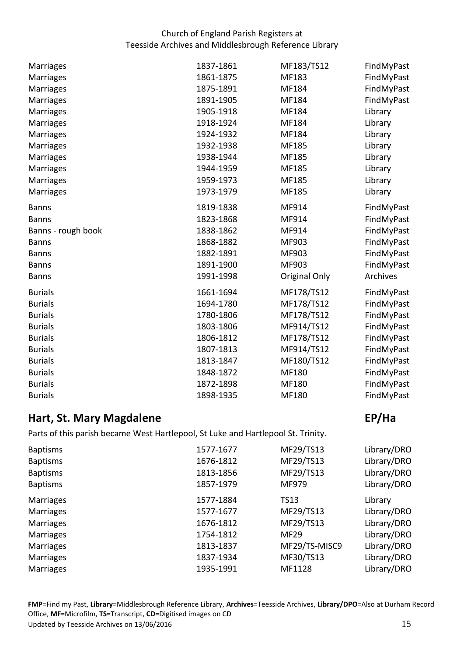| Marriages          | 1837-1861 | MF183/TS12    | FindMyPast |
|--------------------|-----------|---------------|------------|
| Marriages          | 1861-1875 | MF183         | FindMyPast |
| Marriages          | 1875-1891 | MF184         | FindMyPast |
| Marriages          | 1891-1905 | MF184         | FindMyPast |
| <b>Marriages</b>   | 1905-1918 | MF184         | Library    |
| <b>Marriages</b>   | 1918-1924 | MF184         | Library    |
| <b>Marriages</b>   | 1924-1932 | MF184         | Library    |
| Marriages          | 1932-1938 | MF185         | Library    |
| Marriages          | 1938-1944 | MF185         | Library    |
| Marriages          | 1944-1959 | MF185         | Library    |
| Marriages          | 1959-1973 | MF185         | Library    |
| <b>Marriages</b>   | 1973-1979 | MF185         | Library    |
| <b>Banns</b>       | 1819-1838 | MF914         | FindMyPast |
| <b>Banns</b>       | 1823-1868 | MF914         | FindMyPast |
| Banns - rough book | 1838-1862 | MF914         | FindMyPast |
| <b>Banns</b>       | 1868-1882 | MF903         | FindMyPast |
| <b>Banns</b>       | 1882-1891 | MF903         | FindMyPast |
| <b>Banns</b>       | 1891-1900 | MF903         | FindMyPast |
| <b>Banns</b>       | 1991-1998 | Original Only | Archives   |
| <b>Burials</b>     | 1661-1694 | MF178/TS12    | FindMyPast |
| <b>Burials</b>     | 1694-1780 | MF178/TS12    | FindMyPast |
| <b>Burials</b>     | 1780-1806 | MF178/TS12    | FindMyPast |
| <b>Burials</b>     | 1803-1806 | MF914/TS12    | FindMyPast |
| <b>Burials</b>     | 1806-1812 | MF178/TS12    | FindMyPast |
| <b>Burials</b>     | 1807-1813 | MF914/TS12    | FindMyPast |
| <b>Burials</b>     | 1813-1847 | MF180/TS12    | FindMyPast |
| <b>Burials</b>     | 1848-1872 | MF180         | FindMyPast |
| <b>Burials</b>     | 1872-1898 | MF180         | FindMyPast |
| <b>Burials</b>     | 1898-1935 | MF180         | FindMyPast |

# <span id="page-14-0"></span>*EP/Ha* **EP/Ha**

Parts of this parish became West Hartlepool, St Luke and Hartlepool St. Trinity.

| <b>Baptisms</b>  | 1577-1677 | MF29/TS13     | Library/DRO |
|------------------|-----------|---------------|-------------|
| <b>Baptisms</b>  | 1676-1812 | MF29/TS13     | Library/DRO |
| <b>Baptisms</b>  | 1813-1856 | MF29/TS13     | Library/DRO |
| <b>Baptisms</b>  | 1857-1979 | MF979         | Library/DRO |
| <b>Marriages</b> | 1577-1884 | <b>TS13</b>   | Library     |
| <b>Marriages</b> | 1577-1677 | MF29/TS13     | Library/DRO |
| <b>Marriages</b> | 1676-1812 | MF29/TS13     | Library/DRO |
| <b>Marriages</b> | 1754-1812 | <b>MF29</b>   | Library/DRO |
| <b>Marriages</b> | 1813-1837 | MF29/TS-MISC9 | Library/DRO |
| <b>Marriages</b> | 1837-1934 | MF30/TS13     | Library/DRO |
| Marriages        | 1935-1991 | MF1128        | Library/DRO |

Office, **MF**=Microfilm, **TS**=Transcript, **CD**=Digitised images on CD<br>Updated by Teesside Archives on 13/06/2016 15 Updated by Teesside Archives on 13/06/2016 **FMP**=Find my Past, **Library**=Middlesbrough Reference Library, **Archives**=Teesside Archives, **Library/DPO**=Also at Durham Record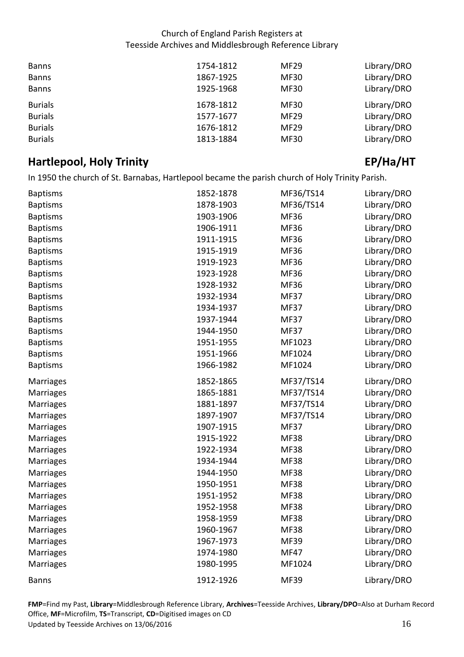| <b>Banns</b>   | 1754-1812 | <b>MF29</b> | Library/DRO |
|----------------|-----------|-------------|-------------|
| <b>Banns</b>   | 1867-1925 | <b>MF30</b> | Library/DRO |
| <b>Banns</b>   | 1925-1968 | <b>MF30</b> | Library/DRO |
| <b>Burials</b> | 1678-1812 | MF30        | Library/DRO |
| <b>Burials</b> | 1577-1677 | <b>MF29</b> | Library/DRO |
| <b>Burials</b> | 1676-1812 | <b>MF29</b> | Library/DRO |
| <b>Burials</b> | 1813-1884 | <b>MF30</b> | Library/DRO |

# <span id="page-15-0"></span>**A Hartlepool, Holy Trinity EP/Ha/HT**

In 1950 the church of St. Barnabas, Hartlepool became the parish church of Holy Trinity Parish.

| <b>Baptisms</b>  | 1852-1878 | MF36/TS14   | Library/DRO |
|------------------|-----------|-------------|-------------|
| <b>Baptisms</b>  | 1878-1903 | MF36/TS14   | Library/DRO |
| <b>Baptisms</b>  | 1903-1906 | MF36        | Library/DRO |
| <b>Baptisms</b>  | 1906-1911 | MF36        | Library/DRO |
| <b>Baptisms</b>  | 1911-1915 | MF36        | Library/DRO |
| <b>Baptisms</b>  | 1915-1919 | <b>MF36</b> | Library/DRO |
| <b>Baptisms</b>  | 1919-1923 | <b>MF36</b> | Library/DRO |
| <b>Baptisms</b>  | 1923-1928 | <b>MF36</b> | Library/DRO |
| <b>Baptisms</b>  | 1928-1932 | <b>MF36</b> | Library/DRO |
| <b>Baptisms</b>  | 1932-1934 | <b>MF37</b> | Library/DRO |
| <b>Baptisms</b>  | 1934-1937 | <b>MF37</b> | Library/DRO |
| <b>Baptisms</b>  | 1937-1944 | <b>MF37</b> | Library/DRO |
| <b>Baptisms</b>  | 1944-1950 | <b>MF37</b> | Library/DRO |
| <b>Baptisms</b>  | 1951-1955 | MF1023      | Library/DRO |
| <b>Baptisms</b>  | 1951-1966 | MF1024      | Library/DRO |
| <b>Baptisms</b>  | 1966-1982 | MF1024      | Library/DRO |
| Marriages        | 1852-1865 | MF37/TS14   | Library/DRO |
| <b>Marriages</b> | 1865-1881 | MF37/TS14   | Library/DRO |
| <b>Marriages</b> | 1881-1897 | MF37/TS14   | Library/DRO |
| <b>Marriages</b> | 1897-1907 | MF37/TS14   | Library/DRO |
| <b>Marriages</b> | 1907-1915 | <b>MF37</b> | Library/DRO |
| Marriages        | 1915-1922 | <b>MF38</b> | Library/DRO |
| Marriages        | 1922-1934 | <b>MF38</b> | Library/DRO |
| Marriages        | 1934-1944 | <b>MF38</b> | Library/DRO |
| Marriages        | 1944-1950 | <b>MF38</b> | Library/DRO |
| Marriages        | 1950-1951 | <b>MF38</b> | Library/DRO |
| Marriages        | 1951-1952 | <b>MF38</b> | Library/DRO |
| <b>Marriages</b> | 1952-1958 | <b>MF38</b> | Library/DRO |
| <b>Marriages</b> | 1958-1959 | <b>MF38</b> | Library/DRO |
| Marriages        | 1960-1967 | <b>MF38</b> | Library/DRO |
| Marriages        | 1967-1973 | <b>MF39</b> | Library/DRO |
| <b>Marriages</b> | 1974-1980 | <b>MF47</b> | Library/DRO |
| Marriages        | 1980-1995 | MF1024      | Library/DRO |
| <b>Banns</b>     | 1912-1926 | <b>MF39</b> | Library/DRO |

Office, **MF**=Microfilm, **TS**=Transcript, **CD**=Digitised images on CD<br>Updated by Teesside Archives on 13/06/2016 16 Updated by Teesside Archives on 13/06/2016 **FMP**=Find my Past, **Library**=Middlesbrough Reference Library, **Archives**=Teesside Archives, **Library/DPO**=Also at Durham Record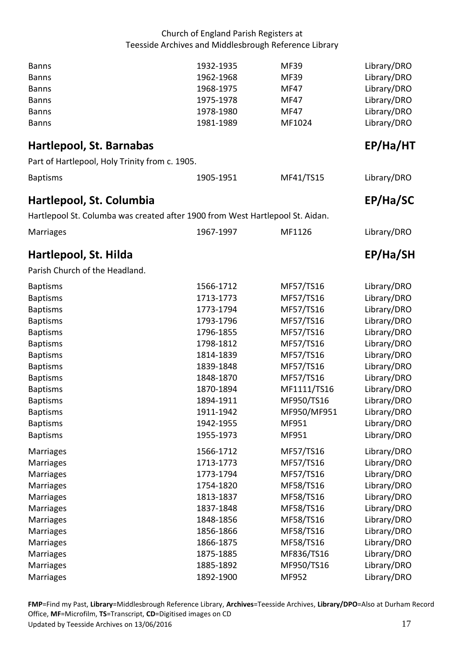<span id="page-16-2"></span><span id="page-16-1"></span><span id="page-16-0"></span>

| <b>Banns</b><br><b>Banns</b><br><b>Banns</b><br><b>Banns</b><br><b>Banns</b><br><b>Banns</b> | 1932-1935<br>1962-1968<br>1968-1975<br>1975-1978<br>1978-1980<br>1981-1989 | <b>MF39</b><br><b>MF39</b><br><b>MF47</b><br><b>MF47</b><br><b>MF47</b><br>MF1024 | Library/DRO<br>Library/DRO<br>Library/DRO<br>Library/DRO<br>Library/DRO<br>Library/DRO |
|----------------------------------------------------------------------------------------------|----------------------------------------------------------------------------|-----------------------------------------------------------------------------------|----------------------------------------------------------------------------------------|
| Hartlepool, St. Barnabas                                                                     |                                                                            |                                                                                   | EP/Ha/HT                                                                               |
| Part of Hartlepool, Holy Trinity from c. 1905.                                               |                                                                            |                                                                                   |                                                                                        |
| <b>Baptisms</b>                                                                              | 1905-1951                                                                  | MF41/TS15                                                                         | Library/DRO                                                                            |
| Hartlepool, St. Columbia                                                                     |                                                                            |                                                                                   | EP/Ha/SC                                                                               |
| Hartlepool St. Columba was created after 1900 from West Hartlepool St. Aidan.                |                                                                            |                                                                                   |                                                                                        |
| <b>Marriages</b>                                                                             | 1967-1997                                                                  | MF1126                                                                            | Library/DRO                                                                            |
| Hartlepool, St. Hilda                                                                        |                                                                            |                                                                                   | EP/Ha/SH                                                                               |
| Parish Church of the Headland.                                                               |                                                                            |                                                                                   |                                                                                        |
| <b>Baptisms</b>                                                                              | 1566-1712                                                                  | MF57/TS16                                                                         | Library/DRO                                                                            |
| <b>Baptisms</b>                                                                              | 1713-1773                                                                  | MF57/TS16                                                                         | Library/DRO                                                                            |
| <b>Baptisms</b>                                                                              | 1773-1794                                                                  | MF57/TS16                                                                         | Library/DRO                                                                            |
| <b>Baptisms</b>                                                                              | 1793-1796                                                                  | MF57/TS16                                                                         | Library/DRO                                                                            |
| <b>Baptisms</b>                                                                              | 1796-1855                                                                  | MF57/TS16                                                                         | Library/DRO                                                                            |
| <b>Baptisms</b>                                                                              | 1798-1812                                                                  | MF57/TS16                                                                         | Library/DRO                                                                            |
| <b>Baptisms</b>                                                                              | 1814-1839                                                                  | MF57/TS16                                                                         | Library/DRO                                                                            |
| <b>Baptisms</b>                                                                              | 1839-1848                                                                  | MF57/TS16                                                                         | Library/DRO                                                                            |
| <b>Baptisms</b>                                                                              | 1848-1870                                                                  | MF57/TS16                                                                         | Library/DRO                                                                            |
| <b>Baptisms</b>                                                                              | 1870-1894                                                                  | MF1111/TS16                                                                       | Library/DRO                                                                            |
| <b>Baptisms</b>                                                                              | 1894-1911                                                                  | MF950/TS16                                                                        | Library/DRO                                                                            |
| <b>Baptisms</b>                                                                              | 1911-1942                                                                  | MF950/MF951                                                                       | Library/DRO                                                                            |
| <b>Baptisms</b>                                                                              | 1942-1955                                                                  | MF951                                                                             | Library/DRO                                                                            |
| <b>Baptisms</b>                                                                              | 1955-1973                                                                  | MF951                                                                             | Library/DRO                                                                            |
| Marriages                                                                                    | 1566-1712                                                                  | MF57/TS16                                                                         | Library/DRO                                                                            |
| Marriages                                                                                    | 1713-1773                                                                  | MF57/TS16                                                                         | Library/DRO                                                                            |
| <b>Marriages</b>                                                                             | 1773-1794                                                                  | MF57/TS16                                                                         | Library/DRO                                                                            |
| <b>Marriages</b>                                                                             | 1754-1820                                                                  | MF58/TS16                                                                         | Library/DRO                                                                            |
| <b>Marriages</b>                                                                             | 1813-1837                                                                  | MF58/TS16                                                                         | Library/DRO                                                                            |
| Marriages                                                                                    | 1837-1848                                                                  | MF58/TS16                                                                         | Library/DRO                                                                            |
| <b>Marriages</b>                                                                             | 1848-1856                                                                  | MF58/TS16                                                                         | Library/DRO                                                                            |
| <b>Marriages</b>                                                                             | 1856-1866                                                                  | MF58/TS16                                                                         | Library/DRO                                                                            |
| <b>Marriages</b>                                                                             | 1866-1875                                                                  | MF58/TS16                                                                         | Library/DRO                                                                            |
| <b>Marriages</b>                                                                             | 1875-1885                                                                  | MF836/TS16                                                                        | Library/DRO                                                                            |
| <b>Marriages</b>                                                                             | 1885-1892                                                                  | MF950/TS16                                                                        | Library/DRO                                                                            |
| Marriages                                                                                    | 1892-1900                                                                  | MF952                                                                             | Library/DRO                                                                            |

Office, **MF**=Microfilm, **TS**=Transcript, **CD**=Digitised images on CD<br>Updated by Teesside Archives on 13/06/2016 17 Updated by Teesside Archives on 13/06/2016 **FMP**=Find my Past, **Library**=Middlesbrough Reference Library, **Archives**=Teesside Archives, **Library/DPO**=Also at Durham Record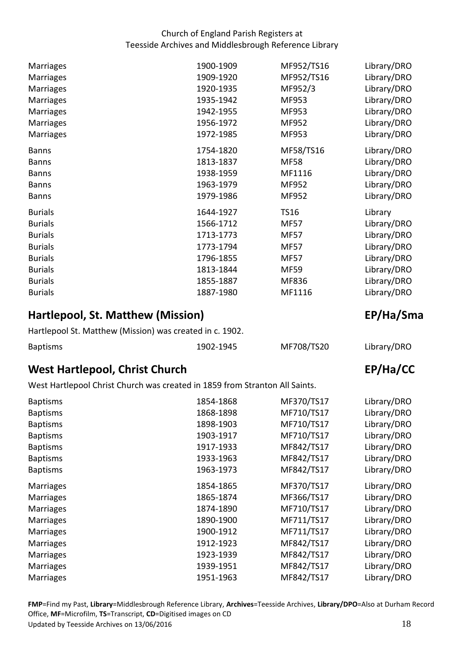| Marriages        | 1900-1909 | MF952/TS16  | Library/DRO |
|------------------|-----------|-------------|-------------|
| <b>Marriages</b> | 1909-1920 | MF952/TS16  | Library/DRO |
| <b>Marriages</b> | 1920-1935 | MF952/3     | Library/DRO |
| <b>Marriages</b> | 1935-1942 | MF953       | Library/DRO |
| <b>Marriages</b> | 1942-1955 | MF953       | Library/DRO |
| Marriages        | 1956-1972 | MF952       | Library/DRO |
| <b>Marriages</b> | 1972-1985 | MF953       | Library/DRO |
| <b>Banns</b>     | 1754-1820 | MF58/TS16   | Library/DRO |
| <b>Banns</b>     | 1813-1837 | <b>MF58</b> | Library/DRO |
| <b>Banns</b>     | 1938-1959 | MF1116      | Library/DRO |
| <b>Banns</b>     | 1963-1979 | MF952       | Library/DRO |
| <b>Banns</b>     | 1979-1986 | MF952       | Library/DRO |
| <b>Burials</b>   | 1644-1927 | <b>TS16</b> | Library     |
| <b>Burials</b>   | 1566-1712 | <b>MF57</b> | Library/DRO |
| <b>Burials</b>   | 1713-1773 | <b>MF57</b> | Library/DRO |
| <b>Burials</b>   | 1773-1794 | <b>MF57</b> | Library/DRO |
| <b>Burials</b>   | 1796-1855 | <b>MF57</b> | Library/DRO |
| <b>Burials</b>   | 1813-1844 | <b>MF59</b> | Library/DRO |
| <b>Burials</b>   | 1855-1887 | MF836       | Library/DRO |
| <b>Burials</b>   | 1887-1980 | MF1116      | Library/DRO |

# <span id="page-17-0"></span>**Hartlepool, St. Matthew (Mission)** EP/Ha/Sma

| Hartlepool St. Matthew (Mission) was created in c. 1902. |           |            |             |
|----------------------------------------------------------|-----------|------------|-------------|
| <b>Baptisms</b>                                          | 1902-1945 | MF708/TS20 | Library/DRO |

# <span id="page-17-1"></span>**West Hartlepool, Christ Church EP/Ha/CC**  EP/Ha/CC

West Hartlepool Christ Church was created in 1859 from Stranton All Saints.

| <b>Baptisms</b>  | 1854-1868 | MF370/TS17 | Library/DRO |
|------------------|-----------|------------|-------------|
| <b>Baptisms</b>  | 1868-1898 | MF710/TS17 | Library/DRO |
| <b>Baptisms</b>  | 1898-1903 | MF710/TS17 | Library/DRO |
| <b>Baptisms</b>  | 1903-1917 | MF710/TS17 | Library/DRO |
| <b>Baptisms</b>  | 1917-1933 | MF842/TS17 | Library/DRO |
| <b>Baptisms</b>  | 1933-1963 | MF842/TS17 | Library/DRO |
| <b>Baptisms</b>  | 1963-1973 | MF842/TS17 | Library/DRO |
| <b>Marriages</b> | 1854-1865 | MF370/TS17 | Library/DRO |
| <b>Marriages</b> | 1865-1874 | MF366/TS17 | Library/DRO |
| <b>Marriages</b> | 1874-1890 | MF710/TS17 | Library/DRO |
| <b>Marriages</b> | 1890-1900 | MF711/TS17 | Library/DRO |
| <b>Marriages</b> | 1900-1912 | MF711/TS17 | Library/DRO |
| <b>Marriages</b> | 1912-1923 | MF842/TS17 | Library/DRO |
| <b>Marriages</b> | 1923-1939 | MF842/TS17 | Library/DRO |
| <b>Marriages</b> | 1939-1951 | MF842/TS17 | Library/DRO |
| <b>Marriages</b> | 1951-1963 | MF842/TS17 | Library/DRO |

 Office, **MF**=Microfilm, **TS**=Transcript, **CD**=Digitised images on CD Updated by Teesside Archives on 13/06/2016 18 Updated by Teesside Archives on 13/06/2016 **FMP**=Find my Past, **Library**=Middlesbrough Reference Library, **Archives**=Teesside Archives, **Library/DPO**=Also at Durham Record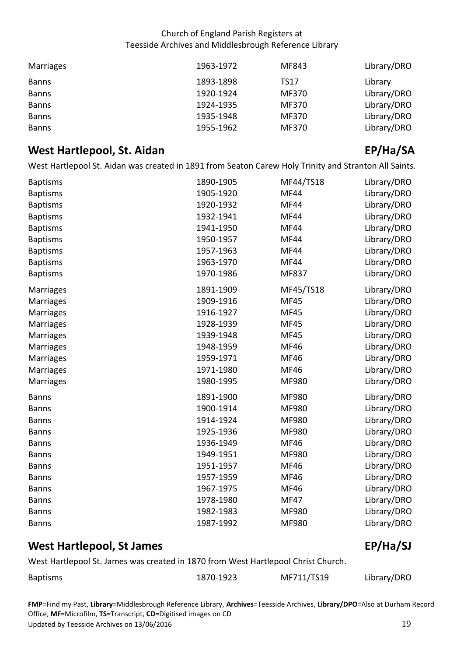| Marriages    | 1963-1972 | MF843 | Library/DRO |
|--------------|-----------|-------|-------------|
| <b>Banns</b> | 1893-1898 | TS17  | Library     |
| <b>Banns</b> | 1920-1924 | MF370 | Library/DRO |
| <b>Banns</b> | 1924-1935 | MF370 | Library/DRO |
| <b>Banns</b> | 1935-1948 | MF370 | Library/DRO |
| <b>Banns</b> | 1955-1962 | MF370 | Library/DRO |

# <span id="page-18-0"></span>**West Hartlepool, St. Aidan EP/Ha/SA**

West Hartlepool St. Aidan was created in 1891 from Seaton Carew Holy Trinity and Stranton All Saints.

| <b>Baptisms</b>  | 1890-1905 | MF44/TS18    | Library/DRO |
|------------------|-----------|--------------|-------------|
| <b>Baptisms</b>  | 1905-1920 | <b>MF44</b>  | Library/DRO |
| <b>Baptisms</b>  | 1920-1932 | <b>MF44</b>  | Library/DRO |
| <b>Baptisms</b>  | 1932-1941 | <b>MF44</b>  | Library/DRO |
| <b>Baptisms</b>  | 1941-1950 | <b>MF44</b>  | Library/DRO |
| <b>Baptisms</b>  | 1950-1957 | <b>MF44</b>  | Library/DRO |
| <b>Baptisms</b>  | 1957-1963 | <b>MF44</b>  | Library/DRO |
| <b>Baptisms</b>  | 1963-1970 | <b>MF44</b>  | Library/DRO |
| <b>Baptisms</b>  | 1970-1986 | MF837        | Library/DRO |
| Marriages        | 1891-1909 | MF45/TS18    | Library/DRO |
| <b>Marriages</b> | 1909-1916 | <b>MF45</b>  | Library/DRO |
| <b>Marriages</b> | 1916-1927 | <b>MF45</b>  | Library/DRO |
| <b>Marriages</b> | 1928-1939 | <b>MF45</b>  | Library/DRO |
| <b>Marriages</b> | 1939-1948 | <b>MF45</b>  | Library/DRO |
| Marriages        | 1948-1959 | <b>MF46</b>  | Library/DRO |
| Marriages        | 1959-1971 | <b>MF46</b>  | Library/DRO |
| Marriages        | 1971-1980 | <b>MF46</b>  | Library/DRO |
| Marriages        | 1980-1995 | MF980        | Library/DRO |
| <b>Banns</b>     | 1891-1900 | MF980        | Library/DRO |
| <b>Banns</b>     | 1900-1914 | MF980        | Library/DRO |
| <b>Banns</b>     | 1914-1924 | MF980        | Library/DRO |
| <b>Banns</b>     | 1925-1936 | MF980        | Library/DRO |
| <b>Banns</b>     | 1936-1949 | <b>MF46</b>  | Library/DRO |
| <b>Banns</b>     | 1949-1951 | <b>MF980</b> | Library/DRO |
| <b>Banns</b>     | 1951-1957 | <b>MF46</b>  | Library/DRO |
| <b>Banns</b>     | 1957-1959 | <b>MF46</b>  | Library/DRO |
| <b>Banns</b>     | 1967-1975 | <b>MF46</b>  | Library/DRO |
| <b>Banns</b>     | 1978-1980 | <b>MF47</b>  | Library/DRO |
| <b>Banns</b>     | 1982-1983 | MF980        | Library/DRO |
| <b>Banns</b>     | 1987-1992 | MF980        | Library/DRO |

## <span id="page-18-1"></span>**West Hartlepool, St James** EP/Ha/SJ

West Hartlepool St. James was created in 1870 from West Hartlepool Christ Church.

|                 | 1870-1923 | MF711/TS19 |             |
|-----------------|-----------|------------|-------------|
| <b>Baptisms</b> |           |            | Library/DRO |

 Office, **MF**=Microfilm, **TS**=Transcript, **CD**=Digitised images on CD Updated by Teesside Archives on 13/06/2016 19 Updated by Teesside Archives on 13/06/2016 **FMP**=Find my Past, **Library**=Middlesbrough Reference Library, **Archives**=Teesside Archives, **Library/DPO**=Also at Durham Record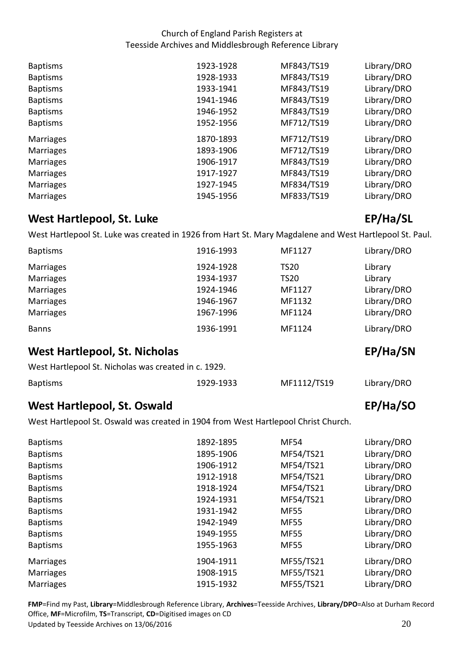| <b>Baptisms</b>  | 1923-1928 | MF843/TS19 | Library/DRO |
|------------------|-----------|------------|-------------|
| <b>Baptisms</b>  | 1928-1933 | MF843/TS19 | Library/DRO |
| <b>Baptisms</b>  | 1933-1941 | MF843/TS19 | Library/DRO |
| <b>Baptisms</b>  | 1941-1946 | MF843/TS19 | Library/DRO |
| <b>Baptisms</b>  | 1946-1952 | MF843/TS19 | Library/DRO |
| <b>Baptisms</b>  | 1952-1956 | MF712/TS19 | Library/DRO |
|                  |           |            |             |
| <b>Marriages</b> | 1870-1893 | MF712/TS19 | Library/DRO |
| <b>Marriages</b> | 1893-1906 | MF712/TS19 | Library/DRO |
| <b>Marriages</b> | 1906-1917 | MF843/TS19 | Library/DRO |
| <b>Marriages</b> | 1917-1927 | MF843/TS19 | Library/DRO |
| <b>Marriages</b> | 1927-1945 | MF834/TS19 | Library/DRO |
| <b>Marriages</b> | 1945-1956 | MF833/TS19 | Library/DRO |

## <span id="page-19-0"></span>**West Hartlepool, St. Luke EP/Ha/SL**

West Hartlepool St. Luke was created in 1926 from Hart St. Mary Magdalene and West Hartlepool St. Paul.

| <b>Baptisms</b>                                      | 1916-1993 | MF1127      | Library/DRO |  |
|------------------------------------------------------|-----------|-------------|-------------|--|
| <b>Marriages</b>                                     | 1924-1928 | <b>TS20</b> | Library     |  |
| <b>Marriages</b>                                     | 1934-1937 | <b>TS20</b> | Library     |  |
| <b>Marriages</b>                                     | 1924-1946 | MF1127      | Library/DRO |  |
| <b>Marriages</b>                                     | 1946-1967 | MF1132      | Library/DRO |  |
| <b>Marriages</b>                                     | 1967-1996 | MF1124      | Library/DRO |  |
| <b>Banns</b>                                         | 1936-1991 | MF1124      | Library/DRO |  |
| <b>West Hartlepool, St. Nicholas</b>                 | EP/Ha/SN  |             |             |  |
| West Hartlepool St. Nicholas was created in c. 1929. |           |             |             |  |

<span id="page-19-1"></span>

| <b>Baptisms</b> | 1929-1933 | MF1112/TS19 | Library/DRO |
|-----------------|-----------|-------------|-------------|

# <span id="page-19-2"></span>**West Hartlepool, St. Oswald EP/Hagonal EP/Hagonal EP/Hagonal EP/Hagonal EP/Hagonal EP/Hagonal EP/Hagonal EP/Hagonal EP/Hagonal EP/Hagonal EP/Hagonal EP/Hagonal EP/Hagonal EP/Hagonal EP/Hagonal EP/Hagonal EP/Hagonal EP/Hag**

West Hartlepool St. Oswald was created in 1904 from West Hartlepool Christ Church.

| <b>Baptisms</b>  | 1892-1895 | <b>MF54</b> | Library/DRO |
|------------------|-----------|-------------|-------------|
| <b>Baptisms</b>  | 1895-1906 | MF54/TS21   | Library/DRO |
| <b>Baptisms</b>  | 1906-1912 | MF54/TS21   | Library/DRO |
| <b>Baptisms</b>  | 1912-1918 | MF54/TS21   | Library/DRO |
| <b>Baptisms</b>  | 1918-1924 | MF54/TS21   | Library/DRO |
| <b>Baptisms</b>  | 1924-1931 | MF54/TS21   | Library/DRO |
| <b>Baptisms</b>  | 1931-1942 | <b>MF55</b> | Library/DRO |
| <b>Baptisms</b>  | 1942-1949 | <b>MF55</b> | Library/DRO |
| <b>Baptisms</b>  | 1949-1955 | <b>MF55</b> | Library/DRO |
| <b>Baptisms</b>  | 1955-1963 | <b>MF55</b> | Library/DRO |
| <b>Marriages</b> | 1904-1911 | MF55/TS21   | Library/DRO |
| <b>Marriages</b> | 1908-1915 | MF55/TS21   | Library/DRO |
| <b>Marriages</b> | 1915-1932 | MF55/TS21   | Library/DRO |
|                  |           |             |             |

Office, **MF**=Microfilm, **TS**=Transcript, **CD**=Digitised images on CD<br>Updated by Teesside Archives on 13/06/2016 2017 2020 2020 2020 2020 20 Updated by Teesside Archives on 13/06/2016 **FMP**=Find my Past, **Library**=Middlesbrough Reference Library, **Archives**=Teesside Archives, **Library/DPO**=Also at Durham Record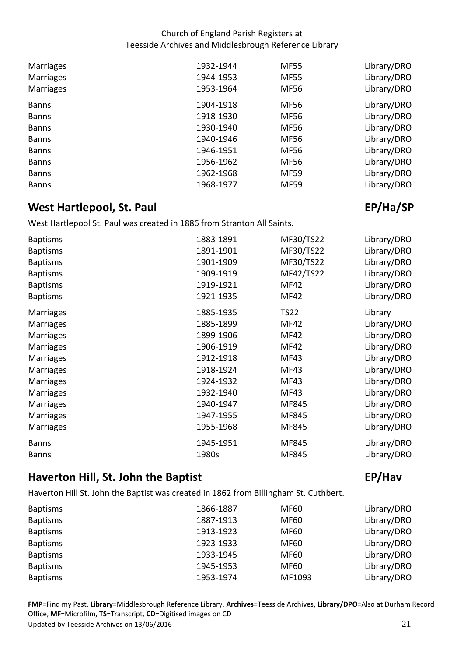| <b>Marriages</b> | 1932-1944 | <b>MF55</b> | Library/DRO |
|------------------|-----------|-------------|-------------|
| <b>Marriages</b> | 1944-1953 | <b>MF55</b> | Library/DRO |
| <b>Marriages</b> | 1953-1964 | <b>MF56</b> | Library/DRO |
| <b>Banns</b>     | 1904-1918 | <b>MF56</b> | Library/DRO |
| <b>Banns</b>     | 1918-1930 | <b>MF56</b> | Library/DRO |
| <b>Banns</b>     | 1930-1940 | <b>MF56</b> | Library/DRO |
| <b>Banns</b>     | 1940-1946 | <b>MF56</b> | Library/DRO |
| <b>Banns</b>     | 1946-1951 | MF56        | Library/DRO |
| <b>Banns</b>     | 1956-1962 | MF56        | Library/DRO |
| <b>Banns</b>     | 1962-1968 | <b>MF59</b> | Library/DRO |
| <b>Banns</b>     | 1968-1977 | <b>MF59</b> | Library/DRO |

# <span id="page-20-0"></span>**EP/Hand EP/Hand EP/Hand EP/Hand EP/Hand EP/Hand EP/Hand EP/Hand EP/Hand EP/Hand EP/Hand EP/Hand EP/Hand EP/Hand EP/Hand EP/Hand EP/Hand EP/Hand EP/Hand EP/Hand EP/Hand EP/Hand EP/Hand EP/Hand EP/Hand EP/Hand EP/Hand EXPLO**

West Hartlepool St. Paul was created in 1886 from Stranton All Saints.

| 1883-1891 | MF30/TS22              | Library/DRO<br>Library/DRO          |
|-----------|------------------------|-------------------------------------|
|           |                        | Library/DRO                         |
| 1909-1919 |                        | Library/DRO                         |
| 1919-1921 | <b>MF42</b>            | Library/DRO                         |
| 1921-1935 | <b>MF42</b>            | Library/DRO                         |
| 1885-1935 | <b>TS22</b>            | Library                             |
| 1885-1899 | <b>MF42</b>            | Library/DRO                         |
| 1899-1906 | <b>MF42</b>            | Library/DRO                         |
| 1906-1919 | <b>MF42</b>            | Library/DRO                         |
| 1912-1918 | <b>MF43</b>            | Library/DRO                         |
| 1918-1924 | MF43                   | Library/DRO                         |
| 1924-1932 | MF43                   | Library/DRO                         |
| 1932-1940 | MF43                   | Library/DRO                         |
| 1940-1947 | MF845                  | Library/DRO                         |
| 1947-1955 | MF845                  | Library/DRO                         |
| 1955-1968 | MF845                  | Library/DRO                         |
| 1945-1951 | MF845                  | Library/DRO                         |
| 1980s     | MF845                  | Library/DRO                         |
|           | 1891-1901<br>1901-1909 | MF30/TS22<br>MF30/TS22<br>MF42/TS22 |

# <span id="page-20-1"></span>**Haverton Hill, St. John the Baptist EP/Hav**

Haverton Hill St. John the Baptist was created in 1862 from Billingham St. Cuthbert.

| <b>Baptisms</b> | 1866-1887 | MF60        | Library/DRO |
|-----------------|-----------|-------------|-------------|
| <b>Baptisms</b> | 1887-1913 | <b>MF60</b> | Library/DRO |
| <b>Baptisms</b> | 1913-1923 | <b>MF60</b> | Library/DRO |
| <b>Baptisms</b> | 1923-1933 | <b>MF60</b> | Library/DRO |
| <b>Baptisms</b> | 1933-1945 | <b>MF60</b> | Library/DRO |
| <b>Baptisms</b> | 1945-1953 | <b>MF60</b> | Library/DRO |
| <b>Baptisms</b> | 1953-1974 | MF1093      | Library/DRO |

Office, **MF**=Microfilm, **TS**=Transcript, **CD**=Digitised images on CD<br>Updated by Teesside Archives on 13/06/2016 21 Updated by Teesside Archives on 13/06/2016 **FMP**=Find my Past, **Library**=Middlesbrough Reference Library, **Archives**=Teesside Archives, **Library/DPO**=Also at Durham Record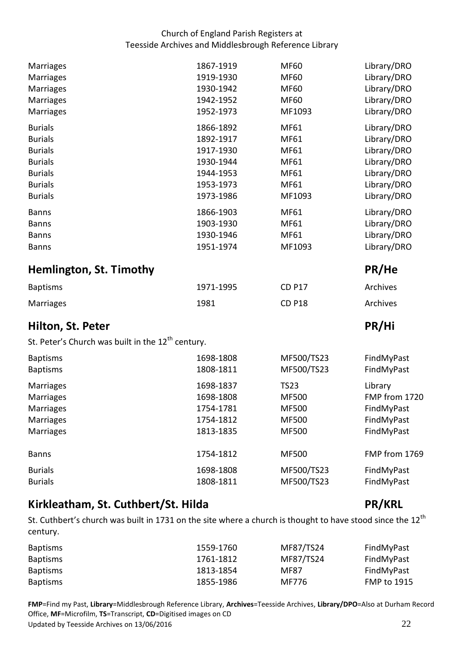<span id="page-21-0"></span>

| Marriages                                                     | 1867-1919              | <b>MF60</b>              | Library/DRO              |
|---------------------------------------------------------------|------------------------|--------------------------|--------------------------|
| <b>Marriages</b>                                              | 1919-1930              | <b>MF60</b>              | Library/DRO              |
| Marriages                                                     | 1930-1942              | <b>MF60</b>              | Library/DRO              |
| Marriages                                                     | 1942-1952              | <b>MF60</b>              | Library/DRO              |
| Marriages                                                     | 1952-1973              | MF1093                   | Library/DRO              |
| <b>Burials</b>                                                | 1866-1892              | MF61                     | Library/DRO              |
| <b>Burials</b>                                                | 1892-1917              | MF61                     | Library/DRO              |
| <b>Burials</b>                                                | 1917-1930              | MF61                     | Library/DRO              |
| <b>Burials</b>                                                | 1930-1944              | MF61                     | Library/DRO              |
| <b>Burials</b>                                                | 1944-1953              | MF61                     | Library/DRO              |
| <b>Burials</b>                                                | 1953-1973              | MF61                     | Library/DRO              |
| <b>Burials</b>                                                | 1973-1986              | MF1093                   | Library/DRO              |
| <b>Banns</b>                                                  | 1866-1903              | MF61                     | Library/DRO              |
| <b>Banns</b>                                                  | 1903-1930              | <b>MF61</b>              | Library/DRO              |
| <b>Banns</b>                                                  | 1930-1946              | MF61                     | Library/DRO              |
| <b>Banns</b>                                                  | 1951-1974              | MF1093                   | Library/DRO              |
| <b>Hemlington, St. Timothy</b>                                |                        |                          | PR/He                    |
|                                                               |                        |                          |                          |
| <b>Baptisms</b>                                               | 1971-1995              | <b>CD P17</b>            | Archives                 |
| Marriages                                                     | 1981                   | <b>CD P18</b>            | Archives                 |
| Hilton, St. Peter                                             |                        |                          | PR/Hi                    |
| St. Peter's Church was built in the 12 <sup>th</sup> century. |                        |                          |                          |
|                                                               |                        |                          |                          |
| <b>Baptisms</b><br><b>Baptisms</b>                            | 1698-1808<br>1808-1811 | MF500/TS23<br>MF500/TS23 | FindMyPast<br>FindMyPast |
| Marriages                                                     | 1698-1837              | <b>TS23</b>              | Library                  |
| Marriages                                                     | 1698-1808              | <b>MF500</b>             | FMP from 1720            |
| Marriages                                                     | 1754-1781              | <b>MF500</b>             | FindMyPast               |
| <b>Marriages</b>                                              | 1754-1812              | <b>MF500</b>             | FindMyPast               |
| <b>Marriages</b>                                              | 1813-1835              | <b>MF500</b>             | FindMyPast               |
| <b>Banns</b>                                                  | 1754-1812              | <b>MF500</b>             | FMP from 1769            |
| <b>Burials</b>                                                | 1698-1808              |                          |                          |
| <b>Burials</b>                                                | 1808-1811              | MF500/TS23<br>MF500/TS23 | FindMyPast<br>FindMyPast |

# <span id="page-21-2"></span><span id="page-21-1"></span>Kirkleatham, St. Cuthbert/St. Hilda **PR/KRL**

St. Cuthbert's church was built in 1731 on the site where a church is thought to have stood since the 12<sup>th</sup> century.

| century.        |           |             |                    |
|-----------------|-----------|-------------|--------------------|
| <b>Baptisms</b> | 1559-1760 | MF87/TS24   | FindMyPast         |
| <b>Baptisms</b> | 1761-1812 | MF87/TS24   | FindMyPast         |
| <b>Baptisms</b> | 1813-1854 | <b>MF87</b> | FindMyPast         |
| <b>Baptisms</b> | 1855-1986 | MF776       | <b>FMP to 1915</b> |

Office, **MF**=Microfilm, **TS**=Transcript, **CD**=Digitised images on CD<br>Updated by Teesside Archives on 13/06/2016 22 Updated by Teesside Archives on 13/06/2016 **FMP**=Find my Past, **Library**=Middlesbrough Reference Library, **Archives**=Teesside Archives, **Library/DPO**=Also at Durham Record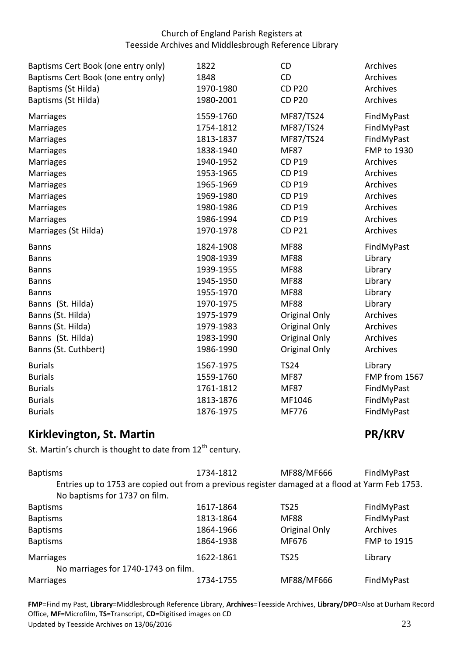| Baptisms Cert Book (one entry only) | 1822      | CD            | Archives           |
|-------------------------------------|-----------|---------------|--------------------|
| Baptisms Cert Book (one entry only) | 1848      | CD            | Archives           |
| Baptisms (St Hilda)                 | 1970-1980 | <b>CD P20</b> | Archives           |
| Baptisms (St Hilda)                 | 1980-2001 | <b>CD P20</b> | Archives           |
| Marriages                           | 1559-1760 | MF87/TS24     | FindMyPast         |
| Marriages                           | 1754-1812 | MF87/TS24     | FindMyPast         |
| Marriages                           | 1813-1837 | MF87/TS24     | FindMyPast         |
| Marriages                           | 1838-1940 | <b>MF87</b>   | <b>FMP to 1930</b> |
| <b>Marriages</b>                    | 1940-1952 | <b>CD P19</b> | Archives           |
| Marriages                           | 1953-1965 | <b>CD P19</b> | Archives           |
| <b>Marriages</b>                    | 1965-1969 | <b>CD P19</b> | Archives           |
| Marriages                           | 1969-1980 | <b>CD P19</b> | Archives           |
| <b>Marriages</b>                    | 1980-1986 | <b>CD P19</b> | Archives           |
| Marriages                           | 1986-1994 | <b>CD P19</b> | Archives           |
| Marriages (St Hilda)                | 1970-1978 | <b>CD P21</b> | Archives           |
| <b>Banns</b>                        | 1824-1908 | <b>MF88</b>   | FindMyPast         |
| <b>Banns</b>                        | 1908-1939 | <b>MF88</b>   | Library            |
| <b>Banns</b>                        | 1939-1955 | <b>MF88</b>   | Library            |
| <b>Banns</b>                        | 1945-1950 | <b>MF88</b>   | Library            |
| <b>Banns</b>                        | 1955-1970 | <b>MF88</b>   | Library            |
| Banns (St. Hilda)                   | 1970-1975 | <b>MF88</b>   | Library            |
| Banns (St. Hilda)                   | 1975-1979 | Original Only | Archives           |
| Banns (St. Hilda)                   | 1979-1983 | Original Only | Archives           |
| Banns (St. Hilda)                   | 1983-1990 | Original Only | Archives           |
| Banns (St. Cuthbert)                | 1986-1990 | Original Only | Archives           |
| <b>Burials</b>                      | 1567-1975 | <b>TS24</b>   | Library            |
| <b>Burials</b>                      | 1559-1760 | <b>MF87</b>   | FMP from 1567      |
| <b>Burials</b>                      | 1761-1812 | <b>MF87</b>   | FindMyPast         |
| <b>Burials</b>                      | 1813-1876 | MF1046        | FindMyPast         |
| <b>Burials</b>                      | 1876-1975 | MF776         | FindMyPast         |

## <span id="page-22-0"></span>**EXAMPLE REGISTER IN A REAL PROPERTY REPORT OF A REAL PROPERTY REAL PROPERTY REAL PROPERTY REAL PROPERTY**

St. Martin's church is thought to date from  $12^{th}$  century.

| <b>Baptisms</b>                                                                                 | 1734-1812 | MF88/MF666    | FindMyPast  |
|-------------------------------------------------------------------------------------------------|-----------|---------------|-------------|
| Entries up to 1753 are copied out from a previous register damaged at a flood at Yarm Feb 1753. |           |               |             |
| No baptisms for 1737 on film.                                                                   |           |               |             |
| <b>Baptisms</b>                                                                                 | 1617-1864 | <b>TS25</b>   | FindMyPast  |
| <b>Baptisms</b>                                                                                 | 1813-1864 | <b>MF88</b>   | FindMyPast  |
| <b>Baptisms</b>                                                                                 | 1864-1966 | Original Only | Archives    |
| <b>Baptisms</b>                                                                                 | 1864-1938 | MF676         | FMP to 1915 |
| <b>Marriages</b>                                                                                | 1622-1861 | <b>TS25</b>   | Library     |
| No marriages for 1740-1743 on film.                                                             |           |               |             |
| <b>Marriages</b>                                                                                | 1734-1755 | MF88/MF666    | FindMyPast  |

Office, **MF**=Microfilm, **TS**=Transcript, **CD**=Digitised images on CD<br>Updated by Teesside Archives on 13/06/2016 23 Updated by Teesside Archives on 13/06/2016 **FMP**=Find my Past, **Library**=Middlesbrough Reference Library, **Archives**=Teesside Archives, **Library/DPO**=Also at Durham Record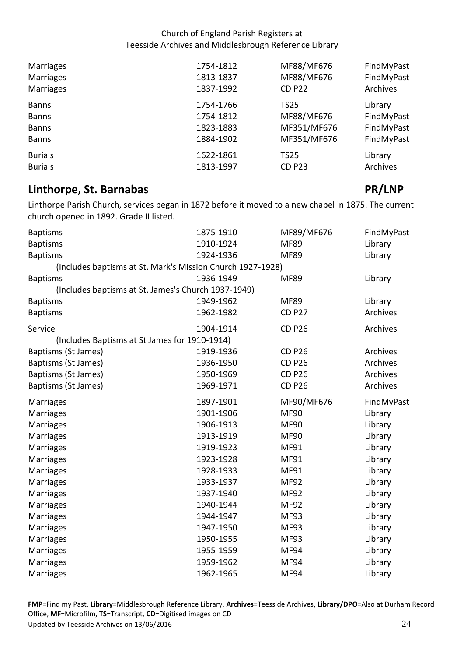| Marriages        | 1754-1812 | MF88/MF676    | FindMyPast |
|------------------|-----------|---------------|------------|
| Marriages        | 1813-1837 | MF88/MF676    | FindMyPast |
| <b>Marriages</b> | 1837-1992 | <b>CD P22</b> | Archives   |
| <b>Banns</b>     | 1754-1766 | <b>TS25</b>   | Library    |
| <b>Banns</b>     | 1754-1812 | MF88/MF676    | FindMyPast |
| <b>Banns</b>     | 1823-1883 | MF351/MF676   | FindMyPast |
| <b>Banns</b>     | 1884-1902 | MF351/MF676   | FindMyPast |
| <b>Burials</b>   | 1622-1861 | <b>TS25</b>   | Library    |
| <b>Burials</b>   | 1813-1997 | <b>CD P23</b> | Archives   |

## <span id="page-23-0"></span>**Linthorpe, St. Barnabas PR/LNP**

 Linthorpe Parish Church, services began in 1872 before it moved to a new chapel in 1875. The current church opened in 1892. Grade II listed.

| <b>Baptisms</b>                                     | 1875-1910                                                  | MF89/MF676    | FindMyPast |
|-----------------------------------------------------|------------------------------------------------------------|---------------|------------|
| <b>Baptisms</b>                                     | 1910-1924                                                  | <b>MF89</b>   | Library    |
| <b>Baptisms</b>                                     | 1924-1936                                                  | <b>MF89</b>   | Library    |
|                                                     | (Includes baptisms at St. Mark's Mission Church 1927-1928) |               |            |
| <b>Baptisms</b>                                     | 1936-1949                                                  | <b>MF89</b>   | Library    |
| (Includes baptisms at St. James's Church 1937-1949) |                                                            |               |            |
| <b>Baptisms</b>                                     | 1949-1962                                                  | <b>MF89</b>   | Library    |
| <b>Baptisms</b>                                     | 1962-1982                                                  | <b>CD P27</b> | Archives   |
| Service                                             | 1904-1914                                                  | <b>CD P26</b> | Archives   |
| (Includes Baptisms at St James for 1910-1914)       |                                                            |               |            |
| Baptisms (St James)                                 | 1919-1936                                                  | <b>CD P26</b> | Archives   |
| Baptisms (St James)                                 | 1936-1950                                                  | <b>CD P26</b> | Archives   |
| Baptisms (St James)                                 | 1950-1969                                                  | <b>CD P26</b> | Archives   |
| Baptisms (St James)                                 | 1969-1971                                                  | <b>CD P26</b> | Archives   |
| Marriages                                           | 1897-1901                                                  | MF90/MF676    | FindMyPast |
| <b>Marriages</b>                                    | 1901-1906                                                  | <b>MF90</b>   | Library    |
| <b>Marriages</b>                                    | 1906-1913                                                  | <b>MF90</b>   | Library    |
| Marriages                                           | 1913-1919                                                  | <b>MF90</b>   | Library    |
| Marriages                                           | 1919-1923                                                  | <b>MF91</b>   | Library    |
| Marriages                                           | 1923-1928                                                  | <b>MF91</b>   | Library    |
| Marriages                                           | 1928-1933                                                  | <b>MF91</b>   | Library    |
| Marriages                                           | 1933-1937                                                  | <b>MF92</b>   | Library    |
| Marriages                                           | 1937-1940                                                  | <b>MF92</b>   | Library    |
| Marriages                                           | 1940-1944                                                  | <b>MF92</b>   | Library    |
| Marriages                                           | 1944-1947                                                  | <b>MF93</b>   | Library    |
| Marriages                                           | 1947-1950                                                  | <b>MF93</b>   | Library    |
| <b>Marriages</b>                                    | 1950-1955                                                  | <b>MF93</b>   | Library    |
| <b>Marriages</b>                                    | 1955-1959                                                  | <b>MF94</b>   | Library    |
| <b>Marriages</b>                                    | 1959-1962                                                  | <b>MF94</b>   | Library    |
| <b>Marriages</b>                                    | 1962-1965                                                  | <b>MF94</b>   | Library    |

Office, **MF**=Microfilm, **TS**=Transcript, **CD**=Digitised images on CD<br>Updated by Teesside Archives on 13/06/2016 24 Updated by Teesside Archives on 13/06/2016 **FMP**=Find my Past, **Library**=Middlesbrough Reference Library, **Archives**=Teesside Archives, **Library/DPO**=Also at Durham Record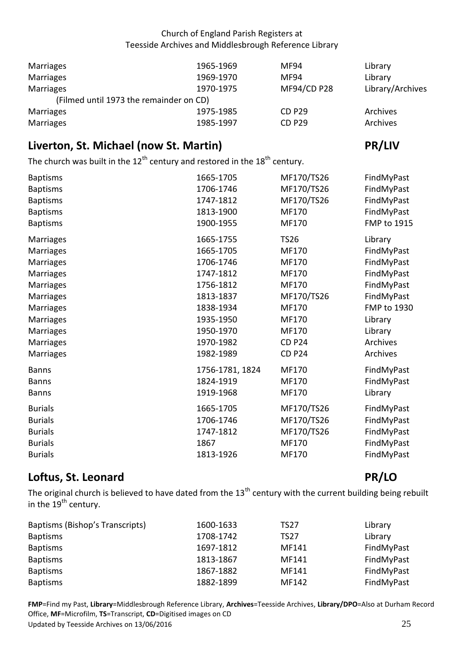| Marriages                               | 1965-1969 | MF94          | Library          |
|-----------------------------------------|-----------|---------------|------------------|
| Marriages                               | 1969-1970 | MF94          | Library          |
| Marriages                               | 1970-1975 | MF94/CD P28   | Library/Archives |
| (Filmed until 1973 the remainder on CD) |           |               |                  |
| Marriages                               | 1975-1985 | <b>CD P29</b> | Archives         |
| Marriages                               | 1985-1997 | <b>CD P29</b> | Archives         |

# <span id="page-24-0"></span>**Liverton, St. Michael (now St. Martin)** PR/LIV

The church was built in the 12<sup>th</sup> century and restored in the 18<sup>th</sup> century.

| <b>Baptisms</b> | 1665-1705       | MF170/TS26    | FindMyPast         |
|-----------------|-----------------|---------------|--------------------|
| <b>Baptisms</b> | 1706-1746       | MF170/TS26    | FindMyPast         |
| <b>Baptisms</b> | 1747-1812       | MF170/TS26    | FindMyPast         |
| <b>Baptisms</b> | 1813-1900       | <b>MF170</b>  | FindMyPast         |
| <b>Baptisms</b> | 1900-1955       | MF170         | FMP to 1915        |
| Marriages       | 1665-1755       | <b>TS26</b>   | Library            |
| Marriages       | 1665-1705       | <b>MF170</b>  | FindMyPast         |
| Marriages       | 1706-1746       | MF170         | FindMyPast         |
| Marriages       | 1747-1812       | MF170         | FindMyPast         |
| Marriages       | 1756-1812       | MF170         | FindMyPast         |
| Marriages       | 1813-1837       | MF170/TS26    | FindMyPast         |
| Marriages       | 1838-1934       | MF170         | <b>FMP to 1930</b> |
| Marriages       | 1935-1950       | MF170         | Library            |
| Marriages       | 1950-1970       | MF170         | Library            |
| Marriages       | 1970-1982       | <b>CD P24</b> | Archives           |
| Marriages       | 1982-1989       | <b>CD P24</b> | Archives           |
| <b>Banns</b>    | 1756-1781, 1824 | MF170         | FindMyPast         |
| <b>Banns</b>    | 1824-1919       | MF170         | FindMyPast         |
| <b>Banns</b>    | 1919-1968       | MF170         | Library            |
| <b>Burials</b>  | 1665-1705       | MF170/TS26    | FindMyPast         |
| <b>Burials</b>  | 1706-1746       | MF170/TS26    | FindMyPast         |
| <b>Burials</b>  | 1747-1812       | MF170/TS26    | FindMyPast         |
| <b>Burials</b>  | 1867            | MF170         | FindMyPast         |
| <b>Burials</b>  | 1813-1926       | MF170         | FindMyPast         |

# <span id="page-24-1"></span>**Loftus, St. Leonard PR/LO**

The original church is believed to have dated from the 13<sup>th</sup> century with the current building being rebuilt in the 19<sup>th</sup> century.

| Baptisms (Bishop's Transcripts) | 1600-1633 | <b>TS27</b> | Library    |
|---------------------------------|-----------|-------------|------------|
| <b>Baptisms</b>                 | 1708-1742 | <b>TS27</b> | Library    |
| <b>Baptisms</b>                 | 1697-1812 | MF141       | FindMyPast |
| <b>Baptisms</b>                 | 1813-1867 | MF141       | FindMyPast |
| <b>Baptisms</b>                 | 1867-1882 | MF141       | FindMyPast |
| <b>Baptisms</b>                 | 1882-1899 | MF142       | FindMyPast |

Office, **MF**=Microfilm, **TS**=Transcript, **CD**=Digitised images on CD<br>Updated by Teesside Archives on 13/06/2016 25 Updated by Teesside Archives on 13/06/2016 **FMP**=Find my Past, **Library**=Middlesbrough Reference Library, **Archives**=Teesside Archives, **Library/DPO**=Also at Durham Record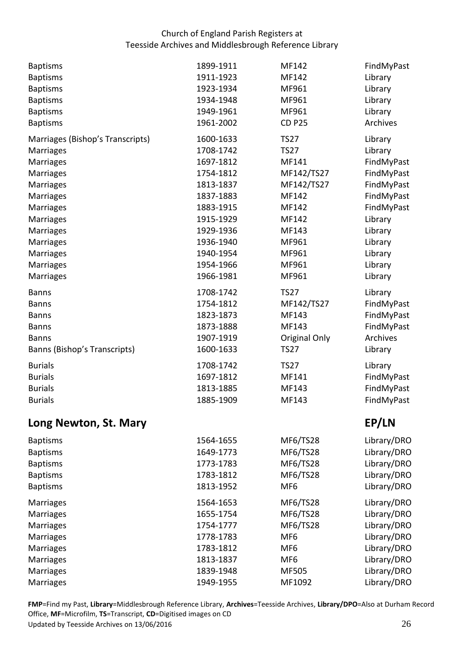| <b>Baptisms</b>                  | 1899-1911 | MF142                | FindMyPast  |
|----------------------------------|-----------|----------------------|-------------|
| <b>Baptisms</b>                  | 1911-1923 | MF142                | Library     |
| <b>Baptisms</b>                  | 1923-1934 | MF961                | Library     |
| <b>Baptisms</b>                  | 1934-1948 | MF961                | Library     |
| <b>Baptisms</b>                  | 1949-1961 | MF961                | Library     |
| <b>Baptisms</b>                  | 1961-2002 | <b>CD P25</b>        | Archives    |
| Marriages (Bishop's Transcripts) | 1600-1633 | <b>TS27</b>          | Library     |
| <b>Marriages</b>                 | 1708-1742 | <b>TS27</b>          | Library     |
| <b>Marriages</b>                 | 1697-1812 | MF141                | FindMyPast  |
| Marriages                        | 1754-1812 | MF142/TS27           | FindMyPast  |
| Marriages                        | 1813-1837 | MF142/TS27           | FindMyPast  |
| Marriages                        | 1837-1883 | MF142                | FindMyPast  |
| Marriages                        | 1883-1915 | MF142                | FindMyPast  |
| Marriages                        | 1915-1929 | MF142                | Library     |
| Marriages                        | 1929-1936 | MF143                | Library     |
| Marriages                        | 1936-1940 | MF961                | Library     |
| <b>Marriages</b>                 | 1940-1954 | MF961                | Library     |
| <b>Marriages</b>                 | 1954-1966 | MF961                | Library     |
| <b>Marriages</b>                 | 1966-1981 | MF961                | Library     |
| <b>Banns</b>                     | 1708-1742 | <b>TS27</b>          | Library     |
| <b>Banns</b>                     | 1754-1812 | MF142/TS27           | FindMyPast  |
| <b>Banns</b>                     | 1823-1873 | MF143                | FindMyPast  |
| <b>Banns</b>                     | 1873-1888 | MF143                | FindMyPast  |
| <b>Banns</b>                     | 1907-1919 | <b>Original Only</b> | Archives    |
| Banns (Bishop's Transcripts)     | 1600-1633 | <b>TS27</b>          | Library     |
| <b>Burials</b>                   | 1708-1742 | <b>TS27</b>          | Library     |
| <b>Burials</b>                   | 1697-1812 | MF141                | FindMyPast  |
| <b>Burials</b>                   | 1813-1885 | MF143                | FindMyPast  |
| <b>Burials</b>                   | 1885-1909 | MF143                | FindMyPast  |
| Long Newton, St. Mary            |           |                      | EP/LN       |
| <b>Baptisms</b>                  | 1564-1655 | <b>MF6/TS28</b>      | Library/DRO |
| <b>Baptisms</b>                  | 1649-1773 | <b>MF6/TS28</b>      | Library/DRO |
| <b>Baptisms</b>                  | 1773-1783 | MF6/TS28             | Library/DRO |
| <b>Baptisms</b>                  | 1783-1812 | MF6/TS28             | Library/DRO |
| <b>Baptisms</b>                  | 1813-1952 | MF <sub>6</sub>      | Library/DRO |
| <b>Marriages</b>                 | 1564-1653 | MF6/TS28             | Library/DRO |
| <b>Marriages</b>                 | 1655-1754 | MF6/TS28             | Library/DRO |
| <b>Marriages</b>                 | 1754-1777 | MF6/TS28             | Library/DRO |
| <b>Marriages</b>                 | 1778-1783 | MF <sub>6</sub>      | Library/DRO |
| <b>Marriages</b>                 | 1783-1812 | MF <sub>6</sub>      | Library/DRO |
| <b>Marriages</b>                 | 1813-1837 | MF <sub>6</sub>      | Library/DRO |
| <b>Marriages</b>                 | 1839-1948 | MF505                | Library/DRO |
| Marriages                        | 1949-1955 | MF1092               | Library/DRO |
|                                  |           |                      |             |

<span id="page-25-0"></span>Office, **MF**=Microfilm, **TS**=Transcript, **CD**=Digitised images on CD<br>Updated by Teesside Archives on 13/06/2016 26 Updated by Teesside Archives on 13/06/2016 **FMP**=Find my Past, **Library**=Middlesbrough Reference Library, **Archives**=Teesside Archives, **Library/DPO**=Also at Durham Record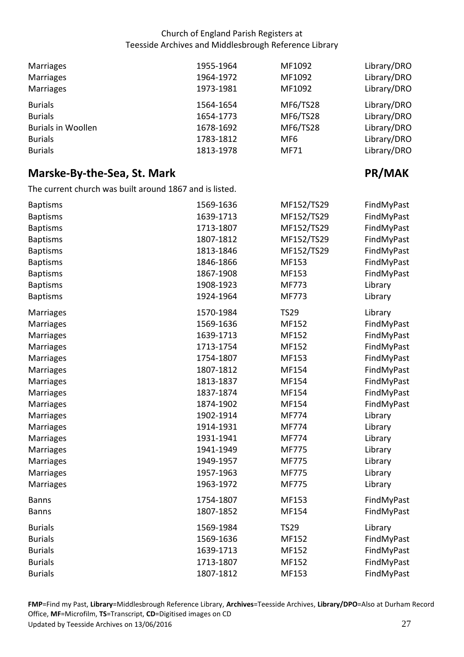| Marriages<br>Marriages<br>Marriages | 1955-1964<br>1964-1972<br>1973-1981 | MF1092<br>MF1092<br>MF1092 | Library/DRO<br>Library/DRO<br>Library/DRO |
|-------------------------------------|-------------------------------------|----------------------------|-------------------------------------------|
| <b>Burials</b>                      | 1564-1654                           | MF6/TS28                   | Library/DRO                               |
| <b>Burials</b>                      | 1654-1773                           | MF6/TS28                   | Library/DRO                               |
| <b>Burials in Woollen</b>           | 1678-1692                           | MF6/TS28                   | Library/DRO                               |
| <b>Burials</b>                      | 1783-1812                           | MF <sub>6</sub>            | Library/DRO                               |
| <b>Burials</b>                      | 1813-1978                           | <b>MF71</b>                | Library/DRO                               |

# <span id="page-26-0"></span>**Marske-By-the-Sea, St. Mark** *PR/MAK**PR/MAK*

The current church was built around 1867 and is listed.

| <b>Baptisms</b>  | 1569-1636 | MF152/TS29   | FindMyPast |
|------------------|-----------|--------------|------------|
| <b>Baptisms</b>  | 1639-1713 | MF152/TS29   | FindMyPast |
| <b>Baptisms</b>  | 1713-1807 | MF152/TS29   | FindMyPast |
| <b>Baptisms</b>  | 1807-1812 | MF152/TS29   | FindMyPast |
| <b>Baptisms</b>  | 1813-1846 | MF152/TS29   | FindMyPast |
| <b>Baptisms</b>  | 1846-1866 | MF153        | FindMyPast |
| <b>Baptisms</b>  | 1867-1908 | MF153        | FindMyPast |
| <b>Baptisms</b>  | 1908-1923 | MF773        | Library    |
| <b>Baptisms</b>  | 1924-1964 | <b>MF773</b> | Library    |
| <b>Marriages</b> | 1570-1984 | <b>TS29</b>  | Library    |
| <b>Marriages</b> | 1569-1636 | MF152        | FindMyPast |
| <b>Marriages</b> | 1639-1713 | MF152        | FindMyPast |
| Marriages        | 1713-1754 | MF152        | FindMyPast |
| <b>Marriages</b> | 1754-1807 | MF153        | FindMyPast |
| Marriages        | 1807-1812 | MF154        | FindMyPast |
| <b>Marriages</b> | 1813-1837 | MF154        | FindMyPast |
| <b>Marriages</b> | 1837-1874 | MF154        | FindMyPast |
| <b>Marriages</b> | 1874-1902 | MF154        | FindMyPast |
| <b>Marriages</b> | 1902-1914 | <b>MF774</b> | Library    |
| <b>Marriages</b> | 1914-1931 | MF774        | Library    |
| <b>Marriages</b> | 1931-1941 | MF774        | Library    |
| Marriages        | 1941-1949 | <b>MF775</b> | Library    |
| <b>Marriages</b> | 1949-1957 | <b>MF775</b> | Library    |
| Marriages        | 1957-1963 | <b>MF775</b> | Library    |
| <b>Marriages</b> | 1963-1972 | <b>MF775</b> | Library    |
| <b>Banns</b>     | 1754-1807 | MF153        | FindMyPast |
| <b>Banns</b>     | 1807-1852 | MF154        | FindMyPast |
| <b>Burials</b>   | 1569-1984 | <b>TS29</b>  | Library    |
| <b>Burials</b>   | 1569-1636 | MF152        | FindMyPast |
| <b>Burials</b>   | 1639-1713 | MF152        | FindMyPast |
| <b>Burials</b>   | 1713-1807 | MF152        | FindMyPast |
| <b>Burials</b>   | 1807-1812 | MF153        | FindMyPast |
|                  |           |              |            |

Office, **MF**=Microfilm, **TS**=Transcript, **CD**=Digitised images on CD<br>Updated by Teesside Archives on 13/06/2016 27 Updated by Teesside Archives on 13/06/2016 **FMP**=Find my Past, **Library**=Middlesbrough Reference Library, **Archives**=Teesside Archives, **Library/DPO**=Also at Durham Record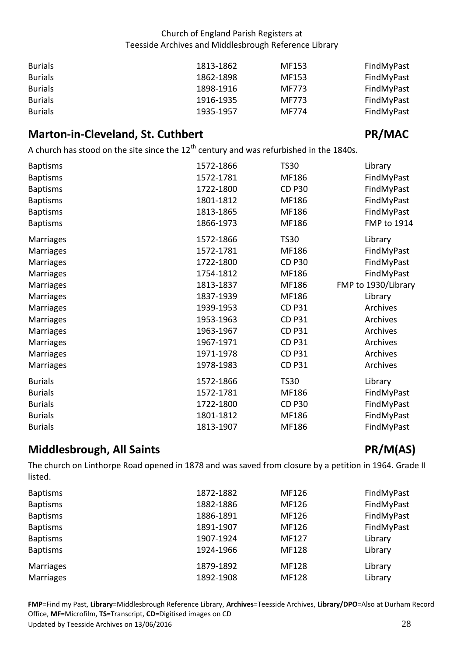| <b>Burials</b> | 1813-1862 | MF153 | FindMyPast |
|----------------|-----------|-------|------------|
| <b>Burials</b> | 1862-1898 | MF153 | FindMyPast |
| <b>Burials</b> | 1898-1916 | MF773 | FindMyPast |
| <b>Burials</b> | 1916-1935 | MF773 | FindMyPast |
| <b>Burials</b> | 1935-1957 | MF774 | FindMyPast |

# <span id="page-27-0"></span>**Marton-in-Cleveland, St. Cuthbert Community Community PR/MAC**

A church has stood on the site since the  $12^{th}$  century and was refurbished in the 1840s.

| <b>Baptisms</b>  | 1572-1866 | <b>TS30</b>   | Library             |
|------------------|-----------|---------------|---------------------|
| <b>Baptisms</b>  | 1572-1781 | MF186         | FindMyPast          |
| <b>Baptisms</b>  | 1722-1800 | <b>CD P30</b> | FindMyPast          |
| <b>Baptisms</b>  | 1801-1812 | MF186         | FindMyPast          |
| <b>Baptisms</b>  | 1813-1865 | MF186         | FindMyPast          |
| <b>Baptisms</b>  | 1866-1973 | MF186         | FMP to 1914         |
| Marriages        | 1572-1866 | <b>TS30</b>   | Library             |
| <b>Marriages</b> | 1572-1781 | MF186         | FindMyPast          |
| <b>Marriages</b> | 1722-1800 | <b>CD P30</b> | FindMyPast          |
| <b>Marriages</b> | 1754-1812 | MF186         | FindMyPast          |
| <b>Marriages</b> | 1813-1837 | MF186         | FMP to 1930/Library |
| <b>Marriages</b> | 1837-1939 | MF186         | Library             |
| <b>Marriages</b> | 1939-1953 | <b>CD P31</b> | Archives            |
| <b>Marriages</b> | 1953-1963 | <b>CD P31</b> | Archives            |
| <b>Marriages</b> | 1963-1967 | <b>CD P31</b> | Archives            |
| <b>Marriages</b> | 1967-1971 | <b>CD P31</b> | Archives            |
| <b>Marriages</b> | 1971-1978 | <b>CD P31</b> | Archives            |
| <b>Marriages</b> | 1978-1983 | <b>CD P31</b> | Archives            |
| <b>Burials</b>   | 1572-1866 | <b>TS30</b>   | Library             |
| <b>Burials</b>   | 1572-1781 | MF186         | FindMyPast          |
| <b>Burials</b>   | 1722-1800 | <b>CD P30</b> | FindMyPast          |
| <b>Burials</b>   | 1801-1812 | MF186         | FindMyPast          |
| <b>Burials</b>   | 1813-1907 | MF186         | FindMyPast          |

# <span id="page-27-1"></span>**Middlesbrough, All Saints PR/M(AS)**

 The church on Linthorpe Road opened in 1878 and was saved from closure by a petition in 1964. Grade II listed.

| <b>Baptisms</b> | 1872-1882 | MF126        | FindMyPast |
|-----------------|-----------|--------------|------------|
| <b>Baptisms</b> | 1882-1886 | MF126        | FindMyPast |
| <b>Baptisms</b> | 1886-1891 | MF126        | FindMyPast |
| <b>Baptisms</b> | 1891-1907 | MF126        | FindMyPast |
| <b>Baptisms</b> | 1907-1924 | MF127        | Library    |
| <b>Baptisms</b> | 1924-1966 | <b>MF128</b> | Library    |
| Marriages       | 1879-1892 | <b>MF128</b> | Library    |
| Marriages       | 1892-1908 | <b>MF128</b> | Library    |

Office, **MF**=Microfilm, **TS**=Transcript, **CD**=Digitised images on CD<br>Updated by Teesside Archives on 13/06/2016 28 Updated by Teesside Archives on 13/06/2016 **FMP**=Find my Past, **Library**=Middlesbrough Reference Library, **Archives**=Teesside Archives, **Library/DPO**=Also at Durham Record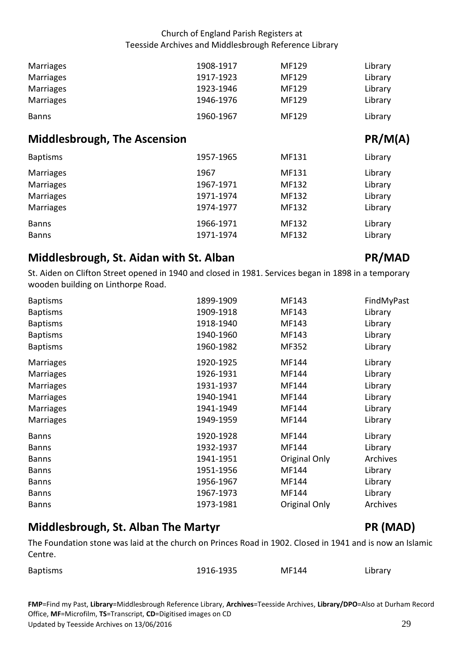| Marriages | 1908-1917 | MF129 | Library |
|-----------|-----------|-------|---------|
| Marriages | 1917-1923 | MF129 | Library |
| Marriages | 1923-1946 | MF129 | Library |
| Marriages | 1946-1976 | MF129 | Library |
| Banns     | 1960-1967 | MF129 | Library |

## <span id="page-28-0"></span>**Middlesbrough, The Ascension According the Assets According to According the PR/M(A)**

| <b>Baptisms</b>  | 1957-1965 | MF131 | Library |
|------------------|-----------|-------|---------|
| Marriages        | 1967      | MF131 | Library |
| <b>Marriages</b> | 1967-1971 | MF132 | Library |
| <b>Marriages</b> | 1971-1974 | MF132 | Library |
| <b>Marriages</b> | 1974-1977 | MF132 | Library |
| <b>Banns</b>     | 1966-1971 | MF132 | Library |
| <b>Banns</b>     | 1971-1974 | MF132 | Library |

# <span id="page-28-1"></span>**Middlesbrough, St. Aidan with St. Alban** *PR/MAD*

 St. Aiden on Clifton Street opened in 1940 and closed in 1981. Services began in 1898 in a temporary wooden building on Linthorpe Road.

| <b>Baptisms</b>  | 1899-1909 | MF143         | FindMyPast |
|------------------|-----------|---------------|------------|
| <b>Baptisms</b>  | 1909-1918 | MF143         | Library    |
| <b>Baptisms</b>  | 1918-1940 | MF143         | Library    |
| <b>Baptisms</b>  | 1940-1960 | MF143         | Library    |
| <b>Baptisms</b>  | 1960-1982 | MF352         | Library    |
| <b>Marriages</b> | 1920-1925 | MF144         | Library    |
| <b>Marriages</b> | 1926-1931 | MF144         | Library    |
| <b>Marriages</b> | 1931-1937 | MF144         | Library    |
| <b>Marriages</b> | 1940-1941 | MF144         | Library    |
| <b>Marriages</b> | 1941-1949 | MF144         | Library    |
| <b>Marriages</b> | 1949-1959 | MF144         | Library    |
| <b>Banns</b>     | 1920-1928 | MF144         | Library    |
| <b>Banns</b>     | 1932-1937 | MF144         | Library    |
| <b>Banns</b>     | 1941-1951 | Original Only | Archives   |
| <b>Banns</b>     | 1951-1956 | MF144         | Library    |
| <b>Banns</b>     | 1956-1967 | MF144         | Library    |
| <b>Banns</b>     | 1967-1973 | MF144         | Library    |
| <b>Banns</b>     | 1973-1981 | Original Only | Archives   |

# <span id="page-28-2"></span>**Middlesbrough, St. Alban The Martyr New York Connection (MAD)**

 The Foundation stone was laid at the church on Princes Road in 1902. Closed in 1941 and is now an Islamic Centre.

| <b>Baptisms</b> | 1916-1935 | MF144 | Library |
|-----------------|-----------|-------|---------|
|-----------------|-----------|-------|---------|

Office, **MF**=Microfilm, **TS**=Transcript, **CD**=Digitised images on CD<br>Updated by Teesside Archives on 13/06/2016 29 Updated by Teesside Archives on 13/06/2016 **FMP**=Find my Past, **Library**=Middlesbrough Reference Library, **Archives**=Teesside Archives, **Library/DPO**=Also at Durham Record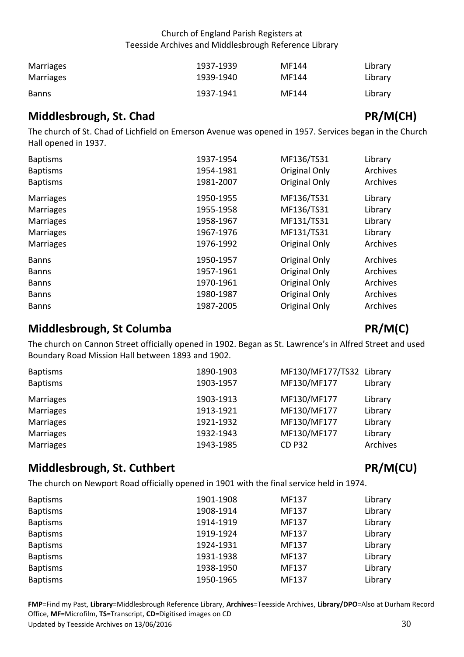| Marriages    | 1937-1939 | MF144 | Library |
|--------------|-----------|-------|---------|
| Marriages    | 1939-1940 | MF144 | Library |
| <b>Banns</b> | 1937-1941 | MF144 | Library |

# <span id="page-29-0"></span>**Middlesbrough, St. Chad PR/M(CH)**

 The church of St. Chad of Lichfield on Emerson Avenue was opened in 1957. Services began in the Church Hall opened in 1937.

| <b>Baptisms</b>  | 1937-1954 | MF136/TS31    | Library  |
|------------------|-----------|---------------|----------|
| <b>Baptisms</b>  | 1954-1981 | Original Only | Archives |
| <b>Baptisms</b>  | 1981-2007 | Original Only | Archives |
| <b>Marriages</b> | 1950-1955 | MF136/TS31    | Library  |
| <b>Marriages</b> | 1955-1958 | MF136/TS31    | Library  |
| <b>Marriages</b> | 1958-1967 | MF131/TS31    | Library  |
| <b>Marriages</b> | 1967-1976 | MF131/TS31    | Library  |
| <b>Marriages</b> | 1976-1992 | Original Only | Archives |
| <b>Banns</b>     | 1950-1957 | Original Only | Archives |
| <b>Banns</b>     | 1957-1961 | Original Only | Archives |
| <b>Banns</b>     | 1970-1961 | Original Only | Archives |
| <b>Banns</b>     | 1980-1987 | Original Only | Archives |
| <b>Banns</b>     | 1987-2005 | Original Only | Archives |

# <span id="page-29-1"></span>**Middlesbrough, St Columba** PR/M(C)

 The church on Cannon Street officially opened in 1902. Began as St. Lawrence's in Alfred Street and used Boundary Road Mission Hall between 1893 and 1902.

| <b>Baptisms</b>  | 1890-1903 | MF130/MF177/TS32 Library |          |
|------------------|-----------|--------------------------|----------|
| <b>Baptisms</b>  | 1903-1957 | MF130/MF177              | Library  |
| Marriages        | 1903-1913 | MF130/MF177              | Library  |
| Marriages        | 1913-1921 | MF130/MF177              | Library  |
| Marriages        | 1921-1932 | MF130/MF177              | Library  |
| Marriages        | 1932-1943 | MF130/MF177              | Library  |
| <b>Marriages</b> | 1943-1985 | <b>CD P32</b>            | Archives |

# <span id="page-29-2"></span>**Middlesbrough, St. Cuthbert** *PR/M(CU)*

The church on Newport Road officially opened in 1901 with the final service held in 1974.

| <b>Baptisms</b> | 1901-1908 | MF137 | Library |
|-----------------|-----------|-------|---------|
| <b>Baptisms</b> | 1908-1914 | MF137 | Library |
| <b>Baptisms</b> | 1914-1919 | MF137 | Library |
| <b>Baptisms</b> | 1919-1924 | MF137 | Library |
| <b>Baptisms</b> | 1924-1931 | MF137 | Library |
| <b>Baptisms</b> | 1931-1938 | MF137 | Library |
| <b>Baptisms</b> | 1938-1950 | MF137 | Library |
| <b>Baptisms</b> | 1950-1965 | MF137 | Library |

Office, **MF**=Microfilm, **TS**=Transcript, **CD**=Digitised images on CD<br>Updated by Teesside Archives on 13/06/2016 30 Updated by Teesside Archives on 13/06/2016 **FMP**=Find my Past, **Library**=Middlesbrough Reference Library, **Archives**=Teesside Archives, **Library/DPO**=Also at Durham Record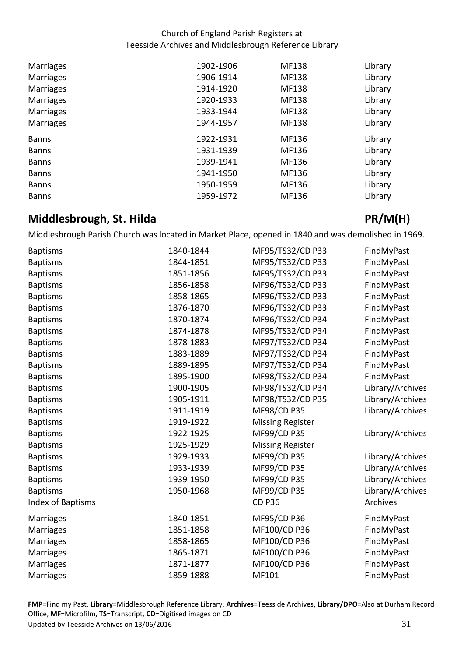| <b>Marriages</b> | 1902-1906 | <b>MF138</b> | Library |
|------------------|-----------|--------------|---------|
| <b>Marriages</b> | 1906-1914 | <b>MF138</b> | Library |
| <b>Marriages</b> | 1914-1920 | <b>MF138</b> | Library |
| <b>Marriages</b> | 1920-1933 | <b>MF138</b> | Library |
| Marriages        | 1933-1944 | <b>MF138</b> | Library |
| <b>Marriages</b> | 1944-1957 | <b>MF138</b> | Library |
|                  |           |              |         |
| <b>Banns</b>     | 1922-1931 | MF136        | Library |
| <b>Banns</b>     | 1931-1939 | MF136        | Library |
| <b>Banns</b>     | 1939-1941 | MF136        | Library |
| <b>Banns</b>     | 1941-1950 | MF136        | Library |
| <b>Banns</b>     | 1950-1959 | MF136        | Library |

# <span id="page-30-0"></span>**Middlesbrough, St. Hilda** PR/M(H)

Middlesbrough Parish Church was located in Market Place, opened in 1840 and was demolished in 1969.

| <b>Baptisms</b>          | 1840-1844 | MF95/TS32/CD P33        | FindMyPast       |
|--------------------------|-----------|-------------------------|------------------|
| <b>Baptisms</b>          | 1844-1851 | MF95/TS32/CD P33        | FindMyPast       |
| <b>Baptisms</b>          | 1851-1856 | MF95/TS32/CD P33        | FindMyPast       |
| <b>Baptisms</b>          | 1856-1858 | MF96/TS32/CD P33        | FindMyPast       |
| <b>Baptisms</b>          | 1858-1865 | MF96/TS32/CD P33        | FindMyPast       |
| <b>Baptisms</b>          | 1876-1870 | MF96/TS32/CD P33        | FindMyPast       |
| <b>Baptisms</b>          | 1870-1874 | MF96/TS32/CD P34        | FindMyPast       |
| <b>Baptisms</b>          | 1874-1878 | MF95/TS32/CD P34        | FindMyPast       |
| <b>Baptisms</b>          | 1878-1883 | MF97/TS32/CD P34        | FindMyPast       |
| <b>Baptisms</b>          | 1883-1889 | MF97/TS32/CD P34        | FindMyPast       |
| <b>Baptisms</b>          | 1889-1895 | MF97/TS32/CD P34        | FindMyPast       |
| <b>Baptisms</b>          | 1895-1900 | MF98/TS32/CD P34        | FindMyPast       |
| <b>Baptisms</b>          | 1900-1905 | MF98/TS32/CD P34        | Library/Archives |
| <b>Baptisms</b>          | 1905-1911 | MF98/TS32/CD P35        | Library/Archives |
| <b>Baptisms</b>          | 1911-1919 | MF98/CD P35             | Library/Archives |
| <b>Baptisms</b>          | 1919-1922 | <b>Missing Register</b> |                  |
| <b>Baptisms</b>          | 1922-1925 | MF99/CD P35             | Library/Archives |
| <b>Baptisms</b>          | 1925-1929 | <b>Missing Register</b> |                  |
| <b>Baptisms</b>          | 1929-1933 | MF99/CD P35             | Library/Archives |
| <b>Baptisms</b>          | 1933-1939 | MF99/CD P35             | Library/Archives |
| <b>Baptisms</b>          | 1939-1950 | MF99/CD P35             | Library/Archives |
| <b>Baptisms</b>          | 1950-1968 | MF99/CD P35             | Library/Archives |
| <b>Index of Baptisms</b> |           | <b>CD P36</b>           | Archives         |
| Marriages                | 1840-1851 | MF95/CD P36             | FindMyPast       |
| Marriages                | 1851-1858 | MF100/CD P36            | FindMyPast       |
| Marriages                | 1858-1865 | MF100/CD P36            | FindMyPast       |
| Marriages                | 1865-1871 | MF100/CD P36            | FindMyPast       |
| Marriages                | 1871-1877 | MF100/CD P36            | FindMyPast       |
| Marriages                | 1859-1888 | MF101                   | FindMyPast       |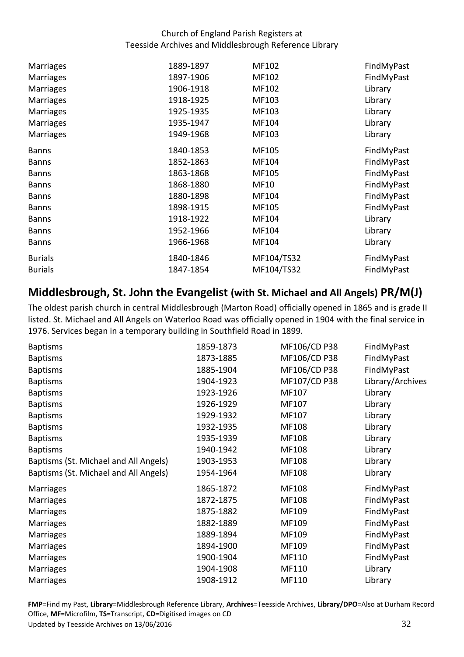| <b>Marriages</b> | 1889-1897 | MF102      | FindMyPast |
|------------------|-----------|------------|------------|
| <b>Marriages</b> | 1897-1906 | MF102      | FindMyPast |
| <b>Marriages</b> | 1906-1918 | MF102      | Library    |
| <b>Marriages</b> | 1918-1925 | MF103      | Library    |
| <b>Marriages</b> | 1925-1935 | MF103      | Library    |
| <b>Marriages</b> | 1935-1947 | MF104      | Library    |
| <b>Marriages</b> | 1949-1968 | MF103      | Library    |
| <b>Banns</b>     | 1840-1853 | MF105      | FindMyPast |
| <b>Banns</b>     | 1852-1863 | MF104      | FindMyPast |
| <b>Banns</b>     | 1863-1868 | MF105      | FindMyPast |
| <b>Banns</b>     | 1868-1880 | MF10       | FindMyPast |
| <b>Banns</b>     | 1880-1898 | MF104      | FindMyPast |
| <b>Banns</b>     | 1898-1915 | MF105      | FindMyPast |
| <b>Banns</b>     | 1918-1922 | MF104      | Library    |
| <b>Banns</b>     | 1952-1966 | MF104      | Library    |
| <b>Banns</b>     | 1966-1968 | MF104      | Library    |
| <b>Burials</b>   | 1840-1846 | MF104/TS32 | FindMyPast |
| <b>Burials</b>   | 1847-1854 | MF104/TS32 | FindMyPast |

# <span id="page-31-0"></span> **Middlesbrough, St. John the Evangelist (with St. Michael and All Angels) PR/M(J)**

 The oldest parish church in central Middlesbrough (Marton Road) officially opened in 1865 and is grade II listed. St. Michael and All Angels on Waterloo Road was officially opened in 1904 with the final service in 1976. Services began in a temporary building in Southfield Road in 1899.

| <b>Baptisms</b>                       | 1859-1873 | MF106/CD P38 | FindMyPast       |
|---------------------------------------|-----------|--------------|------------------|
| <b>Baptisms</b>                       | 1873-1885 | MF106/CD P38 | FindMyPast       |
| <b>Baptisms</b>                       | 1885-1904 | MF106/CD P38 | FindMyPast       |
| <b>Baptisms</b>                       | 1904-1923 | MF107/CD P38 | Library/Archives |
| <b>Baptisms</b>                       | 1923-1926 | MF107        | Library          |
| <b>Baptisms</b>                       | 1926-1929 | MF107        | Library          |
| <b>Baptisms</b>                       | 1929-1932 | MF107        | Library          |
| <b>Baptisms</b>                       | 1932-1935 | MF108        | Library          |
| <b>Baptisms</b>                       | 1935-1939 | MF108        | Library          |
| <b>Baptisms</b>                       | 1940-1942 | MF108        | Library          |
| Baptisms (St. Michael and All Angels) | 1903-1953 | MF108        | Library          |
| Baptisms (St. Michael and All Angels) | 1954-1964 | MF108        | Library          |
| Marriages                             | 1865-1872 | MF108        | FindMyPast       |
| Marriages                             | 1872-1875 | MF108        | FindMyPast       |
| <b>Marriages</b>                      | 1875-1882 | MF109        | FindMyPast       |
| <b>Marriages</b>                      | 1882-1889 | MF109        | FindMyPast       |
| Marriages                             | 1889-1894 | MF109        | FindMyPast       |
| <b>Marriages</b>                      | 1894-1900 | MF109        | FindMyPast       |
| <b>Marriages</b>                      | 1900-1904 | MF110        | FindMyPast       |
| <b>Marriages</b>                      | 1904-1908 | MF110        | Library          |
| Marriages                             | 1908-1912 | MF110        | Library          |

Office, **MF**=Microfilm, **TS**=Transcript, **CD**=Digitised images on CD<br>Updated by Teesside Archives on 13/06/2016 32 Updated by Teesside Archives on 13/06/2016 **FMP**=Find my Past, **Library**=Middlesbrough Reference Library, **Archives**=Teesside Archives, **Library/DPO**=Also at Durham Record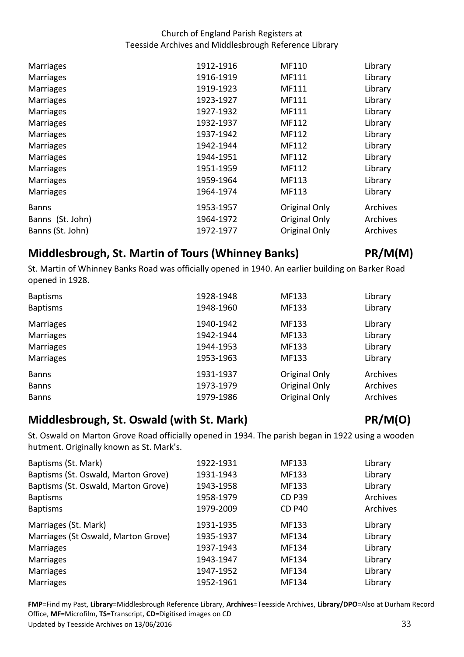| <b>Marriages</b> | 1912-1916 | MF110         | Library  |
|------------------|-----------|---------------|----------|
| <b>Marriages</b> | 1916-1919 | MF111         | Library  |
| <b>Marriages</b> | 1919-1923 | MF111         | Library  |
| <b>Marriages</b> | 1923-1927 | MF111         | Library  |
| <b>Marriages</b> | 1927-1932 | MF111         | Library  |
| <b>Marriages</b> | 1932-1937 | MF112         | Library  |
| <b>Marriages</b> | 1937-1942 | MF112         | Library  |
| <b>Marriages</b> | 1942-1944 | MF112         | Library  |
| <b>Marriages</b> | 1944-1951 | MF112         | Library  |
| <b>Marriages</b> | 1951-1959 | MF112         | Library  |
| <b>Marriages</b> | 1959-1964 | MF113         | Library  |
| <b>Marriages</b> | 1964-1974 | MF113         | Library  |
| <b>Banns</b>     | 1953-1957 | Original Only | Archives |
| Banns (St. John) | 1964-1972 | Original Only | Archives |
| Banns (St. John) | 1972-1977 | Original Only | Archives |
|                  |           |               |          |

# <span id="page-32-0"></span> **Middlesbrough, St. Martin of Tours (Whinney Banks) PR/M(M)**

 St. Martin of Whinney Banks Road was officially opened in 1940. An earlier building on Barker Road opened in 1928.

| <b>Baptisms</b><br><b>Baptisms</b> | 1928-1948<br>1948-1960 | MF133<br>MF133       | Library<br>Library |
|------------------------------------|------------------------|----------------------|--------------------|
| <b>Marriages</b>                   | 1940-1942              | MF133                | Library            |
| <b>Marriages</b>                   | 1942-1944              | MF133                | Library            |
| <b>Marriages</b>                   | 1944-1953              | MF133                | Library            |
| <b>Marriages</b>                   | 1953-1963              | MF133                | Library            |
| <b>Banns</b>                       | 1931-1937              | Original Only        | Archives           |
| <b>Banns</b>                       | 1973-1979              | <b>Original Only</b> | Archives           |
| <b>Banns</b>                       | 1979-1986              | Original Only        | Archives           |

# <span id="page-32-1"></span>**Middlesbrough, St. Oswald (with St. Mark) PR/M(O)**

 St. Oswald on Marton Grove Road officially opened in 1934. The parish began in 1922 using a wooden hutment. Originally known as St. Mark's.

| Baptisms (St. Mark)                 | 1922-1931 | MF133         | Library  |
|-------------------------------------|-----------|---------------|----------|
| Baptisms (St. Oswald, Marton Grove) | 1931-1943 | MF133         | Library  |
| Baptisms (St. Oswald, Marton Grove) | 1943-1958 | MF133         | Library  |
| <b>Baptisms</b>                     | 1958-1979 | <b>CD P39</b> | Archives |
| <b>Baptisms</b>                     | 1979-2009 | <b>CD P40</b> | Archives |
| Marriages (St. Mark)                | 1931-1935 | MF133         | Library  |
| Marriages (St Oswald, Marton Grove) | 1935-1937 | MF134         | Library  |
| <b>Marriages</b>                    | 1937-1943 | MF134         | Library  |
| <b>Marriages</b>                    | 1943-1947 | MF134         | Library  |
| <b>Marriages</b>                    | 1947-1952 | MF134         | Library  |
| <b>Marriages</b>                    | 1952-1961 | MF134         | Library  |
|                                     |           |               |          |

Office, **MF**=Microfilm, **TS**=Transcript, **CD**=Digitised images on CD<br>Updated by Teesside Archives on 13/06/2016 33 Updated by Teesside Archives on 13/06/2016 **FMP**=Find my Past, **Library**=Middlesbrough Reference Library, **Archives**=Teesside Archives, **Library/DPO**=Also at Durham Record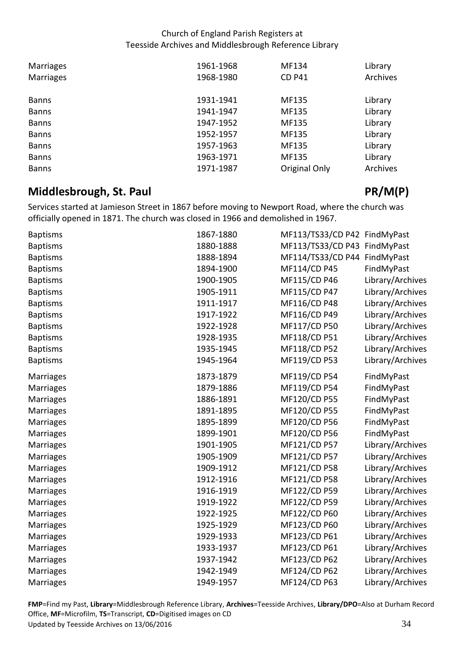| <b>Marriages</b> | 1961-1968 | MF134         | Library  |
|------------------|-----------|---------------|----------|
| <b>Marriages</b> | 1968-1980 | <b>CD P41</b> | Archives |
| <b>Banns</b>     | 1931-1941 | MF135         | Library  |
| <b>Banns</b>     | 1941-1947 | MF135         | Library  |
| <b>Banns</b>     | 1947-1952 | MF135         | Library  |
| <b>Banns</b>     | 1952-1957 | MF135         | Library  |
| <b>Banns</b>     | 1957-1963 | MF135         | Library  |
| <b>Banns</b>     | 1963-1971 | MF135         | Library  |
| <b>Banns</b>     | 1971-1987 | Original Only | Archives |

# <span id="page-33-0"></span>**Middlesbrough, St. Paul PR/M(P)**

 Services started at Jamieson Street in 1867 before moving to Newport Road, where the church was officially opened in 1871. The church was closed in 1966 and demolished in 1967.

| <b>Baptisms</b>  | 1867-1880 | MF113/TS33/CD P42 FindMyPast |                  |
|------------------|-----------|------------------------------|------------------|
| <b>Baptisms</b>  | 1880-1888 | MF113/TS33/CD P43 FindMyPast |                  |
| <b>Baptisms</b>  | 1888-1894 | MF114/TS33/CD P44            | FindMyPast       |
| <b>Baptisms</b>  | 1894-1900 | MF114/CD P45                 | FindMyPast       |
| <b>Baptisms</b>  | 1900-1905 | MF115/CD P46                 | Library/Archives |
| <b>Baptisms</b>  | 1905-1911 | MF115/CD P47                 | Library/Archives |
| <b>Baptisms</b>  | 1911-1917 | MF116/CD P48                 | Library/Archives |
| <b>Baptisms</b>  | 1917-1922 | MF116/CD P49                 | Library/Archives |
| <b>Baptisms</b>  | 1922-1928 | MF117/CD P50                 | Library/Archives |
| <b>Baptisms</b>  | 1928-1935 | MF118/CD P51                 | Library/Archives |
| <b>Baptisms</b>  | 1935-1945 | MF118/CD P52                 | Library/Archives |
| <b>Baptisms</b>  | 1945-1964 | MF119/CD P53                 | Library/Archives |
| Marriages        | 1873-1879 | MF119/CD P54                 | FindMyPast       |
| Marriages        | 1879-1886 | MF119/CD P54                 | FindMyPast       |
| Marriages        | 1886-1891 | MF120/CD P55                 | FindMyPast       |
| Marriages        | 1891-1895 | MF120/CD P55                 | FindMyPast       |
| Marriages        | 1895-1899 | MF120/CD P56                 | FindMyPast       |
| <b>Marriages</b> | 1899-1901 | MF120/CD P56                 | FindMyPast       |
| <b>Marriages</b> | 1901-1905 | MF121/CD P57                 | Library/Archives |
| <b>Marriages</b> | 1905-1909 | MF121/CD P57                 | Library/Archives |
| <b>Marriages</b> | 1909-1912 | MF121/CD P58                 | Library/Archives |
| <b>Marriages</b> | 1912-1916 | MF121/CD P58                 | Library/Archives |
| <b>Marriages</b> | 1916-1919 | MF122/CD P59                 | Library/Archives |
| Marriages        | 1919-1922 | MF122/CD P59                 | Library/Archives |
| <b>Marriages</b> | 1922-1925 | MF122/CD P60                 | Library/Archives |
| <b>Marriages</b> | 1925-1929 | MF123/CD P60                 | Library/Archives |
| Marriages        | 1929-1933 | MF123/CD P61                 | Library/Archives |
| Marriages        | 1933-1937 | MF123/CD P61                 | Library/Archives |
| <b>Marriages</b> | 1937-1942 | MF123/CD P62                 | Library/Archives |
| Marriages        | 1942-1949 | MF124/CD P62                 | Library/Archives |
| <b>Marriages</b> | 1949-1957 | MF124/CD P63                 | Library/Archives |

Office, **MF**=Microfilm, **TS**=Transcript, **CD**=Digitised images on CD<br>Updated by Teesside Archives on 13/06/2016 34 Updated by Teesside Archives on 13/06/2016 **FMP**=Find my Past, **Library**=Middlesbrough Reference Library, **Archives**=Teesside Archives, **Library/DPO**=Also at Durham Record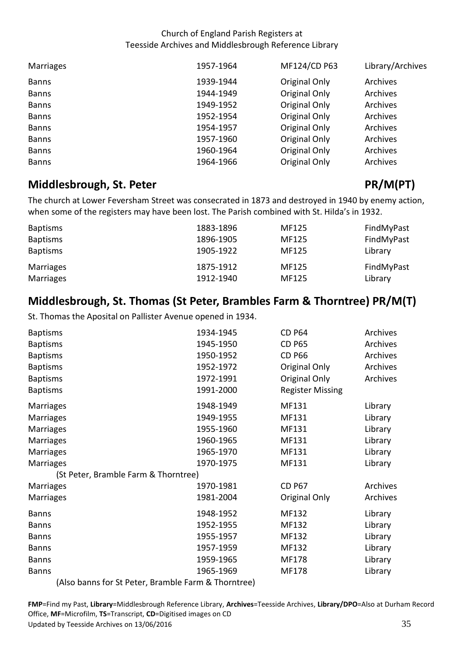| Marriages    | 1957-1964 | MF124/CD P63  | Library/Archives |
|--------------|-----------|---------------|------------------|
| <b>Banns</b> | 1939-1944 | Original Only | Archives         |
| <b>Banns</b> | 1944-1949 | Original Only | Archives         |
| <b>Banns</b> | 1949-1952 | Original Only | Archives         |
| <b>Banns</b> | 1952-1954 | Original Only | Archives         |
| <b>Banns</b> | 1954-1957 | Original Only | Archives         |
| <b>Banns</b> | 1957-1960 | Original Only | Archives         |
| <b>Banns</b> | 1960-1964 | Original Only | Archives         |
| <b>Banns</b> | 1964-1966 | Original Only | Archives         |

# <span id="page-34-0"></span>**Middlesbrough, St. Peter PR/M(PT)**

 The church at Lower Feversham Street was consecrated in 1873 and destroyed in 1940 by enemy action, when some of the registers may have been lost. The Parish combined with St. Hilda's in 1932.

| <b>Baptisms</b> | 1883-1896 | MF125 | FindMyPast |
|-----------------|-----------|-------|------------|
| <b>Baptisms</b> | 1896-1905 | MF125 | FindMyPast |
| <b>Baptisms</b> | 1905-1922 | MF125 | Library    |
| Marriages       | 1875-1912 | MF125 | FindMyPast |
| Marriages       | 1912-1940 | MF125 | Library    |

# <span id="page-34-1"></span> **Middlesbrough, St. Thomas (St Peter, Brambles Farm & Thorntree) PR/M(T)**

St. Thomas the Aposital on Pallister Avenue opened in 1934.

| <b>Baptisms</b>                                     | 1934-1945 | <b>CD P64</b>           | <b>Archives</b> |
|-----------------------------------------------------|-----------|-------------------------|-----------------|
| <b>Baptisms</b>                                     | 1945-1950 | <b>CD P65</b>           | Archives        |
| <b>Baptisms</b>                                     | 1950-1952 | <b>CD P66</b>           | Archives        |
| <b>Baptisms</b>                                     | 1952-1972 | Original Only           | Archives        |
| <b>Baptisms</b>                                     | 1972-1991 | Original Only           | Archives        |
| <b>Baptisms</b>                                     | 1991-2000 | <b>Register Missing</b> |                 |
| <b>Marriages</b>                                    | 1948-1949 | MF131                   | Library         |
| <b>Marriages</b>                                    | 1949-1955 | MF131                   | Library         |
| Marriages                                           | 1955-1960 | MF131                   | Library         |
| Marriages                                           | 1960-1965 | MF131                   | Library         |
| Marriages                                           | 1965-1970 | MF131                   | Library         |
| Marriages                                           | 1970-1975 | MF131                   | Library         |
| (St Peter, Bramble Farm & Thorntree)                |           |                         |                 |
| Marriages                                           | 1970-1981 | <b>CD P67</b>           | Archives        |
| Marriages                                           | 1981-2004 | Original Only           | Archives        |
| <b>Banns</b>                                        | 1948-1952 | MF132                   | Library         |
| <b>Banns</b>                                        | 1952-1955 | MF132                   | Library         |
| <b>Banns</b>                                        | 1955-1957 | MF132                   | Library         |
| <b>Banns</b>                                        | 1957-1959 | MF132                   | Library         |
| <b>Banns</b>                                        | 1959-1965 | MF178                   | Library         |
| <b>Banns</b>                                        | 1965-1969 | MF178                   | Library         |
| (Also banns for St Peter, Bramble Farm & Thorntree) |           |                         |                 |

Office, **MF**=Microfilm, **TS**=Transcript, **CD**=Digitised images on CD<br>Updated by Teesside Archives on 13/06/2016 35 Updated by Teesside Archives on 13/06/2016 **FMP**=Find my Past, **Library**=Middlesbrough Reference Library, **Archives**=Teesside Archives, **Library/DPO**=Also at Durham Record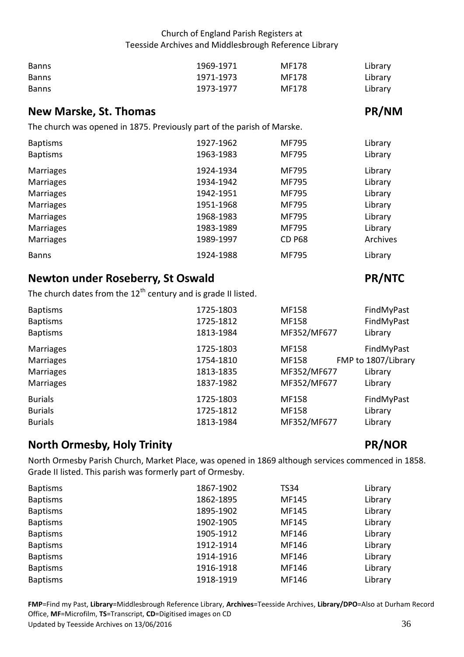| <b>Banns</b> | 1969-1971 | MF178 | Library |
|--------------|-----------|-------|---------|
| <b>Banns</b> | 1971-1973 | MF178 | Library |
| <b>Banns</b> | 1973-1977 | MF178 | Library |

## <span id="page-35-0"></span>**New Marske, St. Thomas PR/NM**

The church was opened in 1875. Previously part of the parish of Marske.

| <b>Baptisms</b>  | 1927-1962 | <b>MF795</b>  | Library  |
|------------------|-----------|---------------|----------|
| <b>Baptisms</b>  | 1963-1983 | <b>MF795</b>  | Library  |
| <b>Marriages</b> | 1924-1934 | <b>MF795</b>  | Library  |
| <b>Marriages</b> | 1934-1942 | <b>MF795</b>  | Library  |
| <b>Marriages</b> | 1942-1951 | MF795         | Library  |
| <b>Marriages</b> | 1951-1968 | MF795         | Library  |
| <b>Marriages</b> | 1968-1983 | <b>MF795</b>  | Library  |
| <b>Marriages</b> | 1983-1989 | <b>MF795</b>  | Library  |
| <b>Marriages</b> | 1989-1997 | <b>CD P68</b> | Archives |
| <b>Banns</b>     | 1924-1988 | <b>MF795</b>  | Library  |

# <span id="page-35-1"></span>**Newton under Roseberry, St Oswald PR/NTC**

The church dates from the 12<sup>th</sup> century and is grade II listed.

| <b>Baptisms</b><br><b>Baptisms</b><br><b>Baptisms</b> | 1725-1803<br>1725-1812<br>1813-1984 | MF158<br>MF158<br>MF352/MF677 | FindMyPast<br>FindMyPast<br>Library |
|-------------------------------------------------------|-------------------------------------|-------------------------------|-------------------------------------|
| <b>Marriages</b>                                      | 1725-1803                           | MF158                         | FindMyPast                          |
| <b>Marriages</b>                                      | 1754-1810                           | MF158                         | FMP to 1807/Library                 |
| <b>Marriages</b>                                      | 1813-1835                           | MF352/MF677                   | Library                             |
| <b>Marriages</b>                                      | 1837-1982                           | MF352/MF677                   | Library                             |
| <b>Burials</b>                                        | 1725-1803                           | MF158                         | FindMyPast                          |
| <b>Burials</b>                                        | 1725-1812                           | MF158                         | Library                             |
| <b>Burials</b>                                        | 1813-1984                           | MF352/MF677                   | Library                             |

## <span id="page-35-2"></span>**North Ormesby, Holy Trinity According to According PR/NOR**

 North Ormesby Parish Church, Market Place, was opened in 1869 although services commenced in 1858. Grade II listed. This parish was formerly part of Ormesby.

| <b>Baptisms</b> | 1867-1902 | <b>TS34</b> | Library |
|-----------------|-----------|-------------|---------|
| <b>Baptisms</b> | 1862-1895 | MF145       | Library |
| <b>Baptisms</b> | 1895-1902 | MF145       | Library |
| <b>Baptisms</b> | 1902-1905 | MF145       | Library |
| <b>Baptisms</b> | 1905-1912 | MF146       | Library |
| <b>Baptisms</b> | 1912-1914 | MF146       | Library |
| <b>Baptisms</b> | 1914-1916 | MF146       | Library |
| <b>Baptisms</b> | 1916-1918 | MF146       | Library |
| <b>Baptisms</b> | 1918-1919 | MF146       | Library |

Office, **MF**=Microfilm, **TS**=Transcript, **CD**=Digitised images on CD<br>Updated by Teesside Archives on 13/06/2016 36 Updated by Teesside Archives on 13/06/2016 **FMP**=Find my Past, **Library**=Middlesbrough Reference Library, **Archives**=Teesside Archives, **Library/DPO**=Also at Durham Record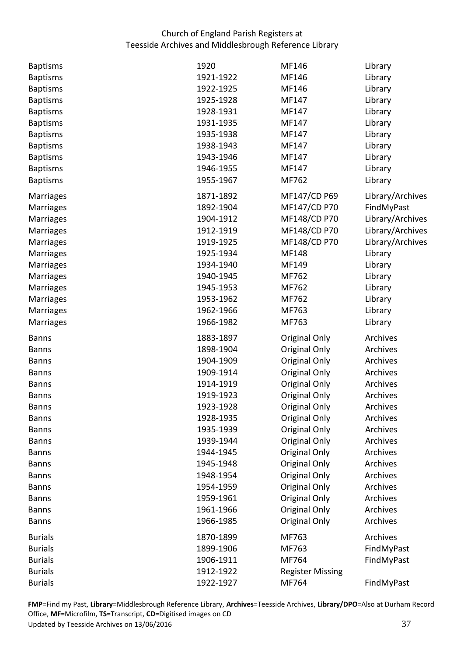| <b>Baptisms</b>  | 1920      | MF146                   | Library          |
|------------------|-----------|-------------------------|------------------|
| <b>Baptisms</b>  | 1921-1922 | MF146                   | Library          |
| <b>Baptisms</b>  | 1922-1925 | MF146                   | Library          |
| <b>Baptisms</b>  | 1925-1928 | MF147                   | Library          |
| <b>Baptisms</b>  | 1928-1931 | MF147                   | Library          |
| <b>Baptisms</b>  | 1931-1935 | MF147                   | Library          |
| <b>Baptisms</b>  | 1935-1938 | MF147                   | Library          |
| <b>Baptisms</b>  | 1938-1943 | MF147                   | Library          |
| <b>Baptisms</b>  | 1943-1946 | MF147                   | Library          |
| <b>Baptisms</b>  | 1946-1955 | MF147                   | Library          |
| <b>Baptisms</b>  | 1955-1967 | MF762                   | Library          |
| Marriages        | 1871-1892 | MF147/CD P69            | Library/Archives |
| Marriages        | 1892-1904 | MF147/CD P70            | FindMyPast       |
| Marriages        | 1904-1912 | MF148/CD P70            | Library/Archives |
| Marriages        | 1912-1919 | MF148/CD P70            | Library/Archives |
| Marriages        | 1919-1925 | MF148/CD P70            | Library/Archives |
| Marriages        | 1925-1934 | MF148                   | Library          |
| Marriages        | 1934-1940 | MF149                   | Library          |
| Marriages        | 1940-1945 | MF762                   | Library          |
| Marriages        | 1945-1953 | MF762                   | Library          |
| Marriages        | 1953-1962 | MF762                   | Library          |
| Marriages        | 1962-1966 | MF763                   | Library          |
| <b>Marriages</b> | 1966-1982 | MF763                   | Library          |
| <b>Banns</b>     | 1883-1897 | <b>Original Only</b>    | Archives         |
| <b>Banns</b>     | 1898-1904 | Original Only           | Archives         |
| <b>Banns</b>     | 1904-1909 | Original Only           | Archives         |
| <b>Banns</b>     | 1909-1914 | Original Only           | Archives         |
| <b>Banns</b>     | 1914-1919 | <b>Original Only</b>    | Archives         |
| <b>Banns</b>     | 1919-1923 | Original Only           | Archives         |
| <b>Banns</b>     | 1923-1928 | Original Only           | Archives         |
| <b>Banns</b>     | 1928-1935 | Original Only           | Archives         |
| <b>Banns</b>     | 1935-1939 | Original Only           | Archives         |
| <b>Banns</b>     | 1939-1944 | Original Only           | Archives         |
| <b>Banns</b>     | 1944-1945 | Original Only           | Archives         |
| <b>Banns</b>     | 1945-1948 | Original Only           | Archives         |
| <b>Banns</b>     | 1948-1954 | Original Only           | Archives         |
| <b>Banns</b>     | 1954-1959 | Original Only           | Archives         |
| <b>Banns</b>     | 1959-1961 | Original Only           | Archives         |
| <b>Banns</b>     | 1961-1966 | Original Only           | Archives         |
| <b>Banns</b>     | 1966-1985 | Original Only           | Archives         |
| <b>Burials</b>   | 1870-1899 | MF763                   | Archives         |
| <b>Burials</b>   | 1899-1906 | MF763                   | FindMyPast       |
| <b>Burials</b>   | 1906-1911 | MF764                   | FindMyPast       |
| <b>Burials</b>   | 1912-1922 | <b>Register Missing</b> |                  |
| <b>Burials</b>   | 1922-1927 | MF764                   | FindMyPast       |

Office, **MF**=Microfilm, **TS**=Transcript, **CD**=Digitised images on CD<br>Updated by Teesside Archives on 13/06/2016 37 Updated by Teesside Archives on 13/06/2016 **FMP**=Find my Past, **Library**=Middlesbrough Reference Library, **Archives**=Teesside Archives, **Library/DPO**=Also at Durham Record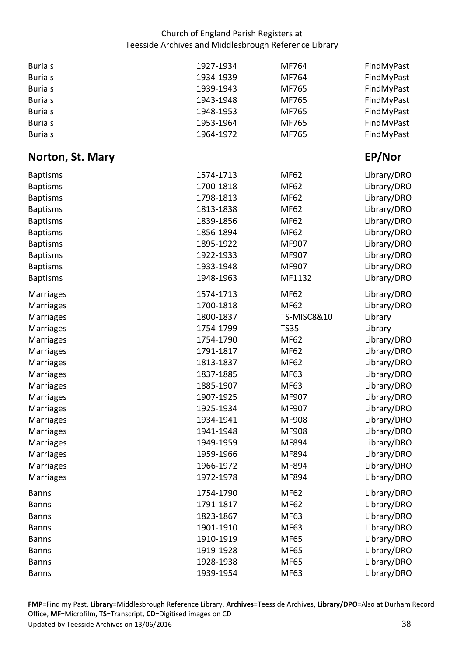<span id="page-37-0"></span>

| <b>Burials</b>   | 1927-1934 | MF764                  | FindMyPast  |
|------------------|-----------|------------------------|-------------|
| <b>Burials</b>   | 1934-1939 | MF764                  | FindMyPast  |
| <b>Burials</b>   | 1939-1943 | MF765                  | FindMyPast  |
| <b>Burials</b>   | 1943-1948 | MF765                  | FindMyPast  |
| <b>Burials</b>   | 1948-1953 | MF765                  | FindMyPast  |
| <b>Burials</b>   | 1953-1964 | MF765                  | FindMyPast  |
| <b>Burials</b>   | 1964-1972 | MF765                  | FindMyPast  |
| Norton, St. Mary |           |                        | EP/Nor      |
| <b>Baptisms</b>  | 1574-1713 | <b>MF62</b>            | Library/DRO |
| <b>Baptisms</b>  | 1700-1818 | <b>MF62</b>            | Library/DRO |
| <b>Baptisms</b>  | 1798-1813 | <b>MF62</b>            | Library/DRO |
| <b>Baptisms</b>  | 1813-1838 | <b>MF62</b>            | Library/DRO |
| <b>Baptisms</b>  | 1839-1856 | <b>MF62</b>            | Library/DRO |
| <b>Baptisms</b>  | 1856-1894 | <b>MF62</b>            | Library/DRO |
| <b>Baptisms</b>  | 1895-1922 | MF907                  | Library/DRO |
| <b>Baptisms</b>  | 1922-1933 | MF907                  | Library/DRO |
| <b>Baptisms</b>  | 1933-1948 | MF907                  | Library/DRO |
| <b>Baptisms</b>  | 1948-1963 | MF1132                 | Library/DRO |
| Marriages        | 1574-1713 | <b>MF62</b>            | Library/DRO |
| Marriages        | 1700-1818 | <b>MF62</b>            | Library/DRO |
| <b>Marriages</b> | 1800-1837 | <b>TS-MISC8&amp;10</b> | Library     |
| <b>Marriages</b> | 1754-1799 | <b>TS35</b>            | Library     |
| Marriages        | 1754-1790 | <b>MF62</b>            | Library/DRO |
| Marriages        | 1791-1817 | <b>MF62</b>            | Library/DRO |
| Marriages        | 1813-1837 | <b>MF62</b>            | Library/DRO |
| Marriages        | 1837-1885 | MF63                   | Library/DRO |
| <b>Marriages</b> | 1885-1907 | MF63                   | Library/DRO |
| Marriages        | 1907-1925 | MF907                  | Library/DRO |
| Marriages        | 1925-1934 | MF907                  | Library/DRO |
| <b>Marriages</b> | 1934-1941 | MF908                  | Library/DRO |
| <b>Marriages</b> | 1941-1948 | MF908                  | Library/DRO |
| <b>Marriages</b> | 1949-1959 | MF894                  | Library/DRO |
| <b>Marriages</b> | 1959-1966 | MF894                  | Library/DRO |
| <b>Marriages</b> | 1966-1972 | MF894                  | Library/DRO |
| <b>Marriages</b> | 1972-1978 | MF894                  | Library/DRO |
| <b>Banns</b>     | 1754-1790 | <b>MF62</b>            | Library/DRO |
| <b>Banns</b>     | 1791-1817 | <b>MF62</b>            | Library/DRO |
| <b>Banns</b>     | 1823-1867 | MF63                   | Library/DRO |
| <b>Banns</b>     | 1901-1910 | MF63                   | Library/DRO |
| <b>Banns</b>     | 1910-1919 | <b>MF65</b>            | Library/DRO |
| <b>Banns</b>     | 1919-1928 | <b>MF65</b>            | Library/DRO |
| <b>Banns</b>     | 1928-1938 | <b>MF65</b>            | Library/DRO |
| <b>Banns</b>     | 1939-1954 | MF63                   | Library/DRO |

Office, **MF**=Microfilm, **TS**=Transcript, **CD**=Digitised images on CD<br>Updated by Teesside Archives on 13/06/2016 38 Updated by Teesside Archives on 13/06/2016 **FMP**=Find my Past, **Library**=Middlesbrough Reference Library, **Archives**=Teesside Archives, **Library/DPO**=Also at Durham Record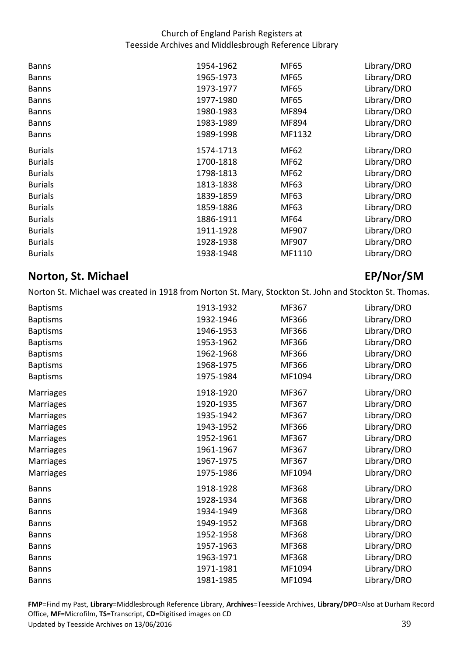| <b>Banns</b>   | 1954-1962 | MF65        | Library/DRO |
|----------------|-----------|-------------|-------------|
| <b>Banns</b>   | 1965-1973 | MF65        | Library/DRO |
| <b>Banns</b>   | 1973-1977 | MF65        | Library/DRO |
| <b>Banns</b>   | 1977-1980 | MF65        | Library/DRO |
| <b>Banns</b>   | 1980-1983 | MF894       | Library/DRO |
| <b>Banns</b>   | 1983-1989 | MF894       | Library/DRO |
| <b>Banns</b>   | 1989-1998 | MF1132      | Library/DRO |
| <b>Burials</b> | 1574-1713 | MF62        | Library/DRO |
| <b>Burials</b> | 1700-1818 | <b>MF62</b> | Library/DRO |
| <b>Burials</b> | 1798-1813 | <b>MF62</b> | Library/DRO |
| <b>Burials</b> | 1813-1838 | MF63        | Library/DRO |
| <b>Burials</b> | 1839-1859 | MF63        | Library/DRO |
| <b>Burials</b> | 1859-1886 | MF63        | Library/DRO |
| <b>Burials</b> | 1886-1911 | MF64        | Library/DRO |
| <b>Burials</b> | 1911-1928 | MF907       | Library/DRO |
| <b>Burials</b> | 1928-1938 | MF907       | Library/DRO |
| <b>Burials</b> | 1938-1948 | MF1110      | Library/DRO |
|                |           |             |             |

## <span id="page-38-0"></span>**Norton, St. Michael EP/Norton, St. Michael EP/Norton, St. Michael EP/Norton, St. EP/Norton, EP/Norton, EP/Norton, EP/Norton, EP/Norton, EP/Norton, EP/Norton, EP/Norton, EP/Norton, EP/Norton, EP/Norton, EP/Norton, EP/Norto**

Norton St. Michael was created in 1918 from Norton St. Mary, Stockton St. John and Stockton St. Thomas.

|                  | 1913-1932 | MF367  |             |
|------------------|-----------|--------|-------------|
| <b>Baptisms</b>  |           |        | Library/DRO |
| <b>Baptisms</b>  | 1932-1946 | MF366  | Library/DRO |
| <b>Baptisms</b>  | 1946-1953 | MF366  | Library/DRO |
| <b>Baptisms</b>  | 1953-1962 | MF366  | Library/DRO |
| <b>Baptisms</b>  | 1962-1968 | MF366  | Library/DRO |
| <b>Baptisms</b>  | 1968-1975 | MF366  | Library/DRO |
| <b>Baptisms</b>  | 1975-1984 | MF1094 | Library/DRO |
| Marriages        | 1918-1920 | MF367  | Library/DRO |
| Marriages        | 1920-1935 | MF367  | Library/DRO |
| Marriages        | 1935-1942 | MF367  | Library/DRO |
| Marriages        | 1943-1952 | MF366  | Library/DRO |
| <b>Marriages</b> | 1952-1961 | MF367  | Library/DRO |
| Marriages        | 1961-1967 | MF367  | Library/DRO |
| <b>Marriages</b> | 1967-1975 | MF367  | Library/DRO |
| Marriages        | 1975-1986 | MF1094 | Library/DRO |
| <b>Banns</b>     | 1918-1928 | MF368  | Library/DRO |
| <b>Banns</b>     | 1928-1934 | MF368  | Library/DRO |
| <b>Banns</b>     | 1934-1949 | MF368  | Library/DRO |
| <b>Banns</b>     | 1949-1952 | MF368  | Library/DRO |
| <b>Banns</b>     | 1952-1958 | MF368  | Library/DRO |
| <b>Banns</b>     | 1957-1963 | MF368  | Library/DRO |
| <b>Banns</b>     | 1963-1971 | MF368  | Library/DRO |
| <b>Banns</b>     | 1971-1981 | MF1094 | Library/DRO |
| <b>Banns</b>     | 1981-1985 | MF1094 | Library/DRO |

Office, MF=Microfilm, TS=Transcript, CD=Digitised images on CD<br>Updated by Teesside Archives on 13/06/2016 39 Updated by Teesside Archives on 13/06/2016 **FMP**=Find my Past, **Library**=Middlesbrough Reference Library, **Archives**=Teesside Archives, **Library/DPO**=Also at Durham Record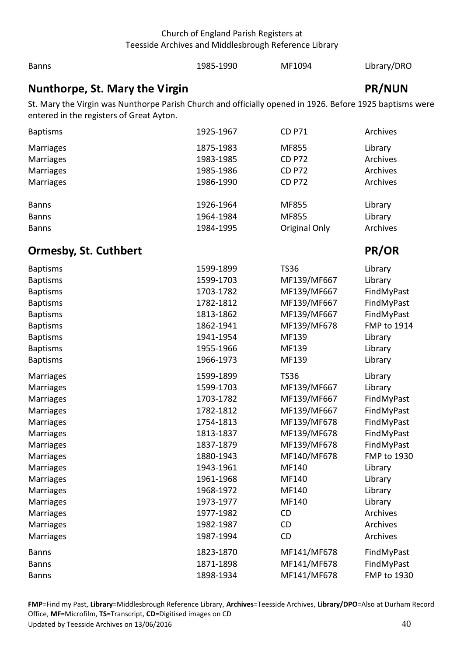1985-1990 MF1094 Library/DRO

**Banns** 

<span id="page-39-1"></span><span id="page-39-0"></span>

| Nunthorpe, St. Mary the Virgin                                                                           |           |               | <b>PR/NUN</b> |
|----------------------------------------------------------------------------------------------------------|-----------|---------------|---------------|
| St. Mary the Virgin was Nunthorpe Parish Church and officially opened in 1926. Before 1925 baptisms were |           |               |               |
| entered in the registers of Great Ayton.                                                                 |           |               |               |
| <b>Baptisms</b>                                                                                          | 1925-1967 | <b>CD P71</b> | Archives      |
| <b>Marriages</b>                                                                                         | 1875-1983 | MF855         | Library       |
| Marriages                                                                                                | 1983-1985 | <b>CD P72</b> | Archives      |
| Marriages                                                                                                | 1985-1986 | <b>CD P72</b> | Archives      |
| Marriages                                                                                                | 1986-1990 | <b>CD P72</b> | Archives      |
|                                                                                                          |           |               |               |
| <b>Banns</b>                                                                                             | 1926-1964 | MF855         | Library       |
| <b>Banns</b>                                                                                             | 1964-1984 | MF855         | Library       |
| <b>Banns</b>                                                                                             | 1984-1995 | Original Only | Archives      |
| <b>Ormesby, St. Cuthbert</b>                                                                             |           |               | PR/OR         |
|                                                                                                          |           |               |               |
| <b>Baptisms</b>                                                                                          | 1599-1899 | <b>TS36</b>   | Library       |
| <b>Baptisms</b>                                                                                          | 1599-1703 | MF139/MF667   | Library       |
| <b>Baptisms</b>                                                                                          | 1703-1782 | MF139/MF667   | FindMyPast    |
| <b>Baptisms</b>                                                                                          | 1782-1812 | MF139/MF667   | FindMyPast    |
| <b>Baptisms</b>                                                                                          | 1813-1862 | MF139/MF667   | FindMyPast    |
| <b>Baptisms</b>                                                                                          | 1862-1941 | MF139/MF678   | FMP to 1914   |
| <b>Baptisms</b>                                                                                          | 1941-1954 | MF139         | Library       |
| <b>Baptisms</b>                                                                                          | 1955-1966 | MF139         | Library       |
| <b>Baptisms</b>                                                                                          | 1966-1973 | MF139         | Library       |
| Marriages                                                                                                | 1599-1899 | <b>TS36</b>   | Library       |
| Marriages                                                                                                | 1599-1703 | MF139/MF667   | Library       |
| <b>Marriages</b>                                                                                         | 1703-1782 | MF139/MF667   | FindMyPast    |
| <b>Marriages</b>                                                                                         | 1782-1812 | MF139/MF667   | FindMyPast    |
| Marriages                                                                                                | 1754-1813 | MF139/MF678   | FindMyPast    |
| Marriages                                                                                                | 1813-1837 | MF139/MF678   | FindMyPast    |
| <b>Marriages</b>                                                                                         | 1837-1879 | MF139/MF678   | FindMyPast    |
| <b>Marriages</b>                                                                                         | 1880-1943 | MF140/MF678   | FMP to 1930   |
| Marriages                                                                                                | 1943-1961 | MF140         | Library       |
| <b>Marriages</b>                                                                                         | 1961-1968 | MF140         | Library       |
| <b>Marriages</b>                                                                                         | 1968-1972 | MF140         | Library       |
| Marriages                                                                                                | 1973-1977 | MF140         | Library       |
| Marriages                                                                                                | 1977-1982 | <b>CD</b>     | Archives      |
| <b>Marriages</b>                                                                                         | 1982-1987 | <b>CD</b>     | Archives      |
| Marriages                                                                                                | 1987-1994 | CD            | Archives      |
| <b>Banns</b>                                                                                             | 1823-1870 | MF141/MF678   | FindMyPast    |
| <b>Banns</b>                                                                                             | 1871-1898 | MF141/MF678   | FindMyPast    |
| <b>Banns</b>                                                                                             | 1898-1934 | MF141/MF678   | FMP to 1930   |

Office, MF=Microfilm, TS=Transcript, CD=Digitised images on CD<br>Updated by Teesside Archives on 13/06/2016 40 and the state of the state of the state of the state of the state Updated by Teesside Archives on 13/06/2016 **FMP**=Find my Past, **Library**=Middlesbrough Reference Library, **Archives**=Teesside Archives, **Library/DPO**=Also at Durham Record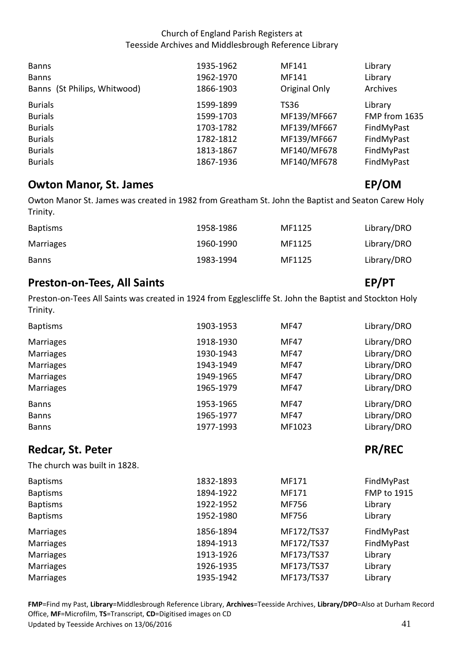| <b>Banns</b><br><b>Banns</b><br>Banns (St Philips, Whitwood) | 1935-1962<br>1962-1970<br>1866-1903 | MF141<br>MF141<br>Original Only | Library<br>Library<br>Archives |
|--------------------------------------------------------------|-------------------------------------|---------------------------------|--------------------------------|
| <b>Burials</b>                                               | 1599-1899                           | <b>TS36</b>                     | Library                        |
| <b>Burials</b>                                               | 1599-1703                           | MF139/MF667                     | FMP from 1635                  |
| <b>Burials</b>                                               | 1703-1782                           | MF139/MF667                     | FindMyPast                     |
| <b>Burials</b>                                               | 1782-1812                           | MF139/MF667                     | FindMyPast                     |
| <b>Burials</b>                                               | 1813-1867                           | MF140/MF678                     | FindMyPast                     |
| <b>Burials</b>                                               | 1867-1936                           | MF140/MF678                     | FindMyPast                     |

# <span id="page-40-0"></span>**Owton Manor, St. James EP/OM**

 Owton Manor St. James was created in 1982 from Greatham St. John the Baptist and Seaton Carew Holy Trinity.

| <b>Baptisms</b> | 1958-1986 | MF1125 | Library/DRO |
|-----------------|-----------|--------|-------------|
| Marriages       | 1960-1990 | MF1125 | Library/DRO |
| <b>Banns</b>    | 1983-1994 | MF1125 | Library/DRO |

## <span id="page-40-1"></span>**Preston-on-Tees, All Saints** EP/PT

 Preston-on-Tees All Saints was created in 1924 from Egglescliffe St. John the Baptist and Stockton Holy Trinity.

| <b>Baptisms</b>        | 1903-1953              | <b>MF47</b>  | Library/DRO                |
|------------------------|------------------------|--------------|----------------------------|
| Marriages              | 1918-1930              | <b>MF47</b>  | Library/DRO                |
| Marriages<br>Marriages | 1930-1943<br>1943-1949 | MF47<br>MF47 | Library/DRO<br>Library/DRO |
| <b>Marriages</b>       | 1949-1965              | MF47         | Library/DRO                |
| <b>Marriages</b>       | 1965-1979              | <b>MF47</b>  | Library/DRO                |
| <b>Banns</b>           | 1953-1965              | <b>MF47</b>  | Library/DRO                |
| <b>Banns</b>           | 1965-1977              | <b>MF47</b>  | Library/DRO                |
| <b>Banns</b>           | 1977-1993              | MF1023       | Library/DRO                |

# <span id="page-40-2"></span>**Redcar, St. Peter PR/REC 2018 19:30 PR/REC**

The church was built in 1828.

| 1832-1893 | MF171      | FindMyPast         |
|-----------|------------|--------------------|
| 1894-1922 | MF171      | <b>FMP to 1915</b> |
| 1922-1952 | MF756      | Library            |
| 1952-1980 | MF756      | Library            |
| 1856-1894 | MF172/TS37 | FindMyPast         |
| 1894-1913 | MF172/TS37 | FindMyPast         |
| 1913-1926 | MF173/TS37 | Library            |
| 1926-1935 | MF173/TS37 | Library            |
| 1935-1942 | MF173/TS37 | Library            |
|           |            |                    |

Office, **MF**=Microfilm, **TS**=Transcript, **CD**=Digitised images on CD<br>Updated by Teesside Archives on 13/06/2016 41 Updated by Teesside Archives on 13/06/2016 **FMP**=Find my Past, **Library**=Middlesbrough Reference Library, **Archives**=Teesside Archives, **Library/DPO**=Also at Durham Record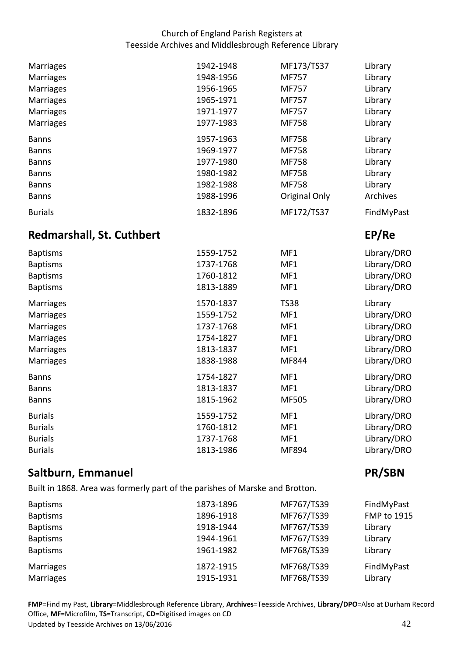| <b>Marriages</b> | 1942-1948 | MF173/TS37    | Library    |
|------------------|-----------|---------------|------------|
| <b>Marriages</b> | 1948-1956 | <b>MF757</b>  | Library    |
| <b>Marriages</b> | 1956-1965 | <b>MF757</b>  | Library    |
| <b>Marriages</b> | 1965-1971 | MF757         | Library    |
| <b>Marriages</b> | 1971-1977 | MF757         | Library    |
| <b>Marriages</b> | 1977-1983 | <b>MF758</b>  | Library    |
| <b>Banns</b>     | 1957-1963 | <b>MF758</b>  | Library    |
| <b>Banns</b>     | 1969-1977 | <b>MF758</b>  | Library    |
| <b>Banns</b>     | 1977-1980 | <b>MF758</b>  | Library    |
| <b>Banns</b>     | 1980-1982 | <b>MF758</b>  | Library    |
| <b>Banns</b>     | 1982-1988 | <b>MF758</b>  | Library    |
| <b>Banns</b>     | 1988-1996 | Original Only | Archives   |
| <b>Burials</b>   | 1832-1896 | MF172/TS37    | FindMyPast |

## <span id="page-41-0"></span>**Redmarshall, St. Cuthbert EP/Re**

| <b>Baptisms</b>  | 1559-1752 | MF1         | Library/DRO |
|------------------|-----------|-------------|-------------|
| <b>Baptisms</b>  | 1737-1768 | MF1         | Library/DRO |
| <b>Baptisms</b>  | 1760-1812 | MF1         | Library/DRO |
| <b>Baptisms</b>  | 1813-1889 | MF1         | Library/DRO |
| Marriages        | 1570-1837 | <b>TS38</b> | Library     |
| <b>Marriages</b> | 1559-1752 | MF1         | Library/DRO |
| <b>Marriages</b> | 1737-1768 | MF1         | Library/DRO |
| <b>Marriages</b> | 1754-1827 | MF1         | Library/DRO |
| Marriages        | 1813-1837 | MF1         | Library/DRO |
| <b>Marriages</b> | 1838-1988 | MF844       | Library/DRO |
| <b>Banns</b>     | 1754-1827 | MF1         | Library/DRO |
| <b>Banns</b>     | 1813-1837 | MF1         | Library/DRO |
| <b>Banns</b>     | 1815-1962 | MF505       | Library/DRO |
| <b>Burials</b>   | 1559-1752 | MF1         | Library/DRO |
| <b>Burials</b>   | 1760-1812 | MF1         | Library/DRO |
| <b>Burials</b>   | 1737-1768 | MF1         | Library/DRO |
| <b>Burials</b>   | 1813-1986 | MF894       | Library/DRO |

# <span id="page-41-1"></span>**Saltburn, Emmanuel PR/SBN**

Built in 1868. Area was formerly part of the parishes of Marske and Brotton.

| <b>Baptisms</b> | 1873-1896 | MF767/TS39 | FindMyPast         |
|-----------------|-----------|------------|--------------------|
| <b>Baptisms</b> | 1896-1918 | MF767/TS39 | <b>FMP to 1915</b> |
| <b>Baptisms</b> | 1918-1944 | MF767/TS39 | Library            |
| <b>Baptisms</b> | 1944-1961 | MF767/TS39 | Library            |
| <b>Baptisms</b> | 1961-1982 | MF768/TS39 | Library            |
| Marriages       | 1872-1915 | MF768/TS39 | FindMyPast         |
| Marriages       | 1915-1931 | MF768/TS39 | Library            |

Office, **MF**=Microfilm, **TS**=Transcript, **CD**=Digitised images on CD<br>Updated by Teesside Archives on 13/06/2016 42 Updated by Teesside Archives on 13/06/2016 **FMP**=Find my Past, **Library**=Middlesbrough Reference Library, **Archives**=Teesside Archives, **Library/DPO**=Also at Durham Record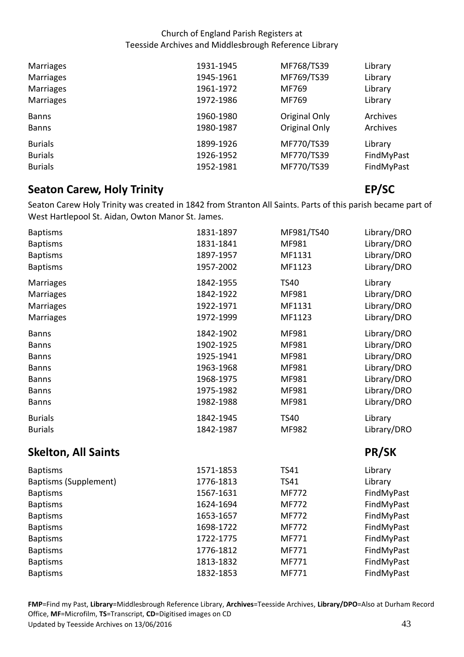| <b>Marriages</b> | 1931-1945 | MF768/TS39    | Library    |
|------------------|-----------|---------------|------------|
| <b>Marriages</b> | 1945-1961 | MF769/TS39    | Library    |
| <b>Marriages</b> | 1961-1972 | MF769         | Library    |
| <b>Marriages</b> | 1972-1986 | MF769         | Library    |
| <b>Banns</b>     | 1960-1980 | Original Only | Archives   |
| <b>Banns</b>     | 1980-1987 | Original Only | Archives   |
| <b>Burials</b>   | 1899-1926 | MF770/TS39    | Library    |
| <b>Burials</b>   | 1926-1952 | MF770/TS39    | FindMyPast |
| <b>Burials</b>   | 1952-1981 | MF770/TS39    | FindMyPast |

## <span id="page-42-0"></span> **Seaton Carew, Holy Trinity Allen Carewise Control Carewise Control Carewise Control Carewise Control Carewise Control Carewise Control Carewise Control Carewise Control Carewise Control Carewise Control Carewise Control**

 Seaton Carew Holy Trinity was created in 1842 from Stranton All Saints. Parts of this parish became part of West Hartlepool St. Aidan, Owton Manor St. James.

| <b>Baptisms</b>            | 1831-1897 | MF981/TS40   | Library/DRO |
|----------------------------|-----------|--------------|-------------|
| <b>Baptisms</b>            | 1831-1841 | MF981        | Library/DRO |
| <b>Baptisms</b>            | 1897-1957 | MF1131       | Library/DRO |
| <b>Baptisms</b>            | 1957-2002 | MF1123       | Library/DRO |
| Marriages                  | 1842-1955 | <b>TS40</b>  | Library     |
| Marriages                  | 1842-1922 | MF981        | Library/DRO |
| Marriages                  | 1922-1971 | MF1131       | Library/DRO |
| Marriages                  | 1972-1999 | MF1123       | Library/DRO |
| <b>Banns</b>               | 1842-1902 | MF981        | Library/DRO |
| <b>Banns</b>               | 1902-1925 | MF981        | Library/DRO |
| <b>Banns</b>               | 1925-1941 | MF981        | Library/DRO |
| <b>Banns</b>               | 1963-1968 | MF981        | Library/DRO |
| <b>Banns</b>               | 1968-1975 | MF981        | Library/DRO |
| <b>Banns</b>               | 1975-1982 | MF981        | Library/DRO |
| <b>Banns</b>               | 1982-1988 | MF981        | Library/DRO |
| <b>Burials</b>             | 1842-1945 | <b>TS40</b>  | Library     |
| <b>Burials</b>             | 1842-1987 | MF982        | Library/DRO |
| <b>Skelton, All Saints</b> |           |              | PR/SK       |
| <b>Baptisms</b>            | 1571-1853 | <b>TS41</b>  | Library     |
| Baptisms (Supplement)      | 1776-1813 | <b>TS41</b>  | Library     |
| <b>Baptisms</b>            | 1567-1631 | MF772        | FindMyPast  |
| <b>Baptisms</b>            | 1624-1694 | MF772        | FindMyPast  |
| <b>Baptisms</b>            | 1653-1657 | MF772        | FindMyPast  |
| <b>Baptisms</b>            | 1698-1722 | <b>MF772</b> | FindMyPast  |
| <b>Baptisms</b>            | 1722-1775 | MF771        | FindMyPast  |
| <b>Baptisms</b>            | 1776-1812 | MF771        | FindMyPast  |
| <b>Baptisms</b>            | 1813-1832 | MF771        | FindMyPast  |
| <b>Baptisms</b>            | 1832-1853 | MF771        | FindMyPast  |

<span id="page-42-1"></span>Office, **MF**=Microfilm, **TS**=Transcript, **CD**=Digitised images on CD<br>Updated by Teesside Archives on 13/06/2016 43 Updated by Teesside Archives on 13/06/2016 **FMP**=Find my Past, **Library**=Middlesbrough Reference Library, **Archives**=Teesside Archives, **Library/DPO**=Also at Durham Record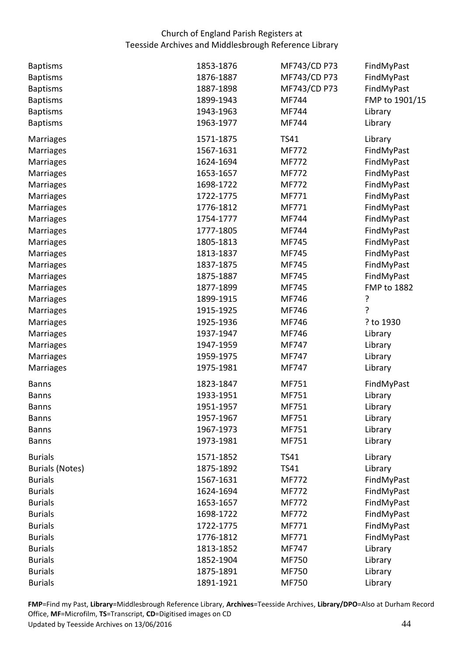| <b>Baptisms</b>        | 1853-1876 | MF743/CD P73 | FindMyPast     |
|------------------------|-----------|--------------|----------------|
| <b>Baptisms</b>        | 1876-1887 | MF743/CD P73 | FindMyPast     |
| <b>Baptisms</b>        | 1887-1898 | MF743/CD P73 | FindMyPast     |
| <b>Baptisms</b>        | 1899-1943 | MF744        | FMP to 1901/15 |
| <b>Baptisms</b>        | 1943-1963 | MF744        | Library        |
| <b>Baptisms</b>        | 1963-1977 | MF744        | Library        |
| Marriages              | 1571-1875 | <b>TS41</b>  | Library        |
| <b>Marriages</b>       | 1567-1631 | <b>MF772</b> | FindMyPast     |
| Marriages              | 1624-1694 | MF772        | FindMyPast     |
| Marriages              | 1653-1657 | MF772        | FindMyPast     |
| Marriages              | 1698-1722 | MF772        | FindMyPast     |
| Marriages              | 1722-1775 | MF771        | FindMyPast     |
| Marriages              | 1776-1812 | MF771        | FindMyPast     |
| Marriages              | 1754-1777 | MF744        | FindMyPast     |
| Marriages              | 1777-1805 | MF744        | FindMyPast     |
| Marriages              | 1805-1813 | MF745        | FindMyPast     |
| Marriages              | 1813-1837 | MF745        | FindMyPast     |
| Marriages              | 1837-1875 | MF745        | FindMyPast     |
| Marriages              | 1875-1887 | MF745        | FindMyPast     |
| Marriages              | 1877-1899 | MF745        | FMP to 1882    |
| Marriages              | 1899-1915 | MF746        | ?              |
| Marriages              | 1915-1925 | MF746        | 7              |
| Marriages              | 1925-1936 | MF746        | ? to 1930      |
| Marriages              | 1937-1947 | MF746        | Library        |
| Marriages              | 1947-1959 | MF747        | Library        |
| <b>Marriages</b>       | 1959-1975 | MF747        | Library        |
| Marriages              | 1975-1981 | MF747        | Library        |
| <b>Banns</b>           | 1823-1847 | MF751        | FindMyPast     |
| <b>Banns</b>           | 1933-1951 | MF751        | Library        |
| <b>Banns</b>           | 1951-1957 | MF751        | Library        |
| <b>Banns</b>           | 1957-1967 | MF751        | Library        |
| <b>Banns</b>           | 1967-1973 | MF751        | Library        |
| <b>Banns</b>           | 1973-1981 | MF751        | Library        |
| <b>Burials</b>         | 1571-1852 | <b>TS41</b>  | Library        |
| <b>Burials (Notes)</b> | 1875-1892 | <b>TS41</b>  | Library        |
| <b>Burials</b>         | 1567-1631 | MF772        | FindMyPast     |
| <b>Burials</b>         | 1624-1694 | MF772        | FindMyPast     |
| <b>Burials</b>         | 1653-1657 | <b>MF772</b> | FindMyPast     |
| <b>Burials</b>         | 1698-1722 | MF772        | FindMyPast     |
| <b>Burials</b>         | 1722-1775 | MF771        | FindMyPast     |
| <b>Burials</b>         | 1776-1812 | MF771        | FindMyPast     |
| <b>Burials</b>         | 1813-1852 | MF747        | Library        |
| <b>Burials</b>         | 1852-1904 | MF750        | Library        |
| <b>Burials</b>         | 1875-1891 | MF750        | Library        |
| <b>Burials</b>         | 1891-1921 | MF750        | Library        |

Office, MF=Microfilm, TS=Transcript, CD=Digitised images on CD<br>Updated by Teesside Archives on 13/06/2016 44 Updated by Teesside Archives on 13/06/2016 **FMP**=Find my Past, **Library**=Middlesbrough Reference Library, **Archives**=Teesside Archives, **Library/DPO**=Also at Durham Record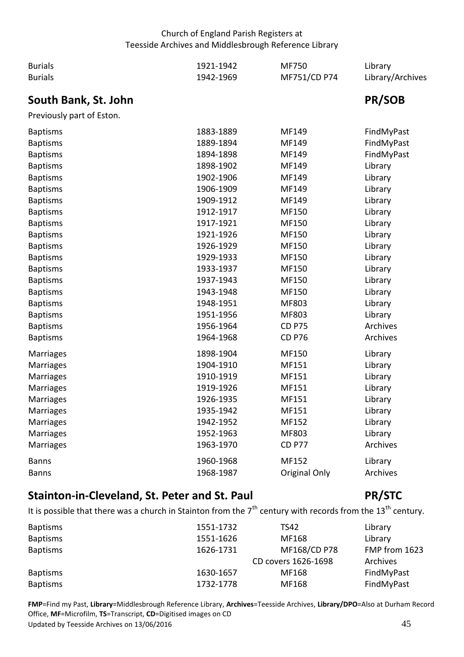<span id="page-44-0"></span>

| <b>Burials</b>            | 1921-1942 | MF750         | Library          |
|---------------------------|-----------|---------------|------------------|
| <b>Burials</b>            | 1942-1969 | MF751/CD P74  | Library/Archives |
| South Bank, St. John      |           |               | PR/SOB           |
| Previously part of Eston. |           |               |                  |
| <b>Baptisms</b>           | 1883-1889 | MF149         | FindMyPast       |
| <b>Baptisms</b>           | 1889-1894 | MF149         | FindMyPast       |
| <b>Baptisms</b>           | 1894-1898 | MF149         | FindMyPast       |
| <b>Baptisms</b>           | 1898-1902 | MF149         | Library          |
| <b>Baptisms</b>           | 1902-1906 | MF149         | Library          |
| <b>Baptisms</b>           | 1906-1909 | MF149         | Library          |
| <b>Baptisms</b>           | 1909-1912 | MF149         | Library          |
| <b>Baptisms</b>           | 1912-1917 | MF150         | Library          |
| <b>Baptisms</b>           | 1917-1921 | MF150         | Library          |
| <b>Baptisms</b>           | 1921-1926 | MF150         | Library          |
| <b>Baptisms</b>           | 1926-1929 | MF150         | Library          |
| <b>Baptisms</b>           | 1929-1933 | MF150         | Library          |
| <b>Baptisms</b>           | 1933-1937 | MF150         | Library          |
| <b>Baptisms</b>           | 1937-1943 | MF150         | Library          |
| <b>Baptisms</b>           | 1943-1948 | MF150         | Library          |
| <b>Baptisms</b>           | 1948-1951 | MF803         | Library          |
| <b>Baptisms</b>           | 1951-1956 | MF803         | Library          |
| <b>Baptisms</b>           | 1956-1964 | <b>CD P75</b> | Archives         |
| <b>Baptisms</b>           | 1964-1968 | <b>CD P76</b> | Archives         |
| Marriages                 | 1898-1904 | MF150         | Library          |
| Marriages                 | 1904-1910 | MF151         | Library          |
| <b>Marriages</b>          | 1910-1919 | MF151         | Library          |
| Marriages                 | 1919-1926 | MF151         | Library          |
| <b>Marriages</b>          | 1926-1935 | MF151         | Library          |
| Marriages                 | 1935-1942 | MF151         | Library          |
| Marriages                 | 1942-1952 | MF152         | Library          |
| Marriages                 | 1952-1963 | MF803         | Library          |
| <b>Marriages</b>          | 1963-1970 | <b>CD P77</b> | Archives         |
| <b>Banns</b>              | 1960-1968 | MF152         | Library          |
| <b>Banns</b>              | 1968-1987 | Original Only | Archives         |

## <span id="page-44-1"></span> **Stainton-in-Cleveland, St. Peter and St. Paul PR/STC**

## It is possible that there was a church in Stainton from the  $7<sup>th</sup>$  century with records from the 13<sup>th</sup> century.

| <b>Baptisms</b> | 1551-1732 | <b>TS42</b>         | Library       |
|-----------------|-----------|---------------------|---------------|
| <b>Baptisms</b> | 1551-1626 | MF168               | Library       |
| <b>Baptisms</b> | 1626-1731 | MF168/CD P78        | FMP from 1623 |
|                 |           | CD covers 1626-1698 | Archives      |
| <b>Baptisms</b> | 1630-1657 | MF168               | FindMyPast    |
| <b>Baptisms</b> | 1732-1778 | MF168               | FindMyPast    |

Office, MF=Microfilm, TS=Transcript, CD=Digitised images on CD<br>Updated by Teesside Archives on 13/06/2016 45 Updated by Teesside Archives on 13/06/2016 **FMP**=Find my Past, **Library**=Middlesbrough Reference Library, **Archives**=Teesside Archives, **Library/DPO**=Also at Durham Record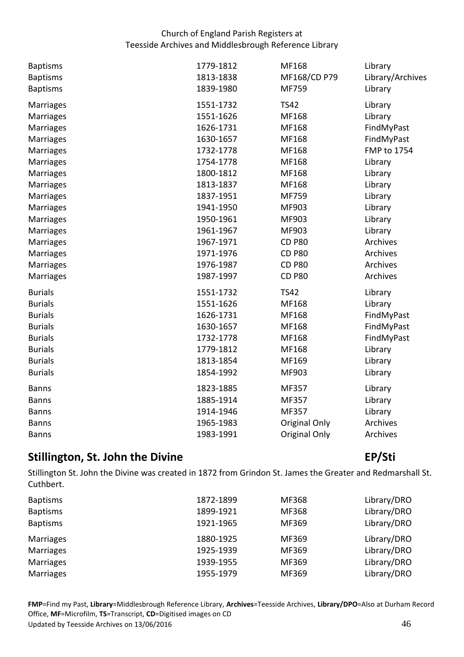| <b>Baptisms</b><br><b>Baptisms</b><br><b>Baptisms</b> | 1779-1812<br>1813-1838<br>1839-1980 | MF168<br>MF168/CD P79<br>MF759 | Library<br>Library/Archives<br>Library |
|-------------------------------------------------------|-------------------------------------|--------------------------------|----------------------------------------|
| <b>Marriages</b>                                      | 1551-1732                           | <b>TS42</b>                    | Library                                |
| Marriages                                             | 1551-1626                           | MF168                          | Library                                |
| <b>Marriages</b>                                      | 1626-1731                           | MF168                          | FindMyPast                             |
| <b>Marriages</b>                                      | 1630-1657                           | MF168                          | FindMyPast                             |
| <b>Marriages</b>                                      | 1732-1778                           | MF168                          | FMP to 1754                            |
| <b>Marriages</b>                                      | 1754-1778                           | MF168                          | Library                                |
| Marriages                                             | 1800-1812                           | MF168                          | Library                                |
| <b>Marriages</b>                                      | 1813-1837                           | MF168                          | Library                                |
| Marriages                                             | 1837-1951                           | MF759                          | Library                                |
| Marriages                                             | 1941-1950                           | MF903                          | Library                                |
| Marriages                                             | 1950-1961                           | MF903                          | Library                                |
| Marriages                                             | 1961-1967                           | MF903                          | Library                                |
| <b>Marriages</b>                                      | 1967-1971                           | <b>CD P80</b>                  | Archives                               |
| <b>Marriages</b>                                      | 1971-1976                           | <b>CD P80</b>                  | Archives                               |
| Marriages                                             | 1976-1987                           | <b>CD P80</b>                  | Archives                               |
| Marriages                                             | 1987-1997                           | <b>CD P80</b>                  | Archives                               |
| <b>Burials</b>                                        | 1551-1732                           | <b>TS42</b>                    | Library                                |
| <b>Burials</b>                                        | 1551-1626                           | MF168                          | Library                                |
| <b>Burials</b>                                        | 1626-1731                           | MF168                          | FindMyPast                             |
| <b>Burials</b>                                        | 1630-1657                           | MF168                          | FindMyPast                             |
| <b>Burials</b>                                        | 1732-1778                           | MF168                          | FindMyPast                             |
| <b>Burials</b>                                        | 1779-1812                           | MF168                          | Library                                |
| <b>Burials</b>                                        | 1813-1854                           | MF169                          | Library                                |
| <b>Burials</b>                                        | 1854-1992                           | MF903                          | Library                                |
| <b>Banns</b>                                          | 1823-1885                           | MF357                          | Library                                |
| <b>Banns</b>                                          | 1885-1914                           | MF357                          | Library                                |
| <b>Banns</b>                                          | 1914-1946                           | MF357                          | Library                                |
| <b>Banns</b>                                          | 1965-1983                           | Original Only                  | Archives                               |
| <b>Banns</b>                                          | 1983-1991                           | Original Only                  | Archives                               |

## <span id="page-45-0"></span>**Stillington, St. John the Divine EP/Sti**

 Stillington St. John the Divine was created in 1872 from Grindon St. James the Greater and Redmarshall St. Cuthbert.

| <b>Baptisms</b><br><b>Baptisms</b><br><b>Baptisms</b> | 1872-1899<br>1899-1921<br>1921-1965 | MF368<br>MF368<br>MF369 | Library/DRO<br>Library/DRO<br>Library/DRO |
|-------------------------------------------------------|-------------------------------------|-------------------------|-------------------------------------------|
| Marriages                                             | 1880-1925                           | MF369                   | Library/DRO                               |
| <b>Marriages</b>                                      | 1925-1939                           | MF369                   | Library/DRO                               |
| <b>Marriages</b>                                      | 1939-1955                           | MF369                   | Library/DRO                               |
| <b>Marriages</b>                                      | 1955-1979                           | MF369                   | Library/DRO                               |

Office, MF=Microfilm, TS=Transcript, CD=Digitised images on CD<br>Updated by Teesside Archives on 13/06/2016 46 Updated by Teesside Archives on 13/06/2016 **FMP**=Find my Past, **Library**=Middlesbrough Reference Library, **Archives**=Teesside Archives, **Library/DPO**=Also at Durham Record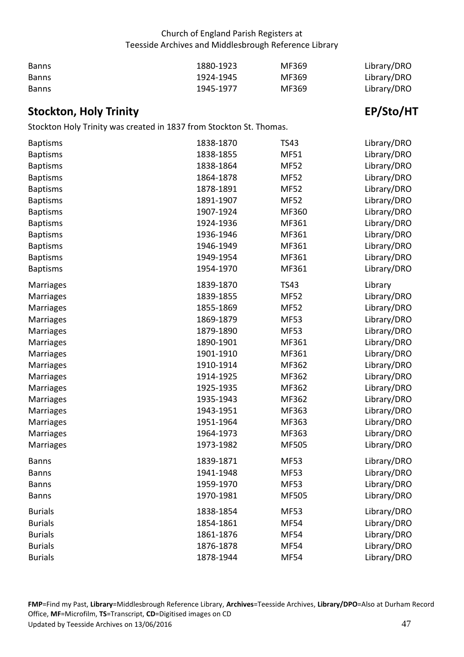| <b>Banns</b> | 1880-1923 | MF369 | Library/DRO |
|--------------|-----------|-------|-------------|
| <b>Banns</b> | 1924-1945 | MF369 | Library/DRO |
| <b>Banns</b> | 1945-1977 | MF369 | Library/DRO |

# <span id="page-46-0"></span> **Stockton, Holy Trinity EP/Sto/HT**

Stockton Holy Trinity was created in 1837 from Stockton St. Thomas.

| <b>Baptisms</b>  | 1838-1870 | <b>TS43</b>  | Library/DRO |
|------------------|-----------|--------------|-------------|
| <b>Baptisms</b>  | 1838-1855 | <b>MF51</b>  | Library/DRO |
| <b>Baptisms</b>  | 1838-1864 | <b>MF52</b>  | Library/DRO |
| <b>Baptisms</b>  | 1864-1878 | <b>MF52</b>  | Library/DRO |
| <b>Baptisms</b>  | 1878-1891 | <b>MF52</b>  | Library/DRO |
| <b>Baptisms</b>  | 1891-1907 | <b>MF52</b>  | Library/DRO |
| <b>Baptisms</b>  | 1907-1924 | MF360        | Library/DRO |
| <b>Baptisms</b>  | 1924-1936 | MF361        | Library/DRO |
| <b>Baptisms</b>  | 1936-1946 | MF361        | Library/DRO |
| <b>Baptisms</b>  | 1946-1949 | MF361        | Library/DRO |
| <b>Baptisms</b>  | 1949-1954 | MF361        | Library/DRO |
| <b>Baptisms</b>  | 1954-1970 | MF361        | Library/DRO |
| Marriages        | 1839-1870 | <b>TS43</b>  | Library     |
| Marriages        | 1839-1855 | <b>MF52</b>  | Library/DRO |
| Marriages        | 1855-1869 | <b>MF52</b>  | Library/DRO |
| Marriages        | 1869-1879 | <b>MF53</b>  | Library/DRO |
| Marriages        | 1879-1890 | <b>MF53</b>  | Library/DRO |
| Marriages        | 1890-1901 | MF361        | Library/DRO |
| Marriages        | 1901-1910 | MF361        | Library/DRO |
| Marriages        | 1910-1914 | MF362        | Library/DRO |
| <b>Marriages</b> | 1914-1925 | MF362        | Library/DRO |
| Marriages        | 1925-1935 | MF362        | Library/DRO |
| Marriages        | 1935-1943 | MF362        | Library/DRO |
| Marriages        | 1943-1951 | MF363        | Library/DRO |
| Marriages        | 1951-1964 | MF363        | Library/DRO |
| Marriages        | 1964-1973 | MF363        | Library/DRO |
| Marriages        | 1973-1982 | <b>MF505</b> | Library/DRO |
| <b>Banns</b>     | 1839-1871 | <b>MF53</b>  | Library/DRO |
| <b>Banns</b>     | 1941-1948 | <b>MF53</b>  | Library/DRO |
| Banns            | 1959-1970 | <b>MF53</b>  | Library/DRO |
| <b>Banns</b>     | 1970-1981 | MF505        | Library/DRO |
| <b>Burials</b>   | 1838-1854 | <b>MF53</b>  | Library/DRO |
| <b>Burials</b>   | 1854-1861 | <b>MF54</b>  | Library/DRO |
| <b>Burials</b>   | 1861-1876 | <b>MF54</b>  | Library/DRO |
| <b>Burials</b>   | 1876-1878 | <b>MF54</b>  | Library/DRO |
| <b>Burials</b>   | 1878-1944 | <b>MF54</b>  | Library/DRO |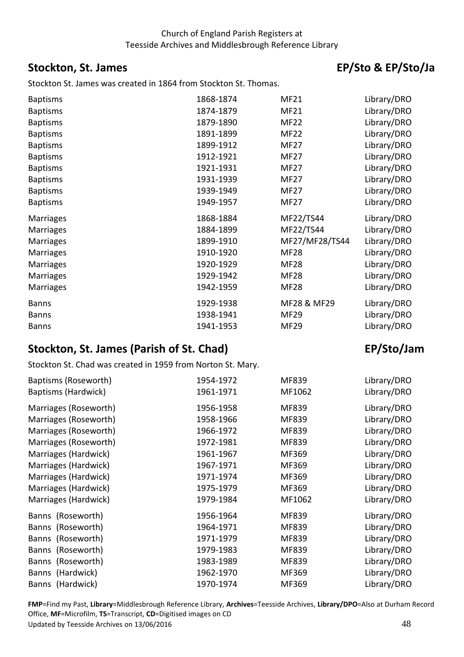## <span id="page-47-0"></span>**Stockton, St. James**

Stockton St. James was created in 1864 from Stockton St. Thomas.

# EP/Sto & EP/Sto/Ja

| <b>Baptisms</b>  | 1868-1874 | <b>MF21</b>    | Library/DRO |
|------------------|-----------|----------------|-------------|
| <b>Baptisms</b>  | 1874-1879 | <b>MF21</b>    | Library/DRO |
| <b>Baptisms</b>  | 1879-1890 | <b>MF22</b>    | Library/DRO |
| <b>Baptisms</b>  | 1891-1899 | <b>MF22</b>    | Library/DRO |
| <b>Baptisms</b>  | 1899-1912 | <b>MF27</b>    | Library/DRO |
| <b>Baptisms</b>  | 1912-1921 | <b>MF27</b>    | Library/DRO |
| <b>Baptisms</b>  | 1921-1931 | <b>MF27</b>    | Library/DRO |
| <b>Baptisms</b>  | 1931-1939 | <b>MF27</b>    | Library/DRO |
| <b>Baptisms</b>  | 1939-1949 | <b>MF27</b>    | Library/DRO |
| <b>Baptisms</b>  | 1949-1957 | <b>MF27</b>    | Library/DRO |
| <b>Marriages</b> | 1868-1884 | MF22/TS44      | Library/DRO |
| <b>Marriages</b> | 1884-1899 | MF22/TS44      | Library/DRO |
| <b>Marriages</b> | 1899-1910 | MF27/MF28/TS44 | Library/DRO |
| <b>Marriages</b> | 1910-1920 | <b>MF28</b>    | Library/DRO |
| <b>Marriages</b> | 1920-1929 | <b>MF28</b>    | Library/DRO |
| <b>Marriages</b> | 1929-1942 | <b>MF28</b>    | Library/DRO |
| <b>Marriages</b> | 1942-1959 | <b>MF28</b>    | Library/DRO |
| <b>Banns</b>     | 1929-1938 | MF28 & MF29    | Library/DRO |
| <b>Banns</b>     | 1938-1941 | <b>MF29</b>    | Library/DRO |
| <b>Banns</b>     | 1941-1953 | <b>MF29</b>    | Library/DRO |
|                  |           |                |             |

# <span id="page-47-1"></span> **Stockton, St. James (Parish of St. Chad) EP/Sto/Jam**

Stockton St. Chad was created in 1959 from Norton St. Mary.

| Baptisms (Roseworth)<br>Baptisms (Hardwick) | 1954-1972<br>1961-1971 | MF839<br>MF1062 | Library/DRO<br>Library/DRO |
|---------------------------------------------|------------------------|-----------------|----------------------------|
| Marriages (Roseworth)                       | 1956-1958              | MF839           | Library/DRO                |
| Marriages (Roseworth)                       | 1958-1966              | MF839           | Library/DRO                |
| Marriages (Roseworth)                       | 1966-1972              | MF839           | Library/DRO                |
| Marriages (Roseworth)                       | 1972-1981              | MF839           | Library/DRO                |
| Marriages (Hardwick)                        | 1961-1967              | MF369           | Library/DRO                |
| Marriages (Hardwick)                        | 1967-1971              | MF369           | Library/DRO                |
| Marriages (Hardwick)                        | 1971-1974              | MF369           | Library/DRO                |
| Marriages (Hardwick)                        | 1975-1979              | MF369           | Library/DRO                |
| Marriages (Hardwick)                        | 1979-1984              | MF1062          | Library/DRO                |
| Banns (Roseworth)                           | 1956-1964              | MF839           | Library/DRO                |
| Banns (Roseworth)                           | 1964-1971              | MF839           | Library/DRO                |
| Banns (Roseworth)                           | 1971-1979              | MF839           | Library/DRO                |
| Banns (Roseworth)                           | 1979-1983              | MF839           | Library/DRO                |
| Banns (Roseworth)                           | 1983-1989              | MF839           | Library/DRO                |
| Banns (Hardwick)                            | 1962-1970              | MF369           | Library/DRO                |
| Banns (Hardwick)                            | 1970-1974              | MF369           | Library/DRO                |

Office, **MF**=Microfilm, **TS**=Transcript, **CD**=Digitised images on CD<br>Updated by Teesside Archives on 13/06/2016 48 Updated by Teesside Archives on 13/06/2016 **FMP**=Find my Past, **Library**=Middlesbrough Reference Library, **Archives**=Teesside Archives, **Library/DPO**=Also at Durham Record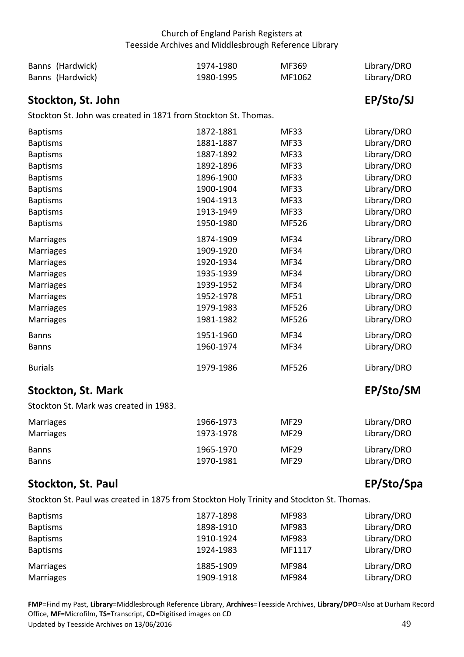| Banns (Hardwick) | 1974-1980 | MF369  | Library/DRO |
|------------------|-----------|--------|-------------|
| Banns (Hardwick) | 1980-1995 | MF1062 | Library/DRO |

## <span id="page-48-0"></span>**Stockton, St. John EP/Sto/SJ**

Stockton St. John was created in 1871 from Stockton St. Thomas.

| <b>Baptisms</b>                        | 1872-1881 | <b>MF33</b> | Library/DRO       |
|----------------------------------------|-----------|-------------|-------------------|
| <b>Baptisms</b>                        | 1881-1887 | <b>MF33</b> | Library/DRO       |
| <b>Baptisms</b>                        | 1887-1892 | <b>MF33</b> | Library/DRO       |
| <b>Baptisms</b>                        | 1892-1896 | <b>MF33</b> | Library/DRO       |
| <b>Baptisms</b>                        | 1896-1900 | <b>MF33</b> | Library/DRO       |
| <b>Baptisms</b>                        | 1900-1904 | <b>MF33</b> | Library/DRO       |
| <b>Baptisms</b>                        | 1904-1913 | <b>MF33</b> | Library/DRO       |
| <b>Baptisms</b>                        | 1913-1949 | <b>MF33</b> | Library/DRO       |
| <b>Baptisms</b>                        | 1950-1980 | MF526       | Library/DRO       |
| Marriages                              | 1874-1909 | <b>MF34</b> | Library/DRO       |
| Marriages                              | 1909-1920 | <b>MF34</b> | Library/DRO       |
| <b>Marriages</b>                       | 1920-1934 | <b>MF34</b> | Library/DRO       |
| Marriages                              | 1935-1939 | <b>MF34</b> | Library/DRO       |
| Marriages                              | 1939-1952 | <b>MF34</b> | Library/DRO       |
| <b>Marriages</b>                       | 1952-1978 | <b>MF51</b> | Library/DRO       |
| Marriages                              | 1979-1983 | MF526       | Library/DRO       |
| <b>Marriages</b>                       | 1981-1982 | MF526       | Library/DRO       |
| <b>Banns</b>                           | 1951-1960 | <b>MF34</b> | Library/DRO       |
| <b>Banns</b>                           | 1960-1974 | <b>MF34</b> | Library/DRO       |
| <b>Burials</b>                         | 1979-1986 | MF526       | Library/DRO       |
| <b>Stockton, St. Mark</b>              |           |             | EP/Sto/SM         |
| Stockton St. Mark was created in 1983. |           |             |                   |
|                                        |           |             | $\cdots$ $\cdots$ |

<span id="page-48-1"></span>

| Marriages    | 1966-1973 | <b>MF29</b> | Library/DRO |
|--------------|-----------|-------------|-------------|
| Marriages    | 1973-1978 | <b>MF29</b> | Library/DRO |
| <b>Banns</b> | 1965-1970 | <b>MF29</b> | Library/DRO |
| <b>Banns</b> | 1970-1981 | <b>MF29</b> | Library/DRO |

## <span id="page-48-2"></span>**Stockton, St. Paul EP/Sto/Spa**

Stockton St. Paul was created in 1875 from Stockton Holy Trinity and Stockton St. Thomas.

| <b>Baptisms</b>  | 1877-1898 | <b>MF983</b> | Library/DRO |
|------------------|-----------|--------------|-------------|
| <b>Baptisms</b>  | 1898-1910 | MF983        | Library/DRO |
| <b>Baptisms</b>  | 1910-1924 | MF983        | Library/DRO |
| <b>Baptisms</b>  | 1924-1983 | MF1117       | Library/DRO |
| Marriages        | 1885-1909 | MF984        | Library/DRO |
| <b>Marriages</b> | 1909-1918 | MF984        | Library/DRO |

Office, MF=Microfilm, TS=Transcript, CD=Digitised images on CD<br>Updated by Teesside Archives on 13/06/2016 49 and the state of the state of the state of the state of the state Updated by Teesside Archives on 13/06/2016 **FMP**=Find my Past, **Library**=Middlesbrough Reference Library, **Archives**=Teesside Archives, **Library/DPO**=Also at Durham Record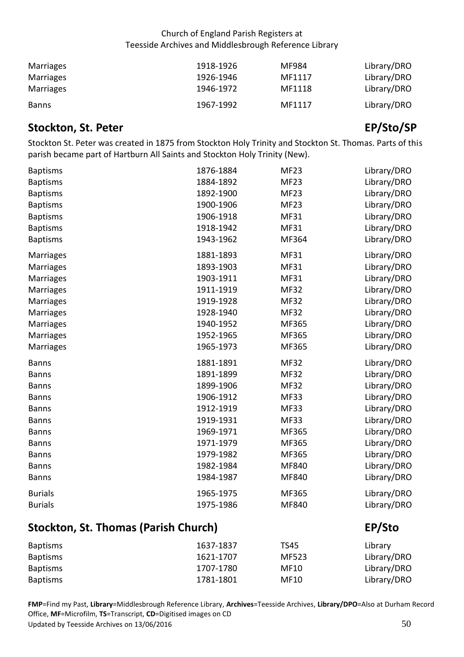| Marriages    | 1918-1926 | MF984  | Library/DRO |
|--------------|-----------|--------|-------------|
| Marriages    | 1926-1946 | MF1117 | Library/DRO |
| Marriages    | 1946-1972 | MF1118 | Library/DRO |
| <b>Banns</b> | 1967-1992 | MF1117 | Library/DRO |

## <span id="page-49-0"></span>**Stockton, St. Peter EP/Sto/SP**

 Stockton St. Peter was created in 1875 from Stockton Holy Trinity and Stockton St. Thomas. Parts of this parish became part of Hartburn All Saints and Stockton Holy Trinity (New).

| <b>Baptisms</b><br><b>Baptisms</b><br><b>Baptisms</b><br><b>Baptisms</b><br><b>Baptisms</b><br><b>Baptisms</b>                  | 1876-1884<br>1884-1892<br>1892-1900<br>1900-1906<br>1906-1918<br>1918-1942                                        | <b>MF23</b><br><b>MF23</b><br><b>MF23</b><br><b>MF23</b><br><b>MF31</b><br><b>MF31</b>                            | Library/DRO<br>Library/DRO<br>Library/DRO<br>Library/DRO<br>Library/DRO<br>Library/DRO                                              |
|---------------------------------------------------------------------------------------------------------------------------------|-------------------------------------------------------------------------------------------------------------------|-------------------------------------------------------------------------------------------------------------------|-------------------------------------------------------------------------------------------------------------------------------------|
| <b>Baptisms</b>                                                                                                                 | 1943-1962                                                                                                         | MF364                                                                                                             | Library/DRO                                                                                                                         |
| Marriages<br>Marriages<br>Marriages<br><b>Marriages</b><br>Marriages<br>Marriages<br><b>Marriages</b><br>Marriages<br>Marriages | 1881-1893<br>1893-1903<br>1903-1911<br>1911-1919<br>1919-1928<br>1928-1940<br>1940-1952<br>1952-1965<br>1965-1973 | <b>MF31</b><br><b>MF31</b><br><b>MF31</b><br><b>MF32</b><br><b>MF32</b><br><b>MF32</b><br>MF365<br>MF365<br>MF365 | Library/DRO<br>Library/DRO<br>Library/DRO<br>Library/DRO<br>Library/DRO<br>Library/DRO<br>Library/DRO<br>Library/DRO<br>Library/DRO |
| <b>Banns</b>                                                                                                                    | 1881-1891                                                                                                         | <b>MF32</b>                                                                                                       | Library/DRO                                                                                                                         |
| <b>Banns</b>                                                                                                                    | 1891-1899                                                                                                         | <b>MF32</b>                                                                                                       | Library/DRO                                                                                                                         |
| <b>Banns</b>                                                                                                                    | 1899-1906                                                                                                         | <b>MF32</b>                                                                                                       | Library/DRO                                                                                                                         |
| <b>Banns</b>                                                                                                                    | 1906-1912                                                                                                         | <b>MF33</b>                                                                                                       | Library/DRO                                                                                                                         |
| <b>Banns</b>                                                                                                                    | 1912-1919                                                                                                         | <b>MF33</b>                                                                                                       | Library/DRO                                                                                                                         |
| <b>Banns</b>                                                                                                                    | 1919-1931                                                                                                         | <b>MF33</b>                                                                                                       | Library/DRO                                                                                                                         |
| <b>Banns</b>                                                                                                                    | 1969-1971                                                                                                         | MF365                                                                                                             | Library/DRO                                                                                                                         |
| <b>Banns</b>                                                                                                                    | 1971-1979                                                                                                         | MF365                                                                                                             | Library/DRO                                                                                                                         |
| <b>Banns</b>                                                                                                                    | 1979-1982                                                                                                         | MF365                                                                                                             | Library/DRO                                                                                                                         |
| <b>Banns</b>                                                                                                                    | 1982-1984                                                                                                         | MF840                                                                                                             | Library/DRO                                                                                                                         |
| <b>Banns</b>                                                                                                                    | 1984-1987                                                                                                         | MF840                                                                                                             | Library/DRO                                                                                                                         |
| <b>Burials</b><br><b>Burials</b>                                                                                                | 1965-1975<br>1975-1986                                                                                            | MF365<br>MF840                                                                                                    | Library/DRO<br>Library/DRO                                                                                                          |
|                                                                                                                                 |                                                                                                                   |                                                                                                                   |                                                                                                                                     |

# <span id="page-49-1"></span> **Stockton, St. Thomas (Parish Church) EP/Sto**

| <b>Baptisms</b> | 1637-1837 | TS45  | Library     |
|-----------------|-----------|-------|-------------|
| <b>Baptisms</b> | 1621-1707 | MF523 | Library/DRO |
| <b>Baptisms</b> | 1707-1780 | MF10  | Library/DRO |
| <b>Baptisms</b> | 1781-1801 | MF10  | Library/DRO |

Office, MF=Microfilm, TS=Transcript, CD=Digitised images on CD<br>Updated by Teesside Archives on 13/06/2016 500 metals on the Updated by Teesside Archives on 13/06/2016 Updated by Teesside Archives on 13/06/2016 **FMP**=Find my Past, **Library**=Middlesbrough Reference Library, **Archives**=Teesside Archives, **Library/DPO**=Also at Durham Record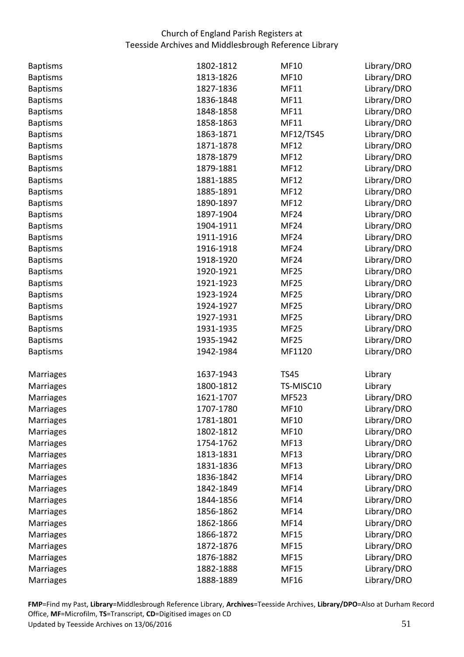| <b>Baptisms</b>  | 1802-1812 | <b>MF10</b>      | Library/DRO |
|------------------|-----------|------------------|-------------|
| <b>Baptisms</b>  | 1813-1826 | <b>MF10</b>      | Library/DRO |
| <b>Baptisms</b>  | 1827-1836 | MF11             | Library/DRO |
| <b>Baptisms</b>  | 1836-1848 | <b>MF11</b>      | Library/DRO |
| <b>Baptisms</b>  | 1848-1858 | <b>MF11</b>      | Library/DRO |
| <b>Baptisms</b>  | 1858-1863 | MF11             | Library/DRO |
| <b>Baptisms</b>  | 1863-1871 | MF12/TS45        | Library/DRO |
| <b>Baptisms</b>  | 1871-1878 | <b>MF12</b>      | Library/DRO |
| <b>Baptisms</b>  | 1878-1879 | <b>MF12</b>      | Library/DRO |
| <b>Baptisms</b>  | 1879-1881 | <b>MF12</b>      | Library/DRO |
| <b>Baptisms</b>  | 1881-1885 | <b>MF12</b>      | Library/DRO |
| <b>Baptisms</b>  | 1885-1891 | <b>MF12</b>      | Library/DRO |
| <b>Baptisms</b>  | 1890-1897 | <b>MF12</b>      | Library/DRO |
| <b>Baptisms</b>  | 1897-1904 | MF <sub>24</sub> | Library/DRO |
| <b>Baptisms</b>  | 1904-1911 | MF <sub>24</sub> | Library/DRO |
| <b>Baptisms</b>  | 1911-1916 | MF <sub>24</sub> | Library/DRO |
| <b>Baptisms</b>  | 1916-1918 | MF <sub>24</sub> | Library/DRO |
| <b>Baptisms</b>  | 1918-1920 | MF <sub>24</sub> | Library/DRO |
| <b>Baptisms</b>  | 1920-1921 | <b>MF25</b>      | Library/DRO |
| <b>Baptisms</b>  | 1921-1923 | <b>MF25</b>      | Library/DRO |
| <b>Baptisms</b>  | 1923-1924 | <b>MF25</b>      | Library/DRO |
| <b>Baptisms</b>  | 1924-1927 | <b>MF25</b>      | Library/DRO |
| <b>Baptisms</b>  | 1927-1931 | <b>MF25</b>      | Library/DRO |
| <b>Baptisms</b>  | 1931-1935 | <b>MF25</b>      | Library/DRO |
| <b>Baptisms</b>  | 1935-1942 | <b>MF25</b>      | Library/DRO |
| <b>Baptisms</b>  | 1942-1984 | MF1120           | Library/DRO |
| Marriages        | 1637-1943 | <b>TS45</b>      | Library     |
| <b>Marriages</b> | 1800-1812 | TS-MISC10        | Library     |
| Marriages        | 1621-1707 | MF523            | Library/DRO |
| Marriages        | 1707-1780 | <b>MF10</b>      | Library/DRO |
| Marriages        | 1781-1801 | <b>MF10</b>      | Library/DRO |
| Marriages        | 1802-1812 | <b>MF10</b>      | Library/DRO |
| Marriages        | 1754-1762 | <b>MF13</b>      | Library/DRO |
| Marriages        | 1813-1831 | <b>MF13</b>      | Library/DRO |
| <b>Marriages</b> | 1831-1836 | <b>MF13</b>      | Library/DRO |
| Marriages        | 1836-1842 | MF14             | Library/DRO |
| Marriages        | 1842-1849 | MF14             | Library/DRO |
| Marriages        | 1844-1856 | MF14             | Library/DRO |
| <b>Marriages</b> | 1856-1862 | <b>MF14</b>      | Library/DRO |
| Marriages        | 1862-1866 | MF14             | Library/DRO |
| Marriages        | 1866-1872 | <b>MF15</b>      | Library/DRO |
| Marriages        | 1872-1876 | <b>MF15</b>      | Library/DRO |
| Marriages        | 1876-1882 | <b>MF15</b>      | Library/DRO |
| Marriages        | 1882-1888 | <b>MF15</b>      | Library/DRO |
| Marriages        | 1888-1889 | MF16             | Library/DRO |

Office, MF=Microfilm, TS=Transcript, CD=Digitised images on CD<br>Updated by Teesside Archives on 13/06/2016 51 Updated by Teesside Archives on 13/06/2016 **FMP**=Find my Past, **Library**=Middlesbrough Reference Library, **Archives**=Teesside Archives, **Library/DPO**=Also at Durham Record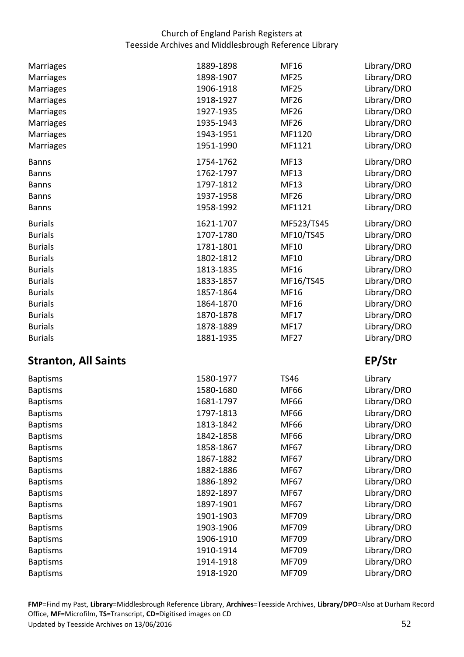| Marriages                   | 1889-1898 | <b>MF16</b> | Library/DRO |
|-----------------------------|-----------|-------------|-------------|
| Marriages                   | 1898-1907 | <b>MF25</b> | Library/DRO |
| Marriages                   | 1906-1918 | <b>MF25</b> | Library/DRO |
| <b>Marriages</b>            | 1918-1927 | <b>MF26</b> | Library/DRO |
| <b>Marriages</b>            | 1927-1935 | <b>MF26</b> | Library/DRO |
| <b>Marriages</b>            | 1935-1943 | <b>MF26</b> | Library/DRO |
| Marriages                   | 1943-1951 | MF1120      | Library/DRO |
| <b>Marriages</b>            | 1951-1990 | MF1121      | Library/DRO |
| <b>Banns</b>                | 1754-1762 | <b>MF13</b> | Library/DRO |
| <b>Banns</b>                | 1762-1797 | <b>MF13</b> | Library/DRO |
| <b>Banns</b>                | 1797-1812 | <b>MF13</b> | Library/DRO |
| <b>Banns</b>                | 1937-1958 | <b>MF26</b> | Library/DRO |
| <b>Banns</b>                | 1958-1992 | MF1121      | Library/DRO |
| <b>Burials</b>              | 1621-1707 | MF523/TS45  | Library/DRO |
| <b>Burials</b>              | 1707-1780 | MF10/TS45   | Library/DRO |
| <b>Burials</b>              | 1781-1801 | <b>MF10</b> | Library/DRO |
| <b>Burials</b>              | 1802-1812 | <b>MF10</b> | Library/DRO |
| <b>Burials</b>              | 1813-1835 | MF16        | Library/DRO |
| <b>Burials</b>              | 1833-1857 | MF16/TS45   | Library/DRO |
| <b>Burials</b>              | 1857-1864 | MF16        | Library/DRO |
| <b>Burials</b>              | 1864-1870 | MF16        | Library/DRO |
| <b>Burials</b>              | 1870-1878 | <b>MF17</b> | Library/DRO |
| <b>Burials</b>              | 1878-1889 | <b>MF17</b> | Library/DRO |
| <b>Burials</b>              | 1881-1935 | <b>MF27</b> | Library/DRO |
| <b>Stranton, All Saints</b> |           |             | EP/Str      |
| <b>Baptisms</b>             | 1580-1977 | <b>TS46</b> | Library     |
| <b>Baptisms</b>             | 1580-1680 | <b>MF66</b> | Library/DRO |
| <b>Baptisms</b>             | 1681-1797 | <b>MF66</b> | Library/DRO |
| <b>Baptisms</b>             | 1797-1813 | <b>MF66</b> | Library/DRO |
| <b>Baptisms</b>             | 1813-1842 | <b>MF66</b> | Library/DRO |
| <b>Baptisms</b>             | 1842-1858 | MF66        | Library/DRO |
| <b>Baptisms</b>             | 1858-1867 | MF67        | Library/DRO |
| <b>Baptisms</b>             | 1867-1882 | MF67        | Library/DRO |
| <b>Baptisms</b>             | 1882-1886 | MF67        | Library/DRO |
| <b>Baptisms</b>             | 1886-1892 | MF67        | Library/DRO |
| <b>Baptisms</b>             | 1892-1897 | MF67        | Library/DRO |
| <b>Baptisms</b>             | 1897-1901 | MF67        | Library/DRO |
| <b>Baptisms</b>             | 1901-1903 | MF709       | Library/DRO |
| <b>Baptisms</b>             | 1903-1906 | MF709       | Library/DRO |
| <b>Baptisms</b>             | 1906-1910 | MF709       | Library/DRO |
| <b>Baptisms</b>             | 1910-1914 | MF709       | Library/DRO |
| <b>Baptisms</b>             | 1914-1918 | MF709       | Library/DRO |
|                             |           |             | Library/DRO |
| <b>Baptisms</b>             | 1918-1920 | MF709       |             |

<span id="page-51-0"></span>Office, MF=Microfilm, TS=Transcript, CD=Digitised images on CD<br>Updated by Teesside Archives on 13/06/2016 52 Updated by Teesside Archives on 13/06/2016 **FMP**=Find my Past, **Library**=Middlesbrough Reference Library, **Archives**=Teesside Archives, **Library/DPO**=Also at Durham Record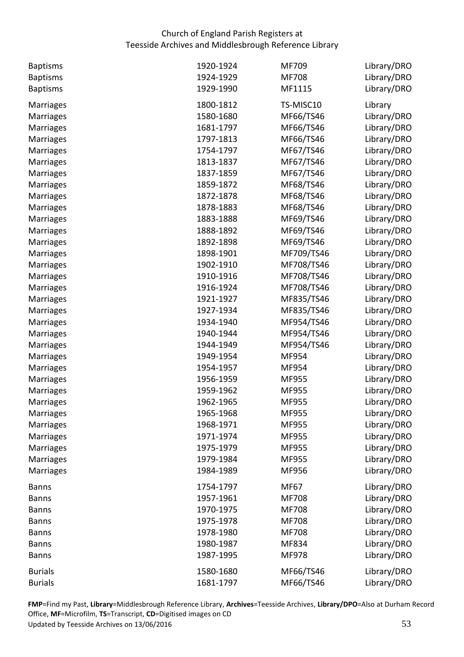| <b>Baptisms</b>  | 1920-1924 | MF709        | Library/DRO |
|------------------|-----------|--------------|-------------|
| <b>Baptisms</b>  | 1924-1929 | <b>MF708</b> | Library/DRO |
| <b>Baptisms</b>  | 1929-1990 | MF1115       | Library/DRO |
| Marriages        | 1800-1812 | TS-MISC10    | Library     |
| <b>Marriages</b> | 1580-1680 | MF66/TS46    | Library/DRO |
| <b>Marriages</b> | 1681-1797 | MF66/TS46    | Library/DRO |
| <b>Marriages</b> | 1797-1813 | MF66/TS46    | Library/DRO |
| <b>Marriages</b> | 1754-1797 | MF67/TS46    | Library/DRO |
| <b>Marriages</b> | 1813-1837 | MF67/TS46    | Library/DRO |
| <b>Marriages</b> | 1837-1859 | MF67/TS46    | Library/DRO |
| <b>Marriages</b> | 1859-1872 | MF68/TS46    | Library/DRO |
| <b>Marriages</b> | 1872-1878 | MF68/TS46    | Library/DRO |
| <b>Marriages</b> | 1878-1883 | MF68/TS46    | Library/DRO |
| Marriages        | 1883-1888 | MF69/TS46    | Library/DRO |
| <b>Marriages</b> | 1888-1892 | MF69/TS46    | Library/DRO |
| <b>Marriages</b> | 1892-1898 | MF69/TS46    | Library/DRO |
| <b>Marriages</b> | 1898-1901 | MF709/TS46   | Library/DRO |
| <b>Marriages</b> | 1902-1910 | MF708/TS46   | Library/DRO |
| <b>Marriages</b> | 1910-1916 | MF708/TS46   | Library/DRO |
| <b>Marriages</b> | 1916-1924 | MF708/TS46   | Library/DRO |
| <b>Marriages</b> | 1921-1927 | MF835/TS46   | Library/DRO |
| <b>Marriages</b> | 1927-1934 | MF835/TS46   | Library/DRO |
| <b>Marriages</b> | 1934-1940 | MF954/TS46   | Library/DRO |
| <b>Marriages</b> | 1940-1944 | MF954/TS46   | Library/DRO |
| <b>Marriages</b> | 1944-1949 | MF954/TS46   | Library/DRO |
| <b>Marriages</b> | 1949-1954 | MF954        | Library/DRO |
| <b>Marriages</b> | 1954-1957 | MF954        | Library/DRO |
| Marriages        | 1956-1959 | MF955        | Library/DRO |
| <b>Marriages</b> | 1959-1962 | MF955        | Library/DRO |
| <b>Marriages</b> | 1962-1965 | MF955        | Library/DRO |
| Marriages        | 1965-1968 | MF955        | Library/DRO |
| <b>Marriages</b> | 1968-1971 | MF955        | Library/DRO |
| <b>Marriages</b> | 1971-1974 | MF955        | Library/DRO |
| Marriages        | 1975-1979 | MF955        | Library/DRO |
| Marriages        | 1979-1984 | MF955        | Library/DRO |
| <b>Marriages</b> | 1984-1989 | MF956        | Library/DRO |
| <b>Banns</b>     | 1754-1797 | <b>MF67</b>  | Library/DRO |
| <b>Banns</b>     | 1957-1961 | <b>MF708</b> | Library/DRO |
| <b>Banns</b>     | 1970-1975 | <b>MF708</b> | Library/DRO |
| <b>Banns</b>     | 1975-1978 | <b>MF708</b> | Library/DRO |
| <b>Banns</b>     | 1978-1980 | <b>MF708</b> | Library/DRO |
| <b>Banns</b>     | 1980-1987 | MF834        | Library/DRO |
| <b>Banns</b>     | 1987-1995 | MF978        | Library/DRO |
| <b>Burials</b>   | 1580-1680 | MF66/TS46    | Library/DRO |
| <b>Burials</b>   | 1681-1797 | MF66/TS46    | Library/DRO |

Office, **MF**=Microfilm, **TS**=Transcript, **CD**=Digitised images on CD<br>Updated by Teesside Archives on 13/06/2016 53 Updated by Teesside Archives on 13/06/2016 **FMP**=Find my Past, **Library**=Middlesbrough Reference Library, **Archives**=Teesside Archives, **Library/DPO**=Also at Durham Record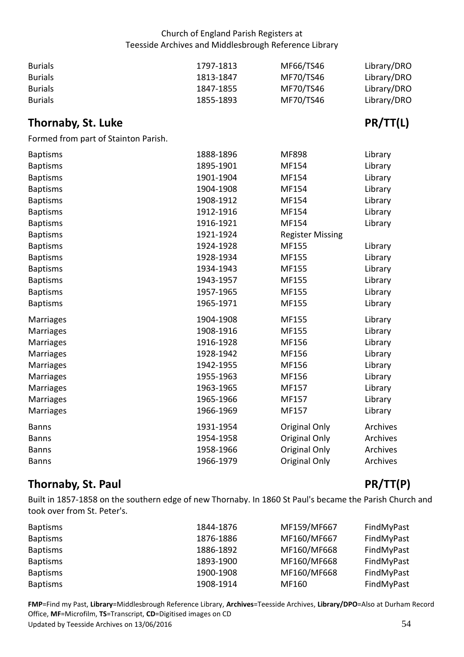| <b>Burials</b> | 1797-1813 | MF66/TS46 | Library/DRO |
|----------------|-----------|-----------|-------------|
| <b>Burials</b> | 1813-1847 | MF70/TS46 | Library/DRO |
| <b>Burials</b> | 1847-1855 | MF70/TS46 | Library/DRO |
| <b>Burials</b> | 1855-1893 | MF70/TS46 | Library/DRO |

# <span id="page-53-0"></span>**Thornaby, St. Luke PR/TT(L)**

Formed from part of Stainton Parish.

| <b>Baptisms</b>  | 1888-1896 | <b>MF898</b>            | Library  |
|------------------|-----------|-------------------------|----------|
| <b>Baptisms</b>  | 1895-1901 | MF154                   | Library  |
| <b>Baptisms</b>  | 1901-1904 | MF154                   | Library  |
| <b>Baptisms</b>  | 1904-1908 | MF154                   | Library  |
| <b>Baptisms</b>  | 1908-1912 | MF154                   | Library  |
| <b>Baptisms</b>  | 1912-1916 | MF154                   | Library  |
| <b>Baptisms</b>  | 1916-1921 | MF154                   | Library  |
| <b>Baptisms</b>  | 1921-1924 | <b>Register Missing</b> |          |
| <b>Baptisms</b>  | 1924-1928 | MF155                   | Library  |
| <b>Baptisms</b>  | 1928-1934 | MF155                   | Library  |
| <b>Baptisms</b>  | 1934-1943 | MF155                   | Library  |
| <b>Baptisms</b>  | 1943-1957 | MF155                   | Library  |
| <b>Baptisms</b>  | 1957-1965 | MF155                   | Library  |
| <b>Baptisms</b>  | 1965-1971 | MF155                   | Library  |
| <b>Marriages</b> | 1904-1908 | MF155                   | Library  |
| Marriages        | 1908-1916 | MF155                   | Library  |
| <b>Marriages</b> | 1916-1928 | MF156                   | Library  |
| <b>Marriages</b> | 1928-1942 | MF156                   | Library  |
| Marriages        | 1942-1955 | MF156                   | Library  |
| Marriages        | 1955-1963 | MF156                   | Library  |
| Marriages        | 1963-1965 | MF157                   | Library  |
| Marriages        | 1965-1966 | MF157                   | Library  |
| <b>Marriages</b> | 1966-1969 | MF157                   | Library  |
| <b>Banns</b>     | 1931-1954 | Original Only           | Archives |
| <b>Banns</b>     | 1954-1958 | Original Only           | Archives |
| <b>Banns</b>     | 1958-1966 | Original Only           | Archives |
| <b>Banns</b>     | 1966-1979 | Original Only           | Archives |
|                  |           |                         |          |

# <span id="page-53-1"></span>**Thornaby, St. Paul PR/TT(P)**

 Built in 1857-1858 on the southern edge of new Thornaby. In 1860 St Paul's became the Parish Church and took over from St. Peter's.

| <b>Baptisms</b> | 1844-1876 | MF159/MF667 | FindMyPast |
|-----------------|-----------|-------------|------------|
| <b>Baptisms</b> | 1876-1886 | MF160/MF667 | FindMyPast |
| <b>Baptisms</b> | 1886-1892 | MF160/MF668 | FindMyPast |
| <b>Baptisms</b> | 1893-1900 | MF160/MF668 | FindMyPast |
| <b>Baptisms</b> | 1900-1908 | MF160/MF668 | FindMyPast |
| <b>Baptisms</b> | 1908-1914 | MF160       | FindMyPast |

Office, MF=Microfilm, TS=Transcript, CD=Digitised images on CD<br>Updated by Teesside Archives on 13/06/2016 54 Updated by Teesside Archives on 13/06/2016 **FMP**=Find my Past, **Library**=Middlesbrough Reference Library, **Archives**=Teesside Archives, **Library/DPO**=Also at Durham Record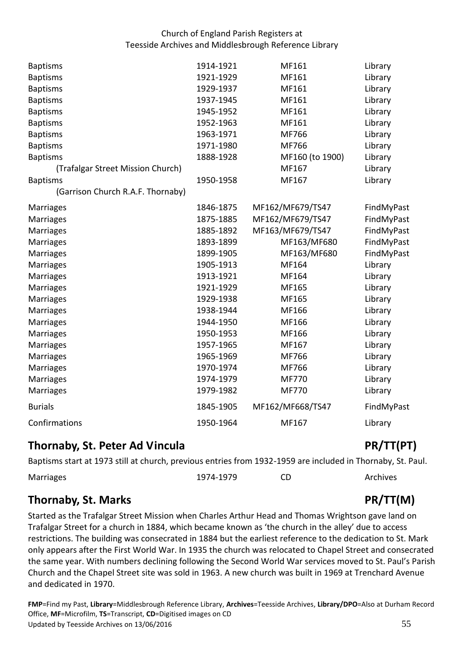| <b>Baptisms</b>                   | 1914-1921 | MF161            | Library    |
|-----------------------------------|-----------|------------------|------------|
| <b>Baptisms</b>                   | 1921-1929 | MF161            | Library    |
| <b>Baptisms</b>                   | 1929-1937 | MF161            | Library    |
| <b>Baptisms</b>                   | 1937-1945 | MF161            | Library    |
| <b>Baptisms</b>                   | 1945-1952 | MF161            | Library    |
| <b>Baptisms</b>                   | 1952-1963 | MF161            | Library    |
| <b>Baptisms</b>                   | 1963-1971 | MF766            | Library    |
| <b>Baptisms</b>                   | 1971-1980 | MF766            | Library    |
| <b>Baptisms</b>                   | 1888-1928 | MF160 (to 1900)  | Library    |
| (Trafalgar Street Mission Church) |           | MF167            | Library    |
| <b>Baptisms</b>                   | 1950-1958 | MF167            | Library    |
| (Garrison Church R.A.F. Thornaby) |           |                  |            |
| Marriages                         | 1846-1875 | MF162/MF679/TS47 | FindMyPast |
| <b>Marriages</b>                  | 1875-1885 | MF162/MF679/TS47 | FindMyPast |
| <b>Marriages</b>                  | 1885-1892 | MF163/MF679/TS47 | FindMyPast |
| <b>Marriages</b>                  | 1893-1899 | MF163/MF680      | FindMyPast |
| <b>Marriages</b>                  | 1899-1905 | MF163/MF680      | FindMyPast |
| <b>Marriages</b>                  | 1905-1913 | MF164            | Library    |
| <b>Marriages</b>                  | 1913-1921 | MF164            | Library    |
| <b>Marriages</b>                  | 1921-1929 | MF165            | Library    |
| <b>Marriages</b>                  | 1929-1938 | MF165            | Library    |
| <b>Marriages</b>                  | 1938-1944 | MF166            | Library    |
| Marriages                         | 1944-1950 | MF166            | Library    |
| <b>Marriages</b>                  | 1950-1953 | MF166            | Library    |
| <b>Marriages</b>                  | 1957-1965 | MF167            | Library    |
| Marriages                         | 1965-1969 | MF766            | Library    |
| <b>Marriages</b>                  | 1970-1974 | MF766            | Library    |
| <b>Marriages</b>                  | 1974-1979 | <b>MF770</b>     | Library    |
| <b>Marriages</b>                  | 1979-1982 | MF770            | Library    |
| <b>Burials</b>                    | 1845-1905 | MF162/MF668/TS47 | FindMyPast |
| Confirmations                     | 1950-1964 | MF167            | Library    |

## <span id="page-54-0"></span>**Thornaby, St. Peter Ad Vincula** PR/TT(PT)

Baptisms start at 1973 still at church, previous entries from 1932-1959 are included in Thornaby, St. Paul.

| Marriages | 1974-1979 | Archives |
|-----------|-----------|----------|
|           |           |          |

# <span id="page-54-1"></span>**Thornaby, St. Marks** PR/TT(M)

 Started as the Trafalgar Street Mission when Charles Arthur Head and Thomas Wrightson gave land on Trafalgar Street for a church in 1884, which became known as 'the church in the alley' due to access restrictions. The building was consecrated in 1884 but the earliest reference to the dedication to St. Mark only appears after the First World War. In 1935 the church was relocated to Chapel Street and consecrated the same year. With numbers declining following the Second World War services moved to St. Paul's Parish Church and the Chapel Street site was sold in 1963. A new church was built in 1969 at Trenchard Avenue and dedicated in 1970.

Office, MF=Microfilm, TS=Transcript, CD=Digitised images on CD<br>Updated by Teesside Archives on 13/06/2016 55 Updated by Teesside Archives on 13/06/2016 **FMP**=Find my Past, **Library**=Middlesbrough Reference Library, **Archives**=Teesside Archives, **Library/DPO**=Also at Durham Record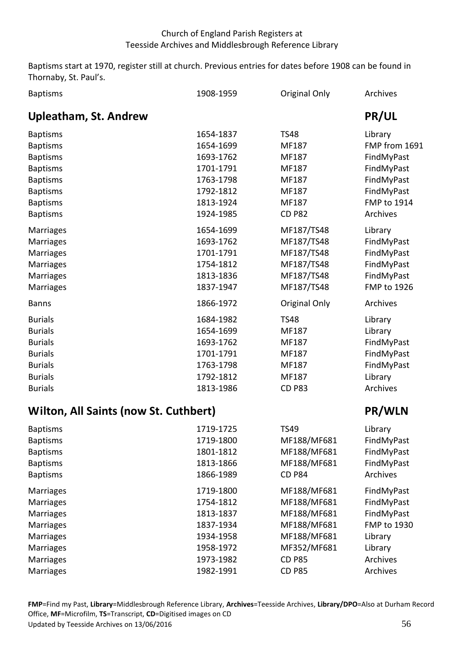Baptisms start at 1970, register still at church. Previous entries for dates before 1908 can be found in Thornaby, St. Paul's.

<span id="page-55-0"></span>

| <b>Baptisms</b>                       | 1908-1959 | Original Only | Archives           |
|---------------------------------------|-----------|---------------|--------------------|
| <b>Upleatham, St. Andrew</b>          |           |               | <b>PR/UL</b>       |
| <b>Baptisms</b>                       | 1654-1837 | <b>TS48</b>   | Library            |
| <b>Baptisms</b>                       | 1654-1699 | MF187         | FMP from 1691      |
| <b>Baptisms</b>                       | 1693-1762 | MF187         | FindMyPast         |
| <b>Baptisms</b>                       | 1701-1791 | MF187         | FindMyPast         |
| <b>Baptisms</b>                       | 1763-1798 | MF187         | FindMyPast         |
| <b>Baptisms</b>                       | 1792-1812 | MF187         | FindMyPast         |
| <b>Baptisms</b>                       | 1813-1924 | MF187         | <b>FMP to 1914</b> |
| <b>Baptisms</b>                       | 1924-1985 | <b>CD P82</b> | Archives           |
| Marriages                             | 1654-1699 | MF187/TS48    | Library            |
| <b>Marriages</b>                      | 1693-1762 | MF187/TS48    | FindMyPast         |
| Marriages                             | 1701-1791 | MF187/TS48    | FindMyPast         |
| Marriages                             | 1754-1812 | MF187/TS48    | FindMyPast         |
| Marriages                             | 1813-1836 | MF187/TS48    | FindMyPast         |
| Marriages                             | 1837-1947 | MF187/TS48    | FMP to 1926        |
| <b>Banns</b>                          | 1866-1972 | Original Only | Archives           |
| <b>Burials</b>                        | 1684-1982 | <b>TS48</b>   | Library            |
| <b>Burials</b>                        | 1654-1699 | MF187         | Library            |
| <b>Burials</b>                        | 1693-1762 | MF187         | FindMyPast         |
| <b>Burials</b>                        | 1701-1791 | MF187         | FindMyPast         |
| <b>Burials</b>                        | 1763-1798 | MF187         | FindMyPast         |
| <b>Burials</b>                        | 1792-1812 | MF187         | Library            |
| <b>Burials</b>                        | 1813-1986 | <b>CD P83</b> | Archives           |
| Wilton, All Saints (now St. Cuthbert) |           |               | PR/WLN             |
| <b>Baptisms</b>                       | 1719-1725 | <b>TS49</b>   | Library            |
| <b>Baptisms</b>                       | 1719-1800 | MF188/MF681   | FindMyPast         |
| <b>Baptisms</b>                       | 1801-1812 | MF188/MF681   | FindMyPast         |
| <b>Baptisms</b>                       | 1813-1866 | MF188/MF681   | FindMyPast         |
| <b>Baptisms</b>                       | 1866-1989 | <b>CD P84</b> | Archives           |
| <b>Marriages</b>                      | 1719-1800 | MF188/MF681   | FindMyPast         |
| <b>Marriages</b>                      | 1754-1812 | MF188/MF681   | FindMyPast         |
| <b>Marriages</b>                      | 1813-1837 | MF188/MF681   | FindMyPast         |
| Marriages                             | 1837-1934 | MF188/MF681   | FMP to 1930        |
| <b>Marriages</b>                      | 1934-1958 | MF188/MF681   | Library            |
| Marriages                             | 1958-1972 | MF352/MF681   | Library            |

Marriages **1973-1982** CD P85 Archives Marriages **1982-1991** CD P85 Archives

<span id="page-55-1"></span>**Marriages Marriages**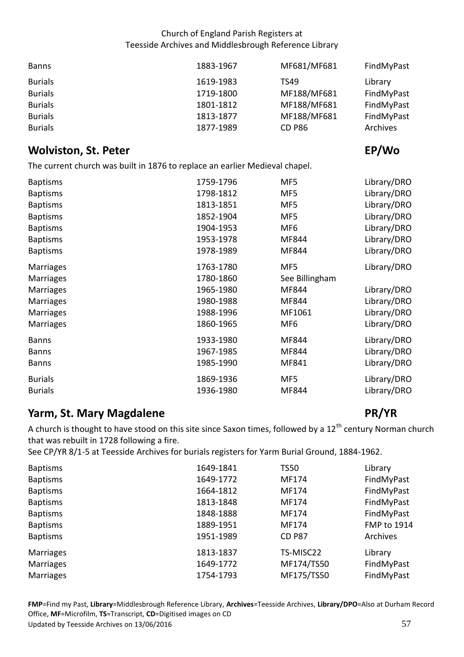| <b>Banns</b>   | 1883-1967 | MF681/MF681   | FindMyPast |
|----------------|-----------|---------------|------------|
| <b>Burials</b> | 1619-1983 | TS49          | Library    |
| <b>Burials</b> | 1719-1800 | MF188/MF681   | FindMyPast |
| <b>Burials</b> | 1801-1812 | MF188/MF681   | FindMyPast |
| <b>Burials</b> | 1813-1877 | MF188/MF681   | FindMyPast |
| <b>Burials</b> | 1877-1989 | <b>CD P86</b> | Archives   |

# <span id="page-56-0"></span>*Wolviston, St. Peter* EP/Wo **EP/Wo**

The current church was built in 1876 to replace an earlier Medieval chapel.

| 1759-1796 | MF5             | Library/DRO |
|-----------|-----------------|-------------|
| 1798-1812 | MF5             | Library/DRO |
| 1813-1851 | MF5             | Library/DRO |
| 1852-1904 | MF5             | Library/DRO |
| 1904-1953 | MF <sub>6</sub> | Library/DRO |
| 1953-1978 | MF844           | Library/DRO |
| 1978-1989 | MF844           | Library/DRO |
| 1763-1780 | MF5             | Library/DRO |
| 1780-1860 | See Billingham  |             |
| 1965-1980 | MF844           | Library/DRO |
| 1980-1988 | MF844           | Library/DRO |
| 1988-1996 | MF1061          | Library/DRO |
| 1860-1965 | MF <sub>6</sub> | Library/DRO |
| 1933-1980 | MF844           | Library/DRO |
| 1967-1985 | MF844           | Library/DRO |
| 1985-1990 | MF841           | Library/DRO |
| 1869-1936 | MF5             | Library/DRO |
| 1936-1980 | MF844           | Library/DRO |
|           |                 |             |

# <span id="page-56-1"></span>**PR/YR PR/YR PR/YR PR/YR**

A church is thought to have stood on this site since Saxon times, followed by a 12<sup>th</sup> century Norman church that was rebuilt in 1728 following a fire.

See CP/YR 8/1-5 at Teesside Archives for burials registers for Yarm Burial Ground, 1884-1962.

| <b>Baptisms</b>  | 1649-1841 | <b>TS50</b>   | Library            |
|------------------|-----------|---------------|--------------------|
| <b>Baptisms</b>  | 1649-1772 | MF174         | FindMyPast         |
| <b>Baptisms</b>  | 1664-1812 | MF174         | FindMyPast         |
| <b>Baptisms</b>  | 1813-1848 | MF174         | FindMyPast         |
| <b>Baptisms</b>  | 1848-1888 | MF174         | FindMyPast         |
| <b>Baptisms</b>  | 1889-1951 | MF174         | <b>FMP to 1914</b> |
| <b>Baptisms</b>  | 1951-1989 | <b>CD P87</b> | Archives           |
| <b>Marriages</b> | 1813-1837 | TS-MISC22     | Library            |
| <b>Marriages</b> | 1649-1772 | MF174/TS50    | FindMyPast         |
| <b>Marriages</b> | 1754-1793 | MF175/TS50    | FindMyPast         |

Office, MF=Microfilm, TS=Transcript, CD=Digitised images on CD<br>Updated by Teesside Archives on 13/06/2016 57 Updated by Teesside Archives on 13/06/2016 **FMP**=Find my Past, **Library**=Middlesbrough Reference Library, **Archives**=Teesside Archives, **Library/DPO**=Also at Durham Record